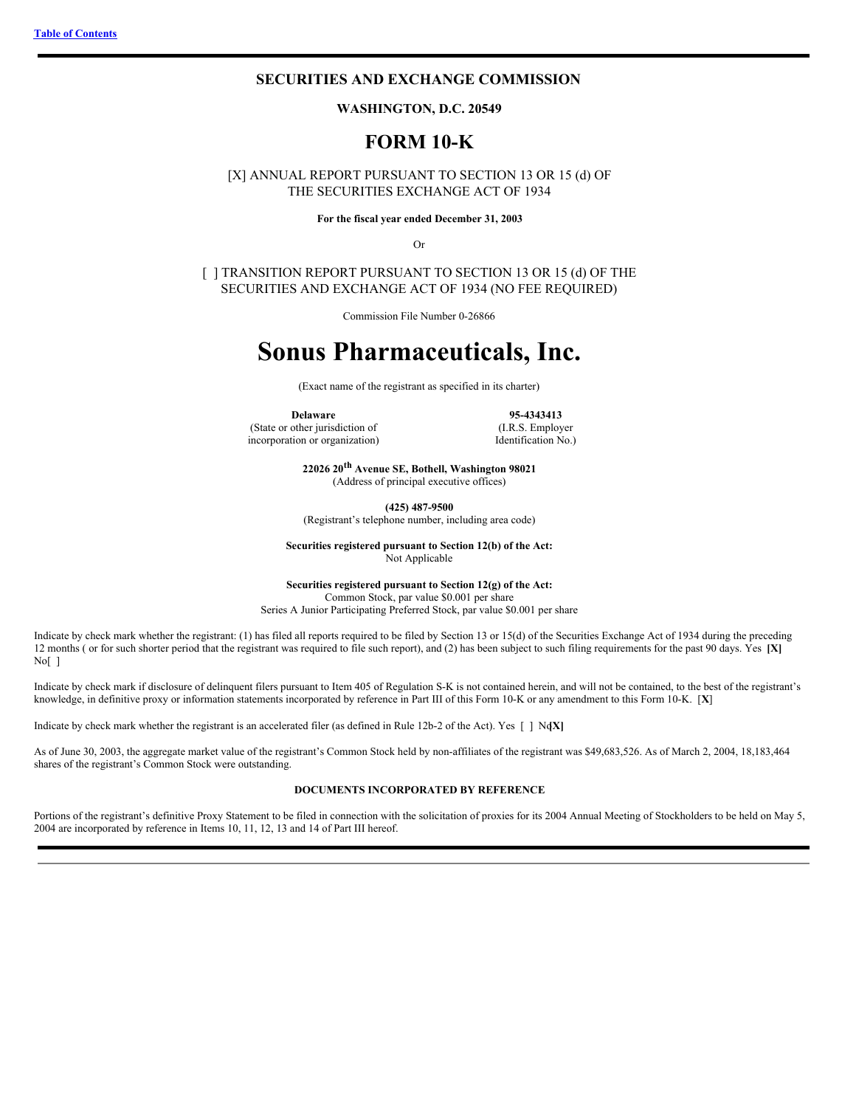# <span id="page-0-0"></span>**SECURITIES AND EXCHANGE COMMISSION**

**WASHINGTON, D.C. 20549**

# **FORM 10-K**

[X] ANNUAL REPORT PURSUANT TO SECTION 13 OR 15 (d) OF THE SECURITIES EXCHANGE ACT OF 1934

**For the fiscal year ended December 31, 2003**

Or

[ ] TRANSITION REPORT PURSUANT TO SECTION 13 OR 15 (d) OF THE SECURITIES AND EXCHANGE ACT OF 1934 (NO FEE REQUIRED)

Commission File Number 0-26866

# **Sonus Pharmaceuticals, Inc.**

(Exact name of the registrant as specified in its charter)

**Delaware**

(State or other jurisdiction of incorporation or organization)

**95-4343413** (I.R.S. Employer Identification No.)

**22026 20 th Avenue SE, Bothell, Washington 98021** (Address of principal executive offices)

**(425) 487-9500**

(Registrant's telephone number, including area code)

**Securities registered pursuant to Section 12(b) of the Act:** Not Applicable

**Securities registered pursuant to Section 12(g) of the Act:**

Common Stock, par value \$0.001 per share

Series A Junior Participating Preferred Stock, par value \$0.001 per share

Indicate by check mark whether the registrant: (1) has filed all reports required to be filed by Section 13 or 15(d) of the Securities Exchange Act of 1934 during the preceding 12 months ( or for such shorter period that the registrant was required to file such report), and (2) has been subject to such filing requirements for the past 90 days. Yes **[X]** No[ 1

Indicate by check mark if disclosure of delinquent filers pursuant to Item 405 of Regulation S-K is not contained herein, and will not be contained, to the best of the registrant's knowledge, in definitive proxy or information statements incorporated by reference in Part III of this Form 10-K or any amendment to this Form 10-K. [**X**]

Indicate by check mark whether the registrant is an accelerated filer (as defined in Rule 12b-2 of the Act). Yes [ ] NqX]

As of June 30, 2003, the aggregate market value of the registrant's Common Stock held by non-affiliates of the registrant was \$49,683,526. As of March 2, 2004, 18,183,464 shares of the registrant's Common Stock were outstanding.

## **DOCUMENTS INCORPORATED BY REFERENCE**

Portions of the registrant's definitive Proxy Statement to be filed in connection with the solicitation of proxies for its 2004 Annual Meeting of Stockholders to be held on May 5, 2004 are incorporated by reference in Items 10, 11, 12, 13 and 14 of Part III hereof.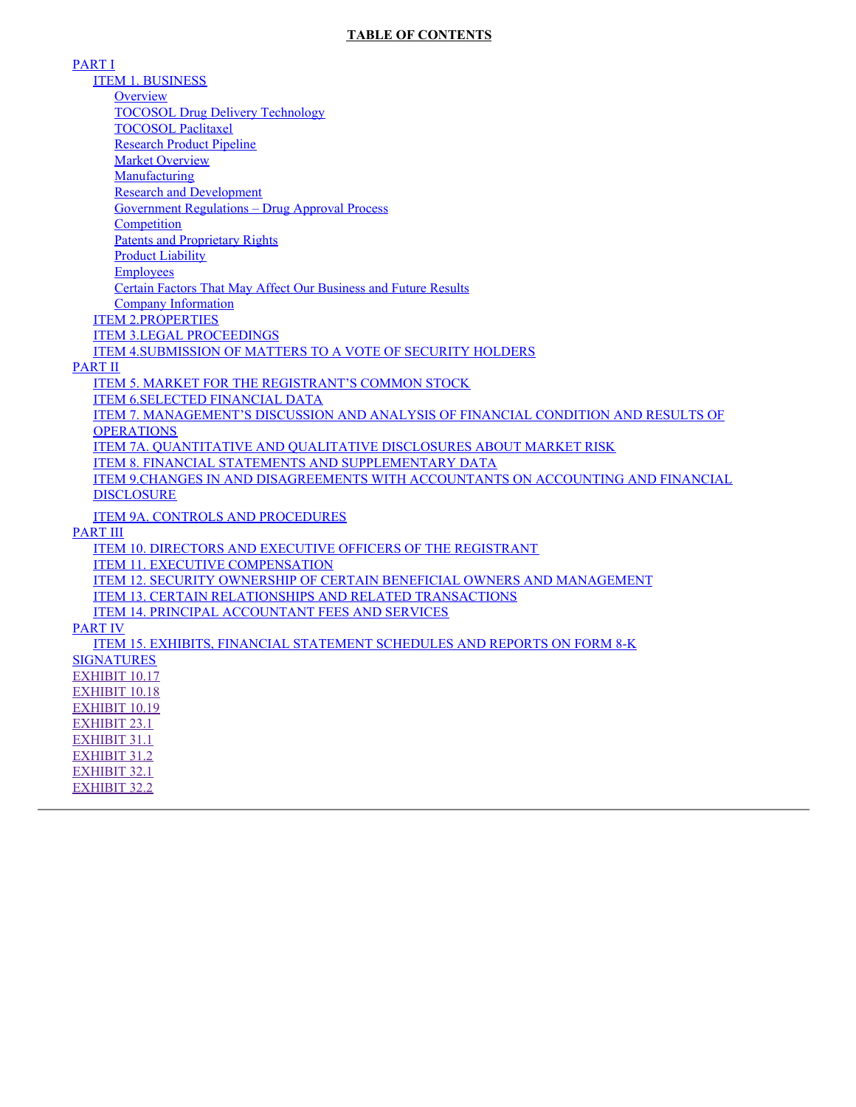# **TABLE OF CONTENTS**

[PART](#page-3-0) I ITEM 1. [BUSINESS](#page-3-1) **[Overview](#page-3-2)** TOCOSOL Drug Delivery [Technology](#page-3-3) [TOCOSOL](#page-3-4) Paclitaxel [Research](#page-6-0) Product Pipeline **Market [Overview](#page-6-1) [Manufacturing](#page-6-2)** Research and [Development](#page-7-0) [Government](#page-7-1) Regulations – Drug Approval Process **[Competition](#page-8-0)** Patents and [Proprietary](#page-9-0) Rights Product [Liability](#page-10-0) **[Employees](#page-10-1)** Certain Factors That May Affect Our [Business](#page-10-2) and Future Results Company [Information](#page-16-0) ITEM [2.PROPERTIES](#page-16-1) ITEM 3.LEGAL [PROCEEDINGS](#page-16-2) ITEM [4.SUBMISSION](#page-16-3) OF MATTERS TO A VOTE OF SECURITY HOLDERS [PART](#page-17-0) II ITEM 5. MARKET FOR THE [REGISTRANT'S](#page-17-1) COMMON STOCK ITEM [6.SELECTED](#page-18-0) FINANCIAL DATA ITEM 7. [MANAGEMENT'S](#page-19-0) DISCUSSION AND ANALYSIS OF FINANCIAL CONDITION AND RESULTS OF **OPERATIONS** ITEM 7A. [QUANTITATIVE](#page-23-0) AND QUALITATIVE DISCLOSURES ABOUT MARKET RISK ITEM 8. FINANCIAL STATEMENTS AND [SUPPLEMENTARY](#page-23-1) DATA ITEM 9.CHANGES IN AND [DISAGREEMENTS](#page-24-0) WITH ACCOUNTANTS ON ACCOUNTING AND FINANCIAL **DISCLOSURE** ITEM 9A. CONTROLS AND [PROCEDURES](#page-24-1) [PART](#page-39-0) III ITEM 10. DIRECTORS AND EXECUTIVE OFFICERS OF THE [REGISTRANT](#page-39-1) ITEM 11. EXECUTIVE [COMPENSATION](#page-39-2) ITEM 12. SECURITY OWNERSHIP OF CERTAIN BENEFICIAL OWNERS AND [MANAGEMENT](#page-39-3) ITEM 13. CERTAIN [RELATIONSHIPS](#page-39-4) AND RELATED TRANSACTIONS ITEM 14. PRINCIPAL [ACCOUNTANT](#page-39-5) FEES AND SERVICES [PART](#page-40-0) IV ITEM 15. EXHIBITS, FINANCIAL [STATEMENT](#page-40-1) SCHEDULES AND REPORTS ON FORM 8-K [SIGNATURES](#page-43-0) [EXHIBIT](#page-45-0) 10.17 [EXHIBIT](#page-49-0) 10.18 [EXHIBIT](#page-53-0) 10.19 [EXHIBIT](#page-56-0) 23.1 [EXHIBIT](#page-57-0) 31.1 [EXHIBIT](#page-58-0) 31.2 [EXHIBIT](#page-59-0) 32.1 [EXHIBIT](#page-60-0) 32.2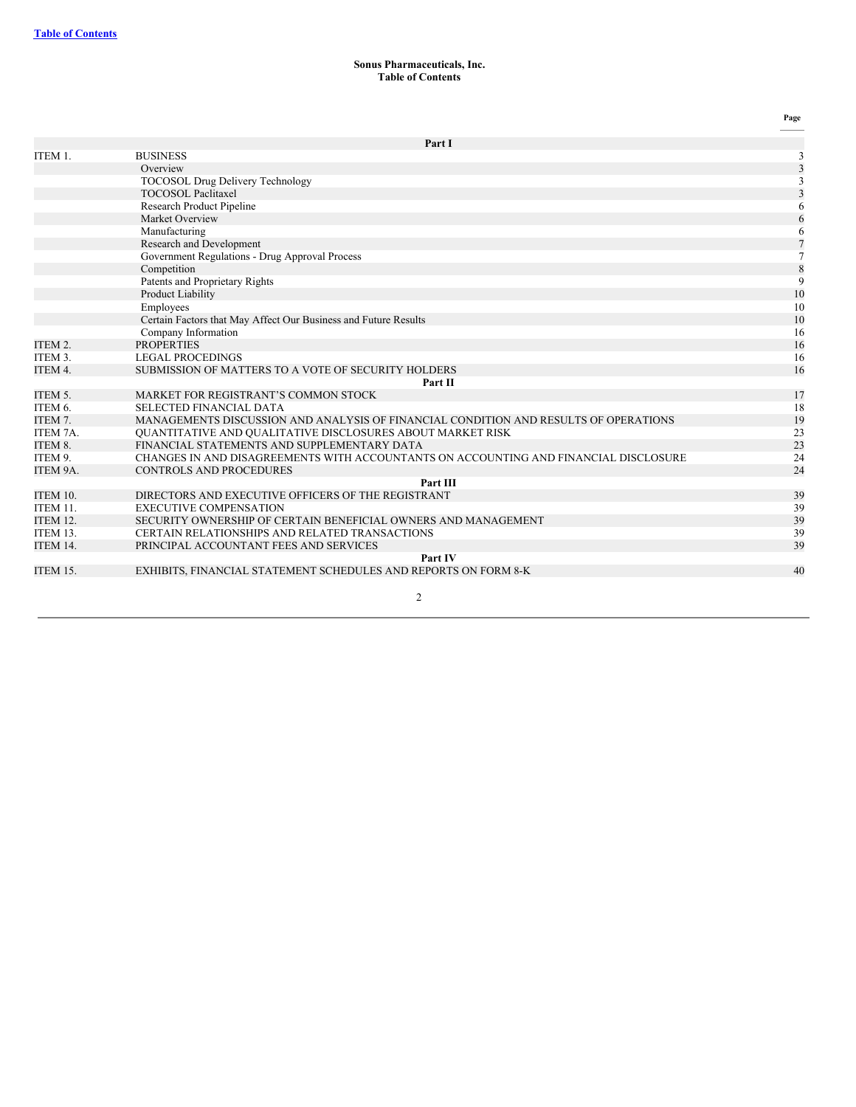# **Sonus Pharmaceuticals, Inc. Table of Contents**

|          | Part I                                                                               |                  |
|----------|--------------------------------------------------------------------------------------|------------------|
| ITEM 1.  | <b>BUSINESS</b>                                                                      | 3                |
|          | Overview                                                                             | $\mathfrak{Z}$   |
|          | <b>TOCOSOL Drug Delivery Technology</b>                                              | 3                |
|          | <b>TOCOSOL Paclitaxel</b>                                                            | 3                |
|          | Research Product Pipeline                                                            | 6                |
|          | Market Overview                                                                      | 6                |
|          | Manufacturing                                                                        | 6                |
|          | Research and Development                                                             | $\boldsymbol{7}$ |
|          | Government Regulations - Drug Approval Process                                       | $\tau$           |
|          | Competition                                                                          | $\,$ 8 $\,$      |
|          | Patents and Proprietary Rights                                                       | 9                |
|          | Product Liability                                                                    | 10               |
|          | Employees                                                                            | 10               |
|          | Certain Factors that May Affect Our Business and Future Results                      | 10               |
|          | Company Information                                                                  | 16               |
| ITEM 2.  | <b>PROPERTIES</b>                                                                    | 16               |
| ITEM 3.  | <b>LEGAL PROCEDINGS</b>                                                              | 16               |
| ITEM 4.  | SUBMISSION OF MATTERS TO A VOTE OF SECURITY HOLDERS                                  | 16               |
|          | Part II                                                                              |                  |
| ITEM 5.  | MARKET FOR REGISTRANT'S COMMON STOCK                                                 | 17               |
| ITEM 6.  | <b>SELECTED FINANCIAL DATA</b>                                                       | 18               |
| ITEM 7.  | MANAGEMENTS DISCUSSION AND ANALYSIS OF FINANCIAL CONDITION AND RESULTS OF OPERATIONS | 19               |
| ITEM 7A. | QUANTITATIVE AND QUALITATIVE DISCLOSURES ABOUT MARKET RISK                           | 23               |
| ITEM 8.  | FINANCIAL STATEMENTS AND SUPPLEMENTARY DATA                                          | 23               |
| ITEM 9.  | CHANGES IN AND DISAGREEMENTS WITH ACCOUNTANTS ON ACCOUNTING AND FINANCIAL DISCLOSURE | 24               |
| ITEM 9A. | <b>CONTROLS AND PROCEDURES</b>                                                       | 24               |
|          | Part III                                                                             |                  |
| ITEM 10. | DIRECTORS AND EXECUTIVE OFFICERS OF THE REGISTRANT                                   | 39               |
| ITEM 11. | <b>EXECUTIVE COMPENSATION</b>                                                        | 39               |
| ITEM 12. | SECURITY OWNERSHIP OF CERTAIN BENEFICIAL OWNERS AND MANAGEMENT                       | 39               |
| ITEM 13. | CERTAIN RELATIONSHIPS AND RELATED TRANSACTIONS                                       | 39               |
| ITEM 14. | PRINCIPAL ACCOUNTANT FEES AND SERVICES                                               | 39               |
|          | Part IV                                                                              |                  |
| ITEM 15. | EXHIBITS, FINANCIAL STATEMENT SCHEDULES AND REPORTS ON FORM 8-K                      | 40               |
|          |                                                                                      |                  |

**Page**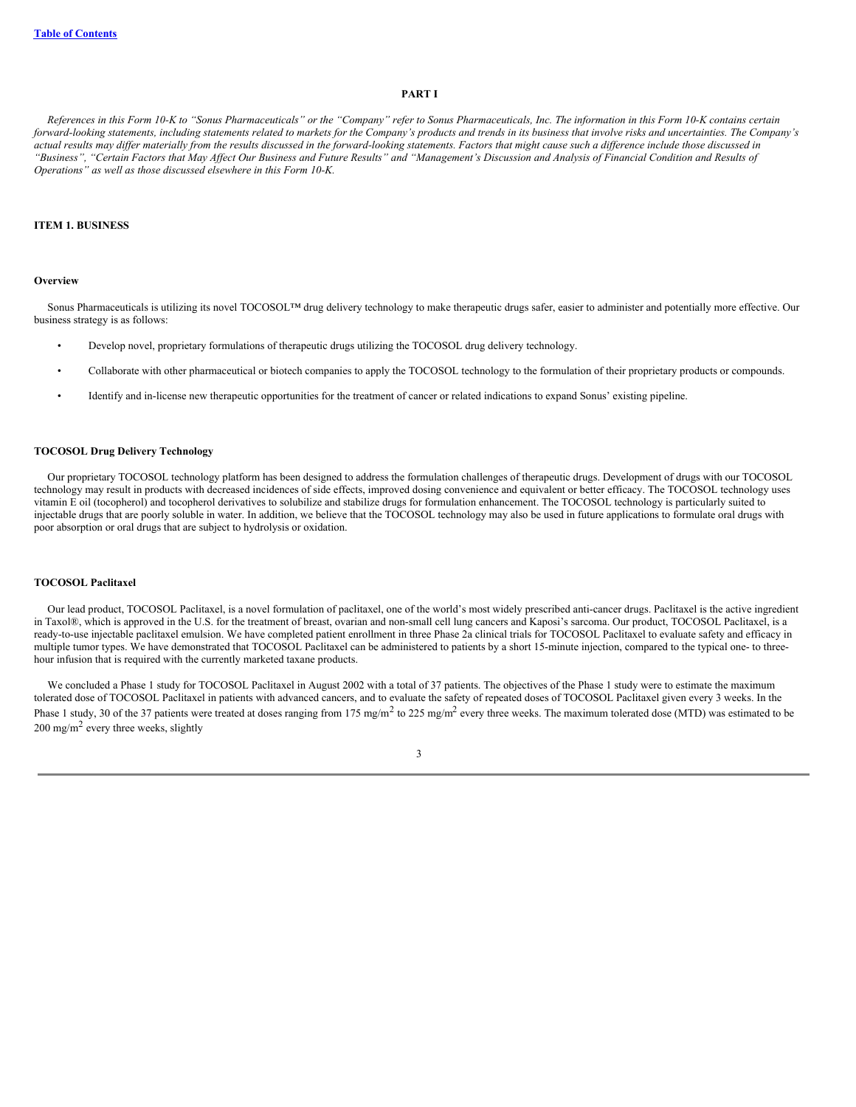# **PART I**

<span id="page-3-0"></span>References in this Form 10-K to "Sonus Pharmaceuticals" or the "Company" refer to Sonus Pharmaceuticals, Inc. The information in this Form 10-K contains certain forward-looking statements, including statements related to markets for the Company's products and trends in its business that involve risks and uncertainties. The Company's actual results may differ materially from the results discussed in the forward-looking statements. Factors that might cause such a difference include those discussed in "Business", "Certain Factors that May Affect Our Business and Future Results" and "Management's Discussion and Analysis of Financial Condition and Results of *Operations" as well as those discussed elsewhere in this Form 10-K.*

#### <span id="page-3-2"></span><span id="page-3-1"></span>**ITEM 1. BUSINESS**

#### **Overview**

Sonus Pharmaceuticals is utilizing its novel TOCOSOL™ drug delivery technology to make therapeutic drugs safer, easier to administer and potentially more effective. Our business strategy is as follows:

- Develop novel, proprietary formulations of therapeutic drugs utilizing the TOCOSOL drug delivery technology.
- Collaborate with other pharmaceutical or biotech companies to apply the TOCOSOL technology to the formulation of their proprietary products or compounds.
- Identify and in-license new therapeutic opportunities for the treatment of cancer or related indications to expand Sonus' existing pipeline.

### <span id="page-3-3"></span>**TOCOSOL Drug Delivery Technology**

Our proprietary TOCOSOL technology platform has been designed to address the formulation challenges of therapeutic drugs. Development of drugs with our TOCOSOL technology may result in products with decreased incidences of side effects, improved dosing convenience and equivalent or better efficacy. The TOCOSOL technology uses vitamin E oil (tocopherol) and tocopherol derivatives to solubilize and stabilize drugs for formulation enhancement. The TOCOSOL technology is particularly suited to injectable drugs that are poorly soluble in water. In addition, we believe that the TOCOSOL technology may also be used in future applications to formulate oral drugs with poor absorption or oral drugs that are subject to hydrolysis or oxidation.

# <span id="page-3-4"></span>**TOCOSOL Paclitaxel**

Our lead product, TOCOSOL Paclitaxel, is a novel formulation of paclitaxel, one of the world's most widely prescribed anti-cancer drugs. Paclitaxel is the active ingredient in Taxol®, which is approved in the U.S. for the treatment of breast, ovarian and non-small cell lung cancers and Kaposi's sarcoma. Our product, TOCOSOL Paclitaxel, is a ready-to-use injectable paclitaxel emulsion. We have completed patient enrollment in three Phase 2a clinical trials for TOCOSOL Paclitaxel to evaluate safety and efficacy in multiple tumor types. We have demonstrated that TOCOSOL Paclitaxel can be administered to patients by a short 15-minute injection, compared to the typical one- to threehour infusion that is required with the currently marketed taxane products.

We concluded a Phase 1 study for TOCOSOL Paclitaxel in August 2002 with a total of 37 patients. The objectives of the Phase 1 study were to estimate the maximum tolerated dose of TOCOSOL Paclitaxel in patients with advanced cancers, and to evaluate the safety of repeated doses of TOCOSOL Paclitaxel given every 3 weeks. In the Phase 1 study, 30 of the 37 patients were treated at doses ranging from 175 mg/m<sup>2</sup> to 225 mg/m<sup>2</sup> every three weeks. The maximum tolerated dose (MTD) was estimated to be  $200 \text{ mg/m}^2$  every three weeks, slightly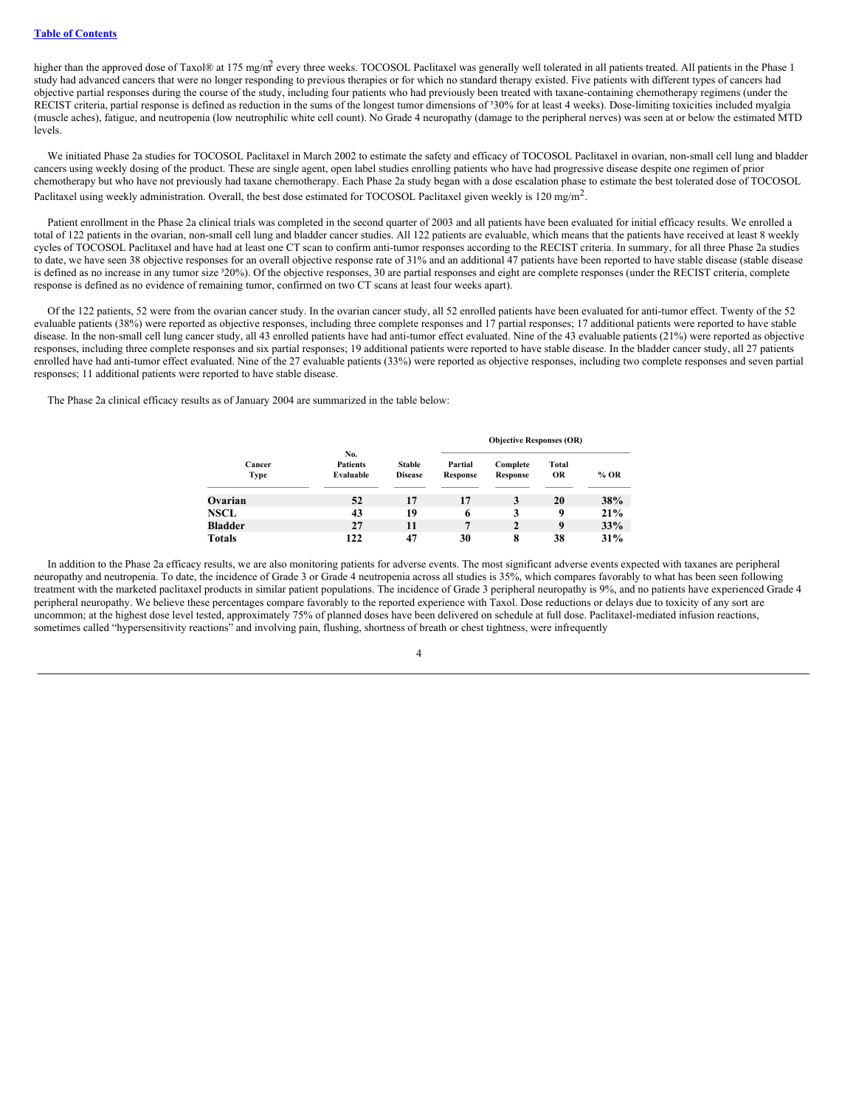higher than the approved dose of Taxol® at 175 mg/m<sup>2</sup> every three weeks. TOCOSOL Paclitaxel was generally well tolerated in all patients treated. All patients in the Phase 1 study had advanced cancers that were no longer responding to previous therapies or for which no standard therapy existed. Five patients with different types of cancers had objective partial responses during the course of the study, including four patients who had previously been treated with taxane-containing chemotherapy regimens (under the RECIST criteria, partial response is defined as reduction in the sums of the longest tumor dimensions of 330% for at least 4 weeks). Dose-limiting toxicities included myalgia (muscle aches), fatigue, and neutropenia (low neutrophilic white cell count). No Grade 4 neuropathy (damage to the peripheral nerves) was seen at or below the estimated MTD levels.

We initiated Phase 2a studies for TOCOSOL Paclitaxel in March 2002 to estimate the safety and efficacy of TOCOSOL Paclitaxel in ovarian, non-small cell lung and bladder cancers using weekly dosing of the product. These are single agent, open label studies enrolling patients who have had progressive disease despite one regimen of prior chemotherapy but who have not previously had taxane chemotherapy. Each Phase 2a study began with a dose escalation phase to estimate the best tolerated dose of TOCOSOL Paclitaxel using weekly administration. Overall, the best dose estimated for TOCOSOL Paclitaxel given weekly is  $120 \text{ mg/m}^2$ .

Patient enrollment in the Phase 2a clinical trials was completed in the second quarter of 2003 and all patients have been evaluated for initial efficacy results. We enrolled a total of 122 patients in the ovarian, non-small cell lung and bladder cancer studies. All 122 patients are evaluable, which means that the patients have received at least 8 weekly cycles of TOCOSOL Paclitaxel and have had at least one CT scan to confirm anti-tumor responses according to the RECIST criteria. In summary, for all three Phase 2a studies to date, we have seen 38 objective responses for an overall objective response rate of 31% and an additional 47 patients have been reported to have stable disease (stable disease is defined as no increase in any tumor size <sup>3</sup>20%). Of the objective responses, 30 are partial responses and eight are complete responses (under the RECIST criteria, complete response is defined as no evidence of remaining tumor, confirmed on two CT scans at least four weeks apart).

Of the 122 patients, 52 were from the ovarian cancer study. In the ovarian cancer study, all 52 enrolled patients have been evaluated for anti-tumor effect. Twenty of the 52 evaluable patients (38%) were reported as objective responses, including three complete responses and 17 partial responses; 17 additional patients were reported to have stable disease. In the non-small cell lung cancer study, all 43 enrolled patients have had anti-tumor effect evaluated. Nine of the 43 evaluable patients (21%) were reported as objective responses, including three complete responses and six partial responses; 19 additional patients were reported to have stable disease. In the bladder cancer study, all 27 patients enrolled have had anti-tumor effect evaluated. Nine of the 27 evaluable patients (33%) were reported as objective responses, including two complete responses and seven partial responses; 11 additional patients were reported to have stable disease.

The Phase 2a clinical efficacy results as of January 2004 are summarized in the table below:

| No.<br><b>Patients</b><br>Evaluable | <b>Stable</b><br><b>Disease</b> | Partial<br><b>Response</b> | Complete<br><b>Response</b> | Total<br>OR | $%$ OR                          |
|-------------------------------------|---------------------------------|----------------------------|-----------------------------|-------------|---------------------------------|
| 52                                  | 17                              | 17                         | 3                           | 20          | 38%                             |
| 43                                  | 19                              | 6                          | 3                           | 9           | 21%                             |
| 27                                  | 11                              | 7                          | $\mathbf{2}$                | 9           | 33%                             |
| 122                                 | 47                              | 30                         | 8                           | 38          | 31%                             |
|                                     |                                 |                            |                             |             | <b>Objective Responses (OR)</b> |

In addition to the Phase 2a efficacy results, we are also monitoring patients for adverse events. The most significant adverse events expected with taxanes are peripheral neuropathy and neutropenia. To date, the incidence of Grade 3 or Grade 4 neutropenia across all studies is 35%, which compares favorably to what has been seen following treatment with the marketed paclitaxel products in similar patient populations. The incidence of Grade 3 peripheral neuropathy is 9%, and no patients have experienced Grade 4 peripheral neuropathy. We believe these percentages compare favorably to the reported experience with Taxol. Dose reductions or delays due to toxicity of any sort are uncommon; at the highest dose level tested, approximately 75% of planned doses have been delivered on schedule at full dose. Paclitaxel-mediated infusion reactions, sometimes called "hypersensitivity reactions" and involving pain, flushing, shortness of breath or chest tightness, were infrequently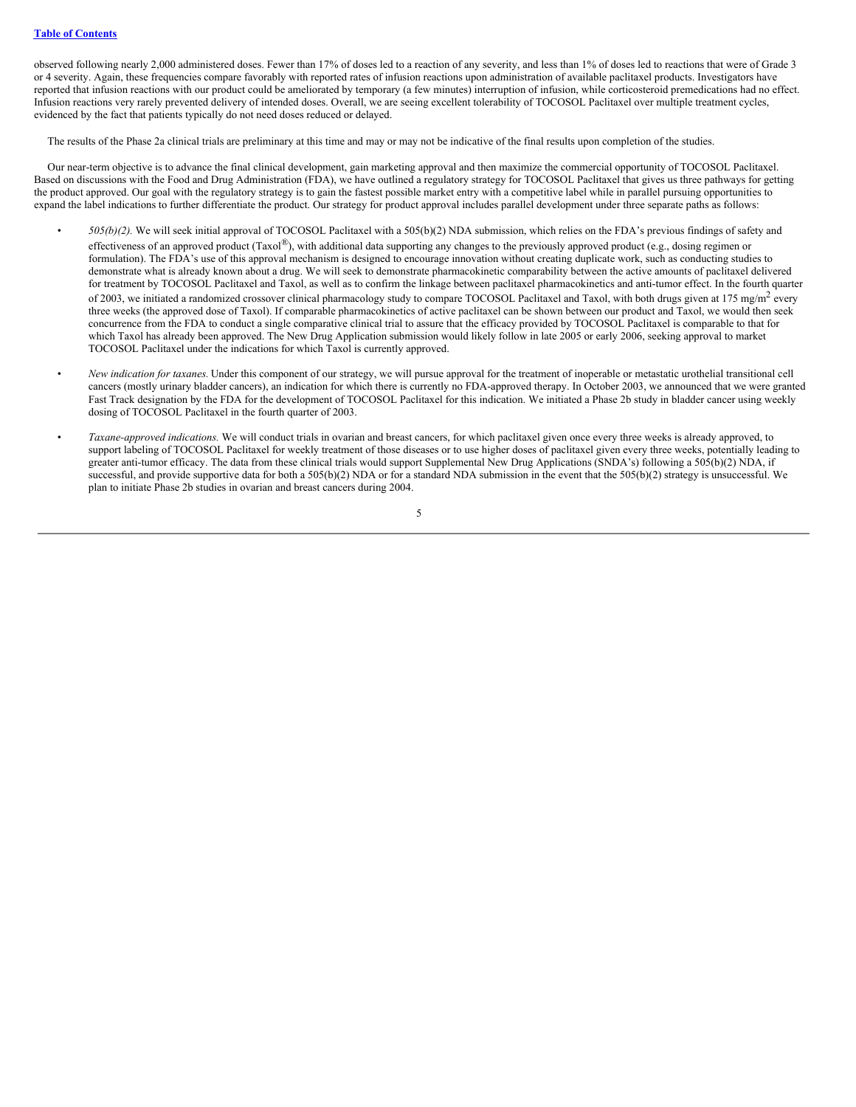observed following nearly 2,000 administered doses. Fewer than 17% of doses led to a reaction of any severity, and less than 1% of doses led to reactions that were of Grade 3 or 4 severity. Again, these frequencies compare favorably with reported rates of infusion reactions upon administration of available paclitaxel products. Investigators have reported that infusion reactions with our product could be ameliorated by temporary (a few minutes) interruption of infusion, while corticosteroid premedications had no effect. Infusion reactions very rarely prevented delivery of intended doses. Overall, we are seeing excellent tolerability of TOCOSOL Paclitaxel over multiple treatment cycles, evidenced by the fact that patients typically do not need doses reduced or delayed.

The results of the Phase 2a clinical trials are preliminary at this time and may or may not be indicative of the final results upon completion of the studies.

Our near-term objective is to advance the final clinical development, gain marketing approval and then maximize the commercial opportunity of TOCOSOL Paclitaxel. Based on discussions with the Food and Drug Administration (FDA), we have outlined a regulatory strategy for TOCOSOL Paclitaxel that gives us three pathways for getting the product approved. Our goal with the regulatory strategy is to gain the fastest possible market entry with a competitive label while in parallel pursuing opportunities to expand the label indications to further differentiate the product. Our strategy for product approval includes parallel development under three separate paths as follows:

- *505(b)(2).* We will seek initial approval of TOCOSOL Paclitaxel with a 505(b)(2) NDA submission, which relies on the FDA's previous findings of safety and effectiveness of an approved product (Taxol®), with additional data supporting any changes to the previously approved product (e.g., dosing regimen or formulation). The FDA's use of this approval mechanism is designed to encourage innovation without creating duplicate work, such as conducting studies to demonstrate what is already known about a drug. We will seek to demonstrate pharmacokinetic comparability between the active amounts of paclitaxel delivered for treatment by TOCOSOL Paclitaxel and Taxol, as well as to confirm the linkage between paclitaxel pharmacokinetics and anti-tumor effect. In the fourth quarter of 2003, we initiated a randomized crossover clinical pharmacology study to compare TOCOSOL Paclitaxel and Taxol, with both drugs given at 175 mg/m<sup>2</sup> every three weeks (the approved dose of Taxol). If comparable pharmacokinetics of active paclitaxel can be shown between our product and Taxol, we would then seek concurrence from the FDA to conduct a single comparative clinical trial to assure that the efficacy provided by TOCOSOL Paclitaxel is comparable to that for which Taxol has already been approved. The New Drug Application submission would likely follow in late 2005 or early 2006, seeking approval to market TOCOSOL Paclitaxel under the indications for which Taxol is currently approved.
- *New indication for taxanes.* Under this component of our strategy, we will pursue approval for the treatment of inoperable or metastatic urothelial transitional cell cancers (mostly urinary bladder cancers), an indication for which there is currently no FDA-approved therapy. In October 2003, we announced that we were granted Fast Track designation by the FDA for the development of TOCOSOL Paclitaxel for this indication. We initiated a Phase 2b study in bladder cancer using weekly dosing of TOCOSOL Paclitaxel in the fourth quarter of 2003.
- *Taxane-approved indications.* We will conduct trials in ovarian and breast cancers, for which paclitaxel given once every three weeks is already approved, to support labeling of TOCOSOL Paclitaxel for weekly treatment of those diseases or to use higher doses of paclitaxel given every three weeks, potentially leading to greater anti-tumor efficacy. The data from these clinical trials would support Supplemental New Drug Applications (SNDA's) following a 505(b)(2) NDA, if successful, and provide supportive data for both a 505(b)(2) NDA or for a standard NDA submission in the event that the 505(b)(2) strategy is unsuccessful. We plan to initiate Phase 2b studies in ovarian and breast cancers during 2004.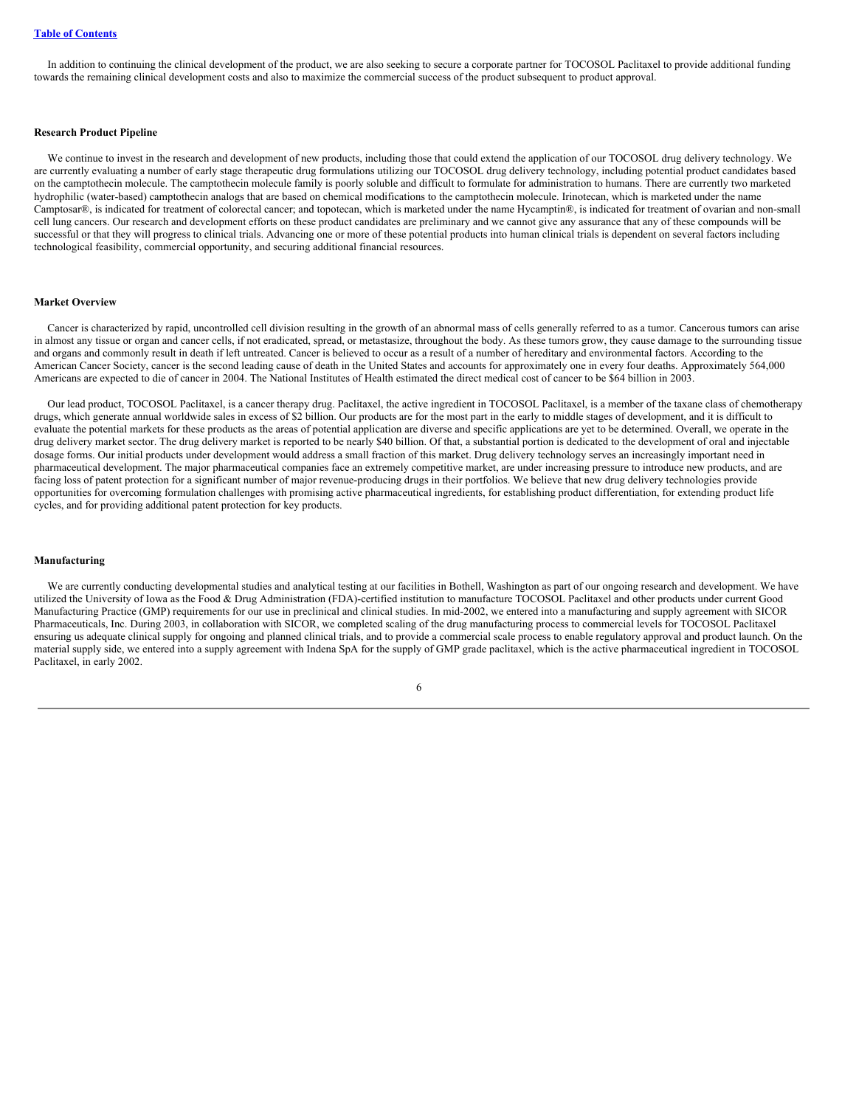In addition to continuing the clinical development of the product, we are also seeking to secure a corporate partner for TOCOSOL Paclitaxel to provide additional funding towards the remaining clinical development costs and also to maximize the commercial success of the product subsequent to product approval.

### <span id="page-6-0"></span>**Research Product Pipeline**

We continue to invest in the research and development of new products, including those that could extend the application of our TOCOSOL drug delivery technology. We are currently evaluating a number of early stage therapeutic drug formulations utilizing our TOCOSOL drug delivery technology, including potential product candidates based on the camptothecin molecule. The camptothecin molecule family is poorly soluble and difficult to formulate for administration to humans. There are currently two marketed hydrophilic (water-based) camptothecin analogs that are based on chemical modifications to the camptothecin molecule. Irinotecan, which is marketed under the name Camptosar®, is indicated for treatment of colorectal cancer; and topotecan, which is marketed under the name Hycamptin®, is indicated for treatment of ovarian and non-small cell lung cancers. Our research and development efforts on these product candidates are preliminary and we cannot give any assurance that any of these compounds will be successful or that they will progress to clinical trials. Advancing one or more of these potential products into human clinical trials is dependent on several factors including technological feasibility, commercial opportunity, and securing additional financial resources.

#### <span id="page-6-1"></span>**Market Overview**

Cancer is characterized by rapid, uncontrolled cell division resulting in the growth of an abnormal mass of cells generally referred to as a tumor. Cancerous tumors can arise in almost any tissue or organ and cancer cells, if not eradicated, spread, or metastasize, throughout the body. As these tumors grow, they cause damage to the surrounding tissue and organs and commonly result in death if left untreated. Cancer is believed to occur as a result of a number of hereditary and environmental factors. According to the American Cancer Society, cancer is the second leading cause of death in the United States and accounts for approximately one in every four deaths. Approximately 564,000 Americans are expected to die of cancer in 2004. The National Institutes of Health estimated the direct medical cost of cancer to be \$64 billion in 2003.

Our lead product, TOCOSOL Paclitaxel, is a cancer therapy drug. Paclitaxel, the active ingredient in TOCOSOL Paclitaxel, is a member of the taxane class of chemotherapy drugs, which generate annual worldwide sales in excess of \$2 billion. Our products are for the most part in the early to middle stages of development, and it is difficult to evaluate the potential markets for these products as the areas of potential application are diverse and specific applications are yet to be determined. Overall, we operate in the drug delivery market sector. The drug delivery market is reported to be nearly \$40 billion. Of that, a substantial portion is dedicated to the development of oral and injectable dosage forms. Our initial products under development would address a small fraction of this market. Drug delivery technology serves an increasingly important need in pharmaceutical development. The major pharmaceutical companies face an extremely competitive market, are under increasing pressure to introduce new products, and are facing loss of patent protection for a significant number of major revenue-producing drugs in their portfolios. We believe that new drug delivery technologies provide opportunities for overcoming formulation challenges with promising active pharmaceutical ingredients, for establishing product differentiation, for extending product life cycles, and for providing additional patent protection for key products.

### <span id="page-6-2"></span>**Manufacturing**

We are currently conducting developmental studies and analytical testing at our facilities in Bothell, Washington as part of our ongoing research and development. We have utilized the University of Iowa as the Food & Drug Administration (FDA)-certified institution to manufacture TOCOSOL Paclitaxel and other products under current Good Manufacturing Practice (GMP) requirements for our use in preclinical and clinical studies. In mid-2002, we entered into a manufacturing and supply agreement with SICOR Pharmaceuticals, Inc. During 2003, in collaboration with SICOR, we completed scaling of the drug manufacturing process to commercial levels for TOCOSOL Paclitaxel ensuring us adequate clinical supply for ongoing and planned clinical trials, and to provide a commercial scale process to enable regulatory approval and product launch. On the material supply side, we entered into a supply agreement with Indena SpA for the supply of GMP grade paclitaxel, which is the active pharmaceutical ingredient in TOCOSOL Paclitaxel, in early 2002.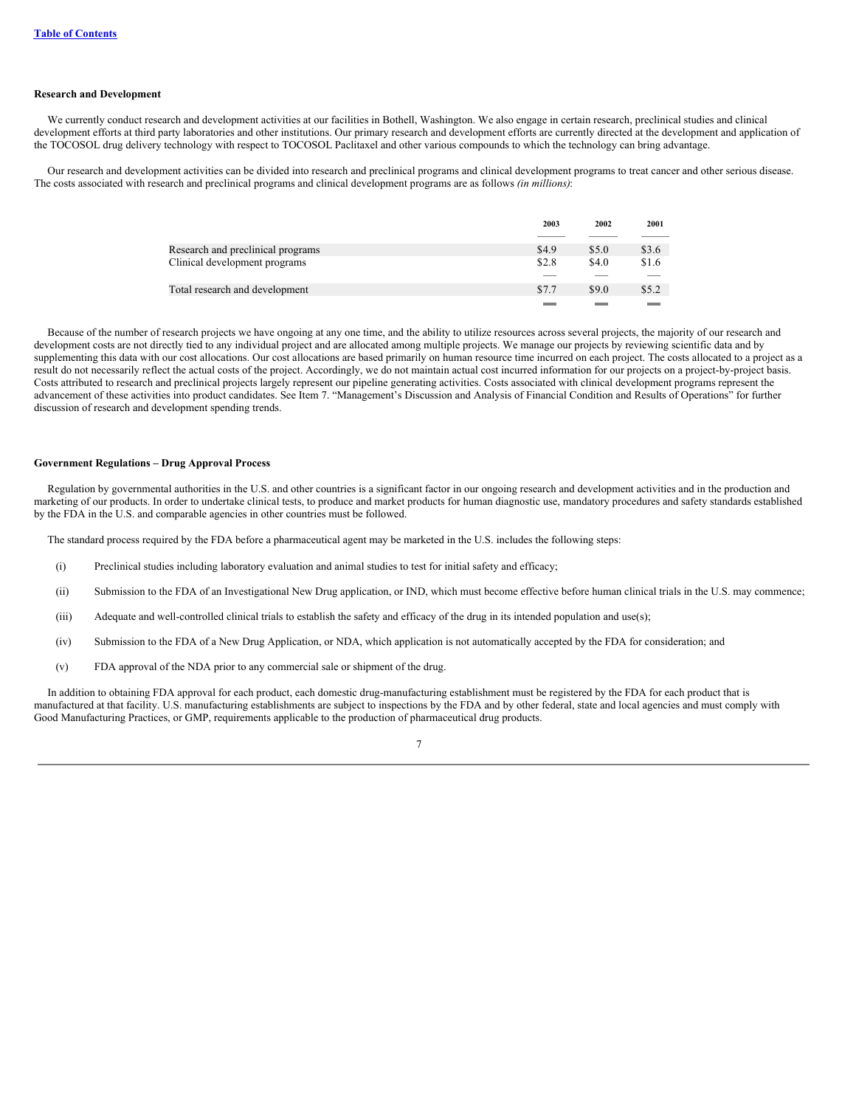#### <span id="page-7-0"></span>**Research and Development**

We currently conduct research and development activities at our facilities in Bothell, Washington. We also engage in certain research, preclinical studies and clinical development efforts at third party laboratories and other institutions. Our primary research and development efforts are currently directed at the development and application of the TOCOSOL drug delivery technology with respect to TOCOSOL Paclitaxel and other various compounds to which the technology can bring advantage.

Our research and development activities can be divided into research and preclinical programs and clinical development programs to treat cancer and other serious disease. The costs associated with research and preclinical programs and clinical development programs are as follows *(in millions)*:

|                                   | 2003  | 2002  | 2001  |
|-----------------------------------|-------|-------|-------|
|                                   |       |       |       |
| Research and preclinical programs | \$4.9 | \$5.0 | \$3.6 |
| Clinical development programs     | \$2.8 | \$4.0 | \$1.6 |
|                                   |       |       |       |
| Total research and development    | \$7.7 | \$9.0 | \$5.2 |
|                                   |       |       |       |

Because of the number of research projects we have ongoing at any one time, and the ability to utilize resources across several projects, the majority of our research and development costs are not directly tied to any individual project and are allocated among multiple projects. We manage our projects by reviewing scientific data and by supplementing this data with our cost allocations. Our cost allocations are based primarily on human resource time incurred on each project. The costs allocated to a project as a result do not necessarily reflect the actual costs of the project. Accordingly, we do not maintain actual cost incurred information for our projects on a project-by-project basis. Costs attributed to research and preclinical projects largely represent our pipeline generating activities. Costs associated with clinical development programs represent the advancement of these activities into product candidates. See Item 7. "Management's Discussion and Analysis of Financial Condition and Results of Operations" for further discussion of research and development spending trends.

#### <span id="page-7-1"></span>**Government Regulations – Drug Approval Process**

Regulation by governmental authorities in the U.S. and other countries is a significant factor in our ongoing research and development activities and in the production and marketing of our products. In order to undertake clinical tests, to produce and market products for human diagnostic use, mandatory procedures and safety standards established by the FDA in the U.S. and comparable agencies in other countries must be followed.

The standard process required by the FDA before a pharmaceutical agent may be marketed in the U.S. includes the following steps:

- (i) Preclinical studies including laboratory evaluation and animal studies to test for initial safety and efficacy;
- (ii) Submission to the FDA of an Investigational New Drug application, or IND, which must become effective before human clinical trials in the U.S. may commence;
- (iii) Adequate and well-controlled clinical trials to establish the safety and efficacy of the drug in its intended population and use(s);
- (iv) Submission to the FDA of a New Drug Application, or NDA, which application is not automatically accepted by the FDA for consideration; and
- (v) FDA approval of the NDA prior to any commercial sale or shipment of the drug.

In addition to obtaining FDA approval for each product, each domestic drug-manufacturing establishment must be registered by the FDA for each product that is manufactured at that facility. U.S. manufacturing establishments are subject to inspections by the FDA and by other federal, state and local agencies and must comply with Good Manufacturing Practices, or GMP, requirements applicable to the production of pharmaceutical drug products.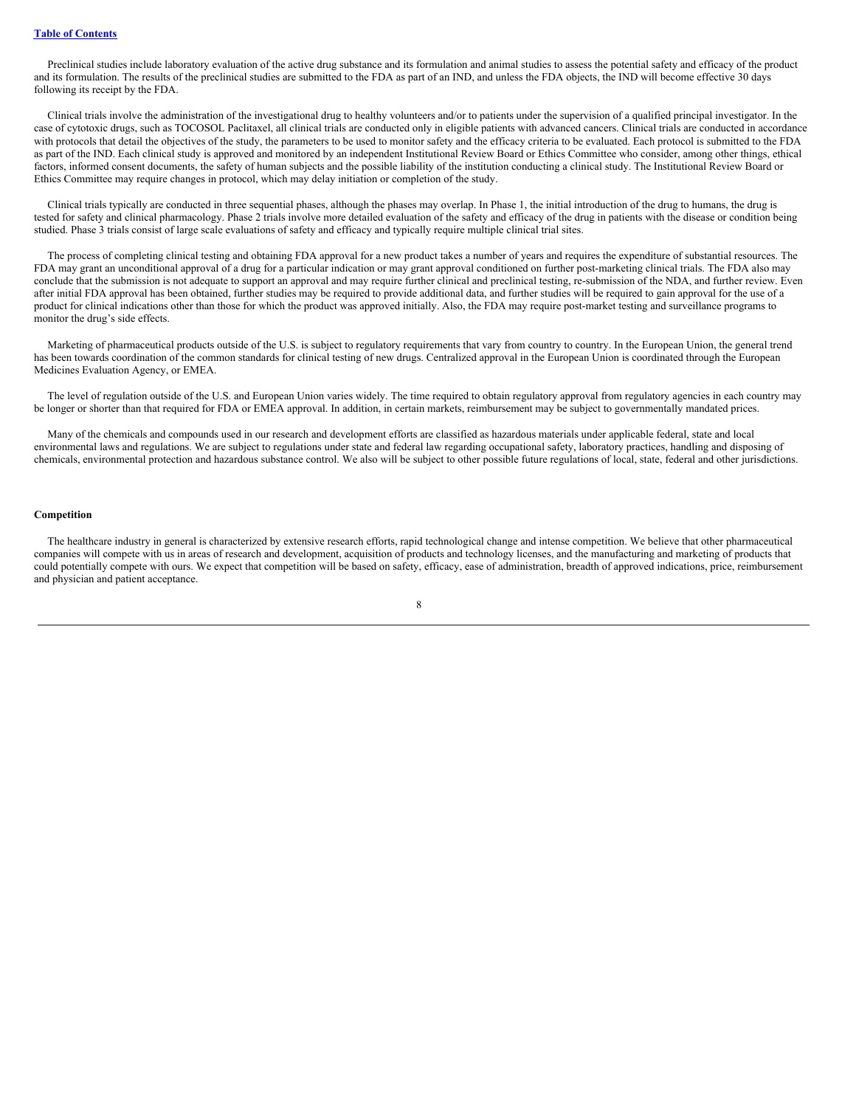Preclinical studies include laboratory evaluation of the active drug substance and its formulation and animal studies to assess the potential safety and efficacy of the product and its formulation. The results of the preclinical studies are submitted to the FDA as part of an IND, and unless the FDA objects, the IND will become effective 30 days following its receipt by the FDA.

Clinical trials involve the administration of the investigational drug to healthy volunteers and/or to patients under the supervision of a qualified principal investigator. In the case of cytotoxic drugs, such as TOCOSOL Paclitaxel, all clinical trials are conducted only in eligible patients with advanced cancers. Clinical trials are conducted in accordance with protocols that detail the objectives of the study, the parameters to be used to monitor safety and the efficacy criteria to be evaluated. Each protocol is submitted to the FDA as part of the IND. Each clinical study is approved and monitored by an independent Institutional Review Board or Ethics Committee who consider, among other things, ethical factors, informed consent documents, the safety of human subjects and the possible liability of the institution conducting a clinical study. The Institutional Review Board or Ethics Committee may require changes in protocol, which may delay initiation or completion of the study.

Clinical trials typically are conducted in three sequential phases, although the phases may overlap. In Phase 1, the initial introduction of the drug to humans, the drug is tested for safety and clinical pharmacology. Phase 2 trials involve more detailed evaluation of the safety and efficacy of the drug in patients with the disease or condition being studied. Phase 3 trials consist of large scale evaluations of safety and efficacy and typically require multiple clinical trial sites.

The process of completing clinical testing and obtaining FDA approval for a new product takes a number of years and requires the expenditure of substantial resources. The FDA may grant an unconditional approval of a drug for a particular indication or may grant approval conditioned on further post-marketing clinical trials. The FDA also may conclude that the submission is not adequate to support an approval and may require further clinical and preclinical testing, re-submission of the NDA, and further review. Even after initial FDA approval has been obtained, further studies may be required to provide additional data, and further studies will be required to gain approval for the use of a product for clinical indications other than those for which the product was approved initially. Also, the FDA may require post-market testing and surveillance programs to monitor the drug's side effects.

Marketing of pharmaceutical products outside of the U.S. is subject to regulatory requirements that vary from country to country. In the European Union, the general trend has been towards coordination of the common standards for clinical testing of new drugs. Centralized approval in the European Union is coordinated through the European Medicines Evaluation Agency, or EMEA.

The level of regulation outside of the U.S. and European Union varies widely. The time required to obtain regulatory approval from regulatory agencies in each country may be longer or shorter than that required for FDA or EMEA approval. In addition, in certain markets, reimbursement may be subject to governmentally mandated prices.

Many of the chemicals and compounds used in our research and development efforts are classified as hazardous materials under applicable federal, state and local environmental laws and regulations. We are subject to regulations under state and federal law regarding occupational safety, laboratory practices, handling and disposing of chemicals, environmental protection and hazardous substance control. We also will be subject to other possible future regulations of local, state, federal and other jurisdictions.

### <span id="page-8-0"></span>**Competition**

The healthcare industry in general is characterized by extensive research efforts, rapid technological change and intense competition. We believe that other pharmaceutical companies will compete with us in areas of research and development, acquisition of products and technology licenses, and the manufacturing and marketing of products that could potentially compete with ours. We expect that competition will be based on safety, efficacy, ease of administration, breadth of approved indications, price, reimbursement and physician and patient acceptance.

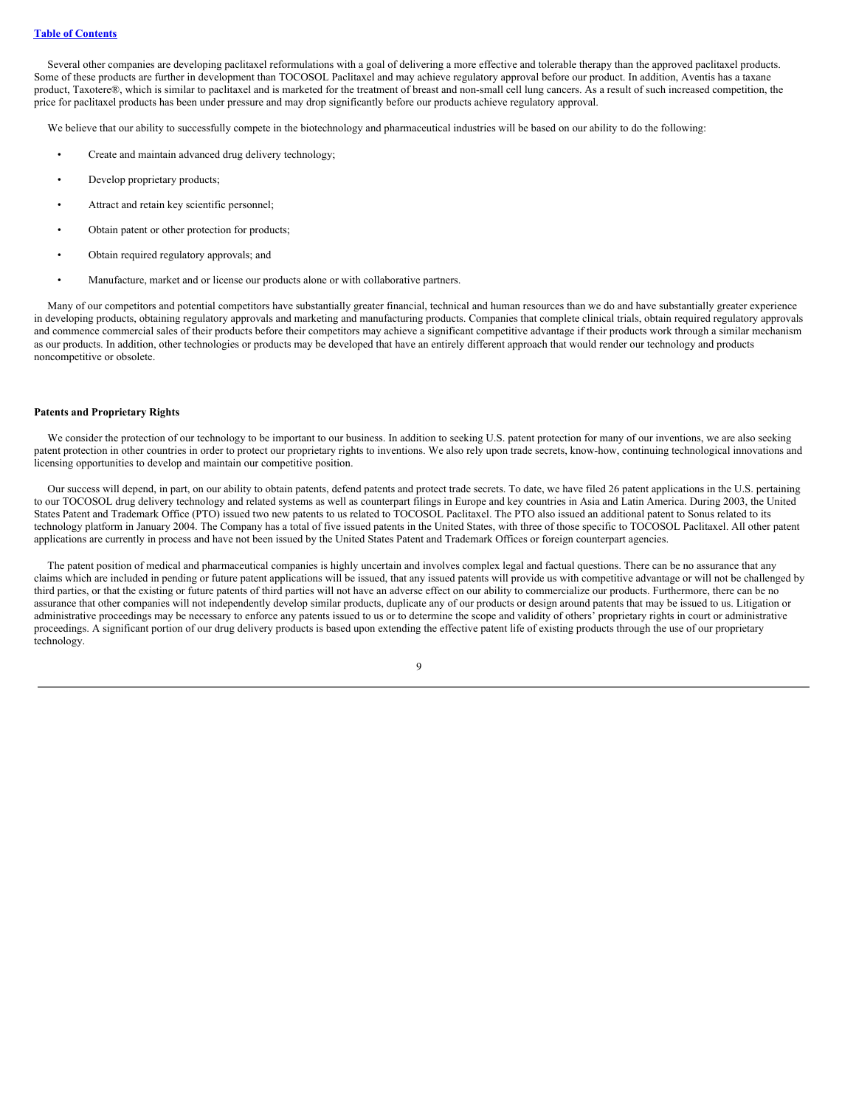Several other companies are developing paclitaxel reformulations with a goal of delivering a more effective and tolerable therapy than the approved paclitaxel products. Some of these products are further in development than TOCOSOL Paclitaxel and may achieve regulatory approval before our product. In addition, Aventis has a taxane product, Taxotere®, which is similar to paclitaxel and is marketed for the treatment of breast and non-small cell lung cancers. As a result of such increased competition, the price for paclitaxel products has been under pressure and may drop significantly before our products achieve regulatory approval.

We believe that our ability to successfully compete in the biotechnology and pharmaceutical industries will be based on our ability to do the following:

- Create and maintain advanced drug delivery technology;
- Develop proprietary products;
- Attract and retain key scientific personnel;
- Obtain patent or other protection for products;
- Obtain required regulatory approvals; and
- Manufacture, market and or license our products alone or with collaborative partners.

Many of our competitors and potential competitors have substantially greater financial, technical and human resources than we do and have substantially greater experience in developing products, obtaining regulatory approvals and marketing and manufacturing products. Companies that complete clinical trials, obtain required regulatory approvals and commence commercial sales of their products before their competitors may achieve a significant competitive advantage if their products work through a similar mechanism as our products. In addition, other technologies or products may be developed that have an entirely different approach that would render our technology and products noncompetitive or obsolete.

#### <span id="page-9-0"></span>**Patents and Proprietary Rights**

We consider the protection of our technology to be important to our business. In addition to seeking U.S. patent protection for many of our inventions, we are also seeking patent protection in other countries in order to protect our proprietary rights to inventions. We also rely upon trade secrets, know-how, continuing technological innovations and licensing opportunities to develop and maintain our competitive position.

Our success will depend, in part, on our ability to obtain patents, defend patents and protect trade secrets. To date, we have filed 26 patent applications in the U.S. pertaining to our TOCOSOL drug delivery technology and related systems as well as counterpart filings in Europe and key countries in Asia and Latin America. During 2003, the United States Patent and Trademark Office (PTO) issued two new patents to us related to TOCOSOL Paclitaxel. The PTO also issued an additional patent to Sonus related to its technology platform in January 2004. The Company has a total of five issued patents in the United States, with three of those specific to TOCOSOL Paclitaxel. All other patent applications are currently in process and have not been issued by the United States Patent and Trademark Offices or foreign counterpart agencies.

The patent position of medical and pharmaceutical companies is highly uncertain and involves complex legal and factual questions. There can be no assurance that any claims which are included in pending or future patent applications will be issued, that any issued patents will provide us with competitive advantage or will not be challenged by third parties, or that the existing or future patents of third parties will not have an adverse effect on our ability to commercialize our products. Furthermore, there can be no assurance that other companies will not independently develop similar products, duplicate any of our products or design around patents that may be issued to us. Litigation or administrative proceedings may be necessary to enforce any patents issued to us or to determine the scope and validity of others' proprietary rights in court or administrative proceedings. A significant portion of our drug delivery products is based upon extending the effective patent life of existing products through the use of our proprietary technology.

| ٧<br>۰. |    |        |   |
|---------|----|--------|---|
|         |    |        |   |
|         |    |        | I |
|         | ۰. | I<br>ł |   |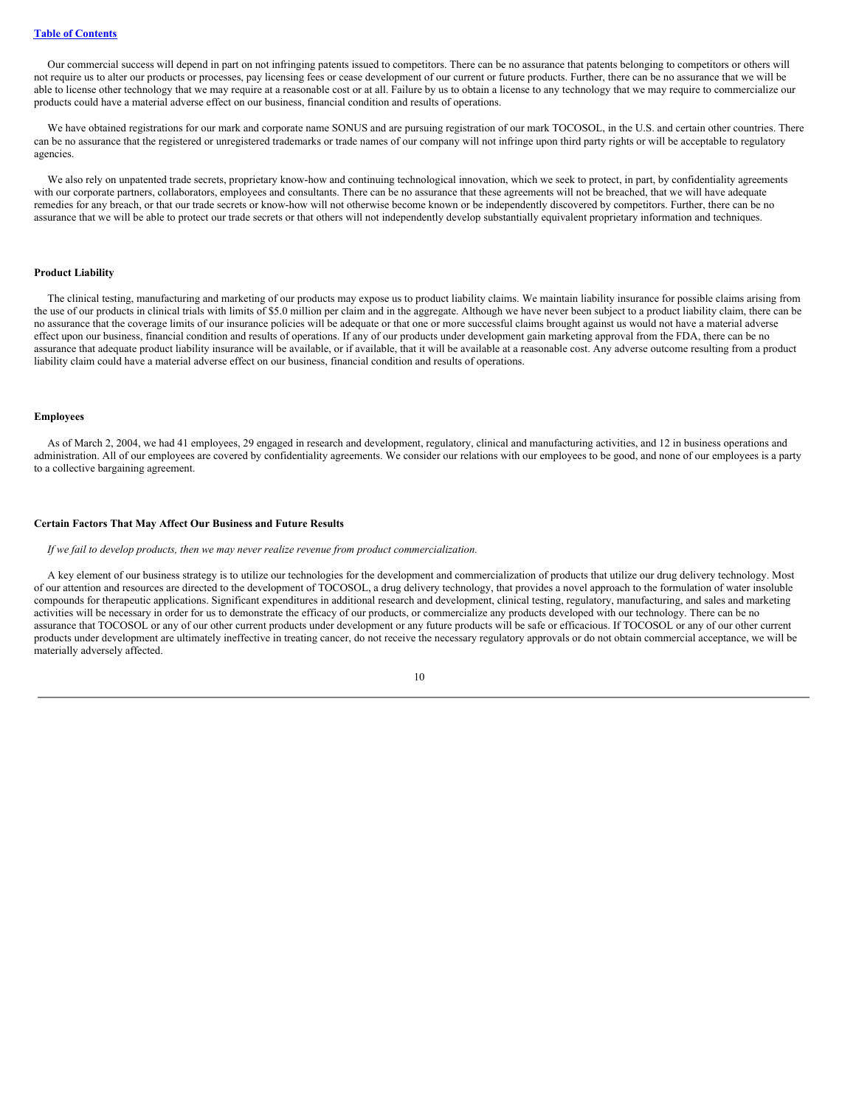Our commercial success will depend in part on not infringing patents issued to competitors. There can be no assurance that patents belonging to competitors or others will not require us to alter our products or processes, pay licensing fees or cease development of our current or future products. Further, there can be no assurance that we will be able to license other technology that we may require at a reasonable cost or at all. Failure by us to obtain a license to any technology that we may require to commercialize our products could have a material adverse effect on our business, financial condition and results of operations.

We have obtained registrations for our mark and corporate name SONUS and are pursuing registration of our mark TOCOSOL, in the U.S. and certain other countries. There can be no assurance that the registered or unregistered trademarks or trade names of our company will not infringe upon third party rights or will be acceptable to regulatory agencies.

We also rely on unpatented trade secrets, proprietary know-how and continuing technological innovation, which we seek to protect, in part, by confidentiality agreements with our corporate partners, collaborators, employees and consultants. There can be no assurance that these agreements will not be breached, that we will have adequate remedies for any breach, or that our trade secrets or know-how will not otherwise become known or be independently discovered by competitors. Further, there can be no assurance that we will be able to protect our trade secrets or that others will not independently develop substantially equivalent proprietary information and techniques.

#### <span id="page-10-0"></span>**Product Liability**

The clinical testing, manufacturing and marketing of our products may expose us to product liability claims. We maintain liability insurance for possible claims arising from the use of our products in clinical trials with limits of \$5.0 million per claim and in the aggregate. Although we have never been subject to a product liability claim, there can be no assurance that the coverage limits of our insurance policies will be adequate or that one or more successful claims brought against us would not have a material adverse effect upon our business, financial condition and results of operations. If any of our products under development gain marketing approval from the FDA, there can be no assurance that adequate product liability insurance will be available, or if available, that it will be available at a reasonable cost. Any adverse outcome resulting from a product liability claim could have a material adverse effect on our business, financial condition and results of operations.

#### <span id="page-10-1"></span>**Employees**

As of March 2, 2004, we had 41 employees, 29 engaged in research and development, regulatory, clinical and manufacturing activities, and 12 in business operations and administration. All of our employees are covered by confidentiality agreements. We consider our relations with our employees to be good, and none of our employees is a party to a collective bargaining agreement.

### <span id="page-10-2"></span>**Certain Factors That May Affect Our Business and Future Results**

#### *If we fail to develop products, then we may never realize revenue from product commercialization.*

A key element of our business strategy is to utilize our technologies for the development and commercialization of products that utilize our drug delivery technology. Most of our attention and resources are directed to the development of TOCOSOL, a drug delivery technology, that provides a novel approach to the formulation of water insoluble compounds for therapeutic applications. Significant expenditures in additional research and development, clinical testing, regulatory, manufacturing, and sales and marketing activities will be necessary in order for us to demonstrate the efficacy of our products, or commercialize any products developed with our technology. There can be no assurance that TOCOSOL or any of our other current products under development or any future products will be safe or efficacious. If TOCOSOL or any of our other current products under development are ultimately ineffective in treating cancer, do not receive the necessary regulatory approvals or do not obtain commercial acceptance, we will be materially adversely affected.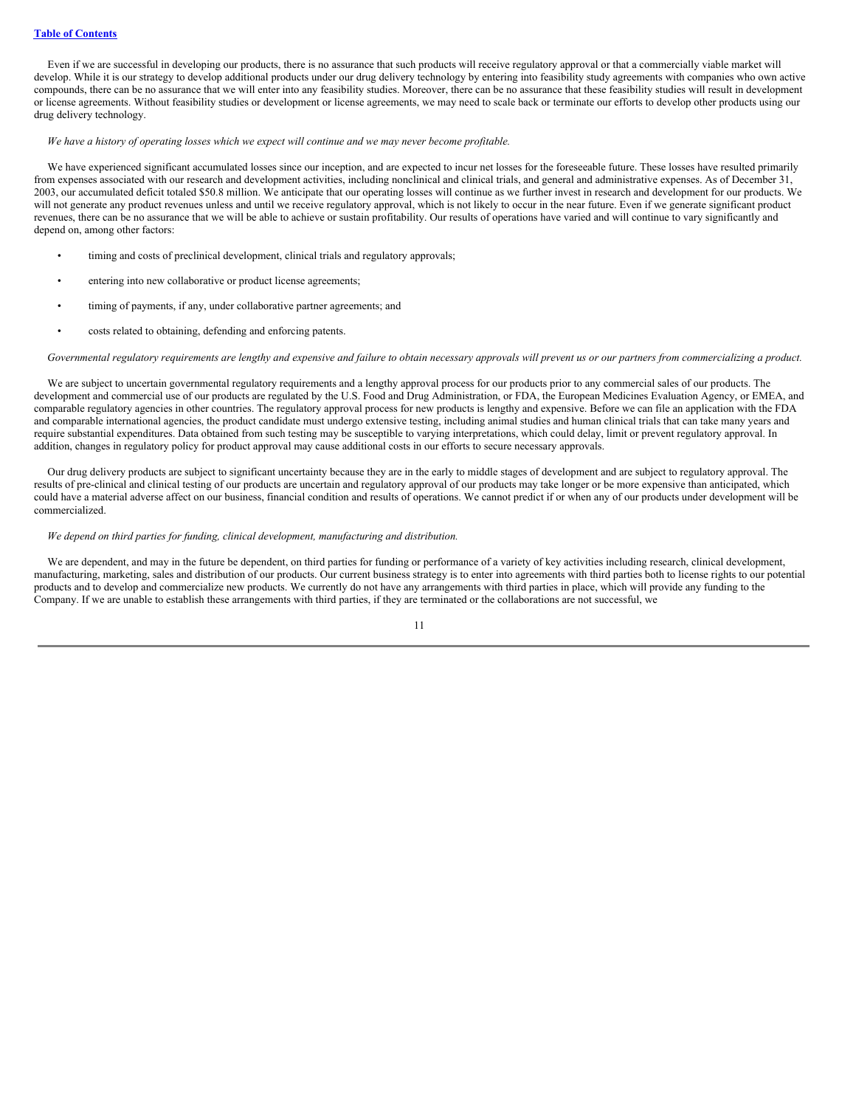Even if we are successful in developing our products, there is no assurance that such products will receive regulatory approval or that a commercially viable market will develop. While it is our strategy to develop additional products under our drug delivery technology by entering into feasibility study agreements with companies who own active compounds, there can be no assurance that we will enter into any feasibility studies. Moreover, there can be no assurance that these feasibility studies will result in development or license agreements. Without feasibility studies or development or license agreements, we may need to scale back or terminate our efforts to develop other products using our drug delivery technology.

#### We have a history of operating losses which we expect will continue and we may never become profitable.

We have experienced significant accumulated losses since our inception, and are expected to incur net losses for the foreseeable future. These losses have resulted primarily from expenses associated with our research and development activities, including nonclinical and clinical trials, and general and administrative expenses. As of December 31, 2003, our accumulated deficit totaled \$50.8 million. We anticipate that our operating losses will continue as we further invest in research and development for our products. We will not generate any product revenues unless and until we receive regulatory approval, which is not likely to occur in the near future. Even if we generate significant product revenues, there can be no assurance that we will be able to achieve or sustain profitability. Our results of operations have varied and will continue to vary significantly and depend on, among other factors:

- timing and costs of preclinical development, clinical trials and regulatory approvals;
- entering into new collaborative or product license agreements;
- timing of payments, if any, under collaborative partner agreements; and
- costs related to obtaining, defending and enforcing patents.

Governmental regulatory requirements are lengthy and expensive and failure to obtain necessary approvals will prevent us or our partners from commercializing a product.

We are subject to uncertain governmental regulatory requirements and a lengthy approval process for our products prior to any commercial sales of our products. The development and commercial use of our products are regulated by the U.S. Food and Drug Administration, or FDA, the European Medicines Evaluation Agency, or EMEA, and comparable regulatory agencies in other countries. The regulatory approval process for new products is lengthy and expensive. Before we can file an application with the FDA and comparable international agencies, the product candidate must undergo extensive testing, including animal studies and human clinical trials that can take many years and require substantial expenditures. Data obtained from such testing may be susceptible to varying interpretations, which could delay, limit or prevent regulatory approval. In addition, changes in regulatory policy for product approval may cause additional costs in our efforts to secure necessary approvals.

Our drug delivery products are subject to significant uncertainty because they are in the early to middle stages of development and are subject to regulatory approval. The results of pre-clinical and clinical testing of our products are uncertain and regulatory approval of our products may take longer or be more expensive than anticipated, which could have a material adverse affect on our business, financial condition and results of operations. We cannot predict if or when any of our products under development will be commercialized.

### *We depend on third parties for funding, clinical development, manufacturing and distribution.*

We are dependent, and may in the future be dependent, on third parties for funding or performance of a variety of key activities including research, clinical development, manufacturing, marketing, sales and distribution of our products. Our current business strategy is to enter into agreements with third parties both to license rights to our potential products and to develop and commercialize new products. We currently do not have any arrangements with third parties in place, which will provide any funding to the Company. If we are unable to establish these arrangements with third parties, if they are terminated or the collaborations are not successful, we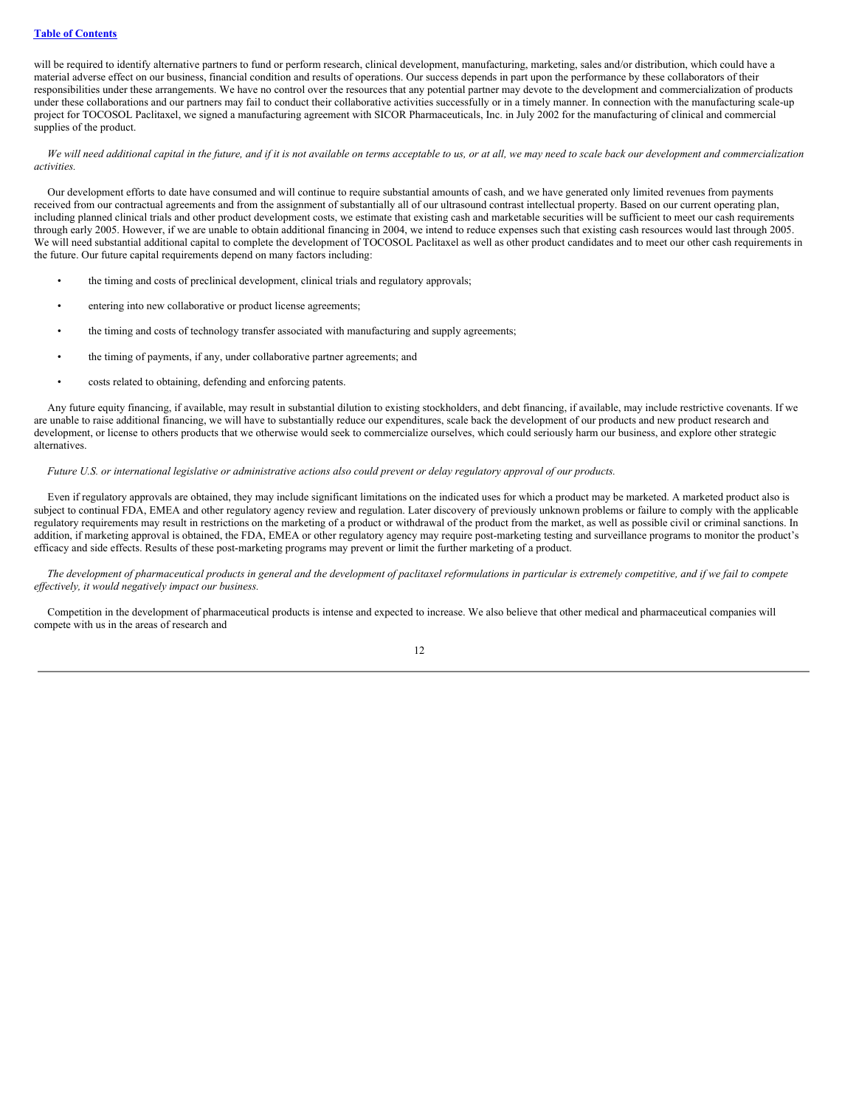#### **Table of [Contents](#page-0-0)**

will be required to identify alternative partners to fund or perform research, clinical development, manufacturing, marketing, sales and/or distribution, which could have a material adverse effect on our business, financial condition and results of operations. Our success depends in part upon the performance by these collaborators of their responsibilities under these arrangements. We have no control over the resources that any potential partner may devote to the development and commercialization of products under these collaborations and our partners may fail to conduct their collaborative activities successfully or in a timely manner. In connection with the manufacturing scale-up project for TOCOSOL Paclitaxel, we signed a manufacturing agreement with SICOR Pharmaceuticals, Inc. in July 2002 for the manufacturing of clinical and commercial supplies of the product.

We will need additional capital in the future, and if it is not available on terms acceptable to us, or at all, we may need to scale back our development and commercialization *activities.*

Our development efforts to date have consumed and will continue to require substantial amounts of cash, and we have generated only limited revenues from payments received from our contractual agreements and from the assignment of substantially all of our ultrasound contrast intellectual property. Based on our current operating plan, including planned clinical trials and other product development costs, we estimate that existing cash and marketable securities will be sufficient to meet our cash requirements through early 2005. However, if we are unable to obtain additional financing in 2004, we intend to reduce expenses such that existing cash resources would last through 2005. We will need substantial additional capital to complete the development of TOCOSOL Paclitaxel as well as other product candidates and to meet our other cash requirements in the future. Our future capital requirements depend on many factors including:

- the timing and costs of preclinical development, clinical trials and regulatory approvals;
- entering into new collaborative or product license agreements;
- the timing and costs of technology transfer associated with manufacturing and supply agreements;
- the timing of payments, if any, under collaborative partner agreements; and
- costs related to obtaining, defending and enforcing patents.

Any future equity financing, if available, may result in substantial dilution to existing stockholders, and debt financing, if available, may include restrictive covenants. If we are unable to raise additional financing, we will have to substantially reduce our expenditures, scale back the development of our products and new product research and development, or license to others products that we otherwise would seek to commercialize ourselves, which could seriously harm our business, and explore other strategic alternatives.

#### Future U.S. or international legislative or administrative actions also could prevent or delay regulatory approval of our products.

Even if regulatory approvals are obtained, they may include significant limitations on the indicated uses for which a product may be marketed. A marketed product also is subject to continual FDA, EMEA and other regulatory agency review and regulation. Later discovery of previously unknown problems or failure to comply with the applicable regulatory requirements may result in restrictions on the marketing of a product or withdrawal of the product from the market, as well as possible civil or criminal sanctions. In addition, if marketing approval is obtained, the FDA, EMEA or other regulatory agency may require post-marketing testing and surveillance programs to monitor the product's efficacy and side effects. Results of these post-marketing programs may prevent or limit the further marketing of a product.

The development of pharmaceutical products in general and the development of paclitaxel reformulations in particular is extremely competitive, and if we fail to compete *ef ectively, it would negatively impact our business.*

Competition in the development of pharmaceutical products is intense and expected to increase. We also believe that other medical and pharmaceutical companies will compete with us in the areas of research and

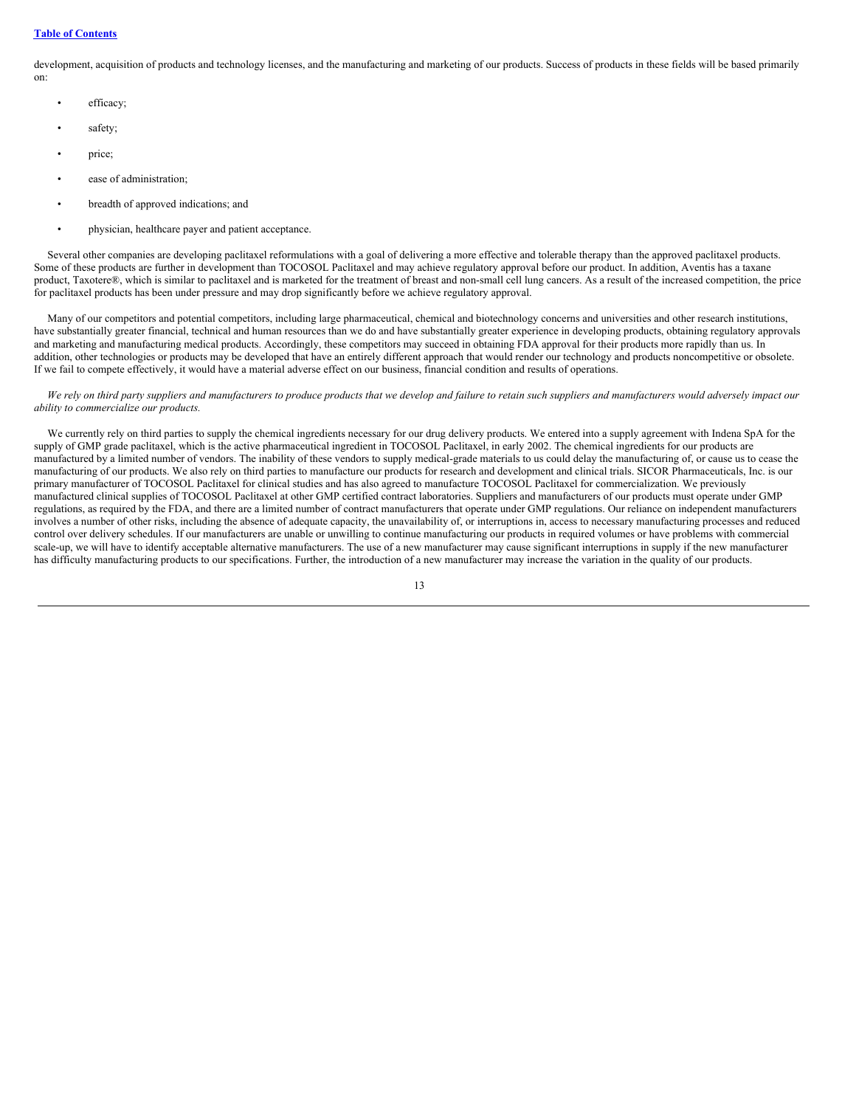### **Table of [Contents](#page-0-0)**

development, acquisition of products and technology licenses, and the manufacturing and marketing of our products. Success of products in these fields will be based primarily on:

- efficacy;
- safety;
- price;
- ease of administration:
- breadth of approved indications; and
- physician, healthcare payer and patient acceptance.

Several other companies are developing paclitaxel reformulations with a goal of delivering a more effective and tolerable therapy than the approved paclitaxel products. Some of these products are further in development than TOCOSOL Paclitaxel and may achieve regulatory approval before our product. In addition, Aventis has a taxane product, Taxotere®, which is similar to paclitaxel and is marketed for the treatment of breast and non-small cell lung cancers. As a result of the increased competition, the price for paclitaxel products has been under pressure and may drop significantly before we achieve regulatory approval.

Many of our competitors and potential competitors, including large pharmaceutical, chemical and biotechnology concerns and universities and other research institutions, have substantially greater financial, technical and human resources than we do and have substantially greater experience in developing products, obtaining regulatory approvals and marketing and manufacturing medical products. Accordingly, these competitors may succeed in obtaining FDA approval for their products more rapidly than us. In addition, other technologies or products may be developed that have an entirely different approach that would render our technology and products noncompetitive or obsolete. If we fail to compete effectively, it would have a material adverse effect on our business, financial condition and results of operations.

#### We rely on third party suppliers and manufacturers to produce products that we develop and failure to retain such suppliers and manufacturers would adversely impact our *ability to commercialize our products.*

We currently rely on third parties to supply the chemical ingredients necessary for our drug delivery products. We entered into a supply agreement with Indena SpA for the supply of GMP grade paclitaxel, which is the active pharmaceutical ingredient in TOCOSOL Paclitaxel, in early 2002. The chemical ingredients for our products are manufactured by a limited number of vendors. The inability of these vendors to supply medical-grade materials to us could delay the manufacturing of, or cause us to cease the manufacturing of our products. We also rely on third parties to manufacture our products for research and development and clinical trials. SICOR Pharmaceuticals, Inc. is our primary manufacturer of TOCOSOL Paclitaxel for clinical studies and has also agreed to manufacture TOCOSOL Paclitaxel for commercialization. We previously manufactured clinical supplies of TOCOSOL Paclitaxel at other GMP certified contract laboratories. Suppliers and manufacturers of our products must operate under GMP regulations, as required by the FDA, and there are a limited number of contract manufacturers that operate under GMP regulations. Our reliance on independent manufacturers involves a number of other risks, including the absence of adequate capacity, the unavailability of, or interruptions in, access to necessary manufacturing processes and reduced control over delivery schedules. If our manufacturers are unable or unwilling to continue manufacturing our products in required volumes or have problems with commercial scale-up, we will have to identify acceptable alternative manufacturers. The use of a new manufacturer may cause significant interruptions in supply if the new manufacturer has difficulty manufacturing products to our specifications. Further, the introduction of a new manufacturer may increase the variation in the quality of our products.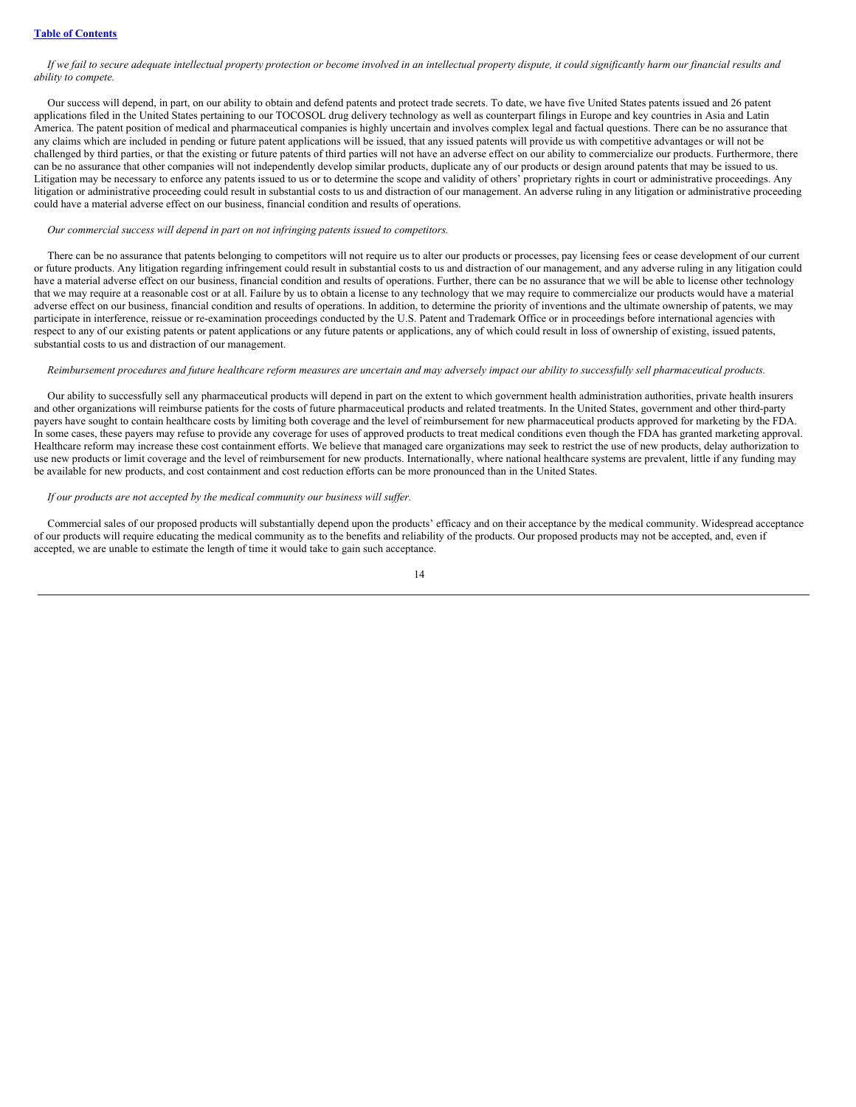### If we fail to secure adequate intellectual property protection or become involved in an intellectual property dispute, it could significantly harm our financial results and *ability to compete.*

Our success will depend, in part, on our ability to obtain and defend patents and protect trade secrets. To date, we have five United States patents issued and 26 patent applications filed in the United States pertaining to our TOCOSOL drug delivery technology as well as counterpart filings in Europe and key countries in Asia and Latin America. The patent position of medical and pharmaceutical companies is highly uncertain and involves complex legal and factual questions. There can be no assurance that any claims which are included in pending or future patent applications will be issued, that any issued patents will provide us with competitive advantages or will not be challenged by third parties, or that the existing or future patents of third parties will not have an adverse effect on our ability to commercialize our products. Furthermore, there can be no assurance that other companies will not independently develop similar products, duplicate any of our products or design around patents that may be issued to us. Litigation may be necessary to enforce any patents issued to us or to determine the scope and validity of others' proprietary rights in court or administrative proceedings. Any litigation or administrative proceeding could result in substantial costs to us and distraction of our management. An adverse ruling in any litigation or administrative proceeding could have a material adverse effect on our business, financial condition and results of operations.

### *Our commercial success will depend in part on not infringing patents issued to competitors.*

There can be no assurance that patents belonging to competitors will not require us to alter our products or processes, pay licensing fees or cease development of our current or future products. Any litigation regarding infringement could result in substantial costs to us and distraction of our management, and any adverse ruling in any litigation could have a material adverse effect on our business, financial condition and results of operations. Further, there can be no assurance that we will be able to license other technology that we may require at a reasonable cost or at all. Failure by us to obtain a license to any technology that we may require to commercialize our products would have a material adverse effect on our business, financial condition and results of operations. In addition, to determine the priority of inventions and the ultimate ownership of patents, we may participate in interference, reissue or re-examination proceedings conducted by the U.S. Patent and Trademark Office or in proceedings before international agencies with respect to any of our existing patents or patent applications or any future patents or applications, any of which could result in loss of ownership of existing, issued patents, substantial costs to us and distraction of our management.

#### Reimbursement procedures and future healthcare reform measures are uncertain and may adversely impact our ability to successfully sell pharmaceutical products.

Our ability to successfully sell any pharmaceutical products will depend in part on the extent to which government health administration authorities, private health insurers and other organizations will reimburse patients for the costs of future pharmaceutical products and related treatments. In the United States, government and other third-party payers have sought to contain healthcare costs by limiting both coverage and the level of reimbursement for new pharmaceutical products approved for marketing by the FDA. In some cases, these payers may refuse to provide any coverage for uses of approved products to treat medical conditions even though the FDA has granted marketing approval. Healthcare reform may increase these cost containment efforts. We believe that managed care organizations may seek to restrict the use of new products, delay authorization to use new products or limit coverage and the level of reimbursement for new products. Internationally, where national healthcare systems are prevalent, little if any funding may be available for new products, and cost containment and cost reduction efforts can be more pronounced than in the United States.

### *If our products are not accepted by the medical community our business will suf er.*

Commercial sales of our proposed products will substantially depend upon the products' efficacy and on their acceptance by the medical community. Widespread acceptance of our products will require educating the medical community as to the benefits and reliability of the products. Our proposed products may not be accepted, and, even if accepted, we are unable to estimate the length of time it would take to gain such acceptance.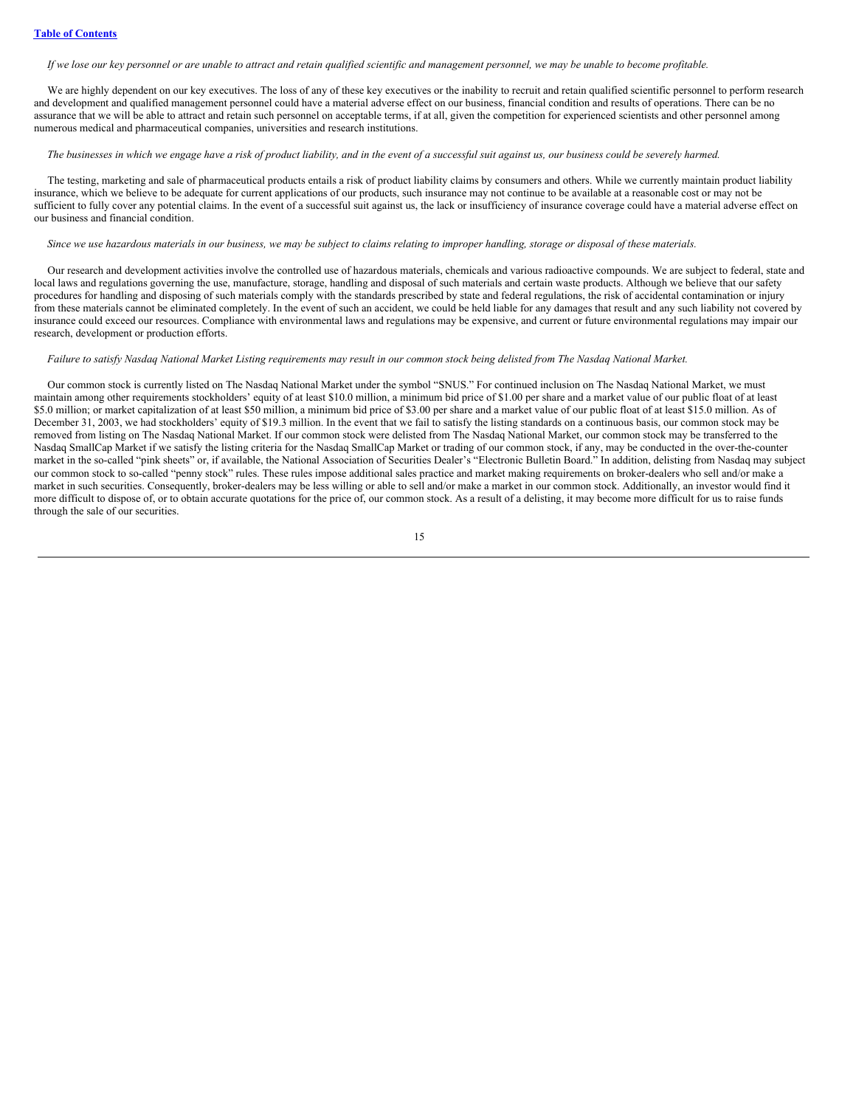#### If we lose our key personnel or are unable to attract and retain qualified scientific and management personnel, we may be unable to become profitable.

We are highly dependent on our key executives. The loss of any of these key executives or the inability to recruit and retain qualified scientific personnel to perform research and development and qualified management personnel could have a material adverse effect on our business, financial condition and results of operations. There can be no assurance that we will be able to attract and retain such personnel on acceptable terms, if at all, given the competition for experienced scientists and other personnel among numerous medical and pharmaceutical companies, universities and research institutions.

### The businesses in which we engage have a risk of product liability, and in the event of a successful suit against us, our business could be severely harmed.

The testing, marketing and sale of pharmaceutical products entails a risk of product liability claims by consumers and others. While we currently maintain product liability insurance, which we believe to be adequate for current applications of our products, such insurance may not continue to be available at a reasonable cost or may not be sufficient to fully cover any potential claims. In the event of a successful suit against us, the lack or insufficiency of insurance coverage could have a material adverse effect on our business and financial condition.

## Since we use hazardous materials in our business, we may be subject to claims relating to improper handling, storage or disposal of these materials.

Our research and development activities involve the controlled use of hazardous materials, chemicals and various radioactive compounds. We are subject to federal, state and local laws and regulations governing the use, manufacture, storage, handling and disposal of such materials and certain waste products. Although we believe that our safety procedures for handling and disposing of such materials comply with the standards prescribed by state and federal regulations, the risk of accidental contamination or injury from these materials cannot be eliminated completely. In the event of such an accident, we could be held liable for any damages that result and any such liability not covered by insurance could exceed our resources. Compliance with environmental laws and regulations may be expensive, and current or future environmental regulations may impair our research, development or production efforts.

## Failure to satisfy Nasdaq National Market Listing requirements may result in our common stock being delisted from The Nasdaq National Market.

Our common stock is currently listed on The Nasdaq National Market under the symbol "SNUS." For continued inclusion on The Nasdaq National Market, we must maintain among other requirements stockholders' equity of at least \$10.0 million, a minimum bid price of \$1.00 per share and a market value of our public float of at least \$5.0 million; or market capitalization of at least \$50 million, a minimum bid price of \$3.00 per share and a market value of our public float of at least \$15.0 million. As of December 31, 2003, we had stockholders' equity of \$19.3 million. In the event that we fail to satisfy the listing standards on a continuous basis, our common stock may be removed from listing on The Nasdaq National Market. If our common stock were delisted from The Nasdaq National Market, our common stock may be transferred to the Nasdaq SmallCap Market if we satisfy the listing criteria for the Nasdaq SmallCap Market or trading of our common stock, if any, may be conducted in the over-the-counter market in the so-called "pink sheets" or, if available, the National Association of Securities Dealer's "Electronic Bulletin Board." In addition, delisting from Nasdaq may subject our common stock to so-called "penny stock" rules. These rules impose additional sales practice and market making requirements on broker-dealers who sell and/or make a market in such securities. Consequently, broker-dealers may be less willing or able to sell and/or make a market in our common stock. Additionally, an investor would find it more difficult to dispose of, or to obtain accurate quotations for the price of, our common stock. As a result of a delisting, it may become more difficult for us to raise funds through the sale of our securities.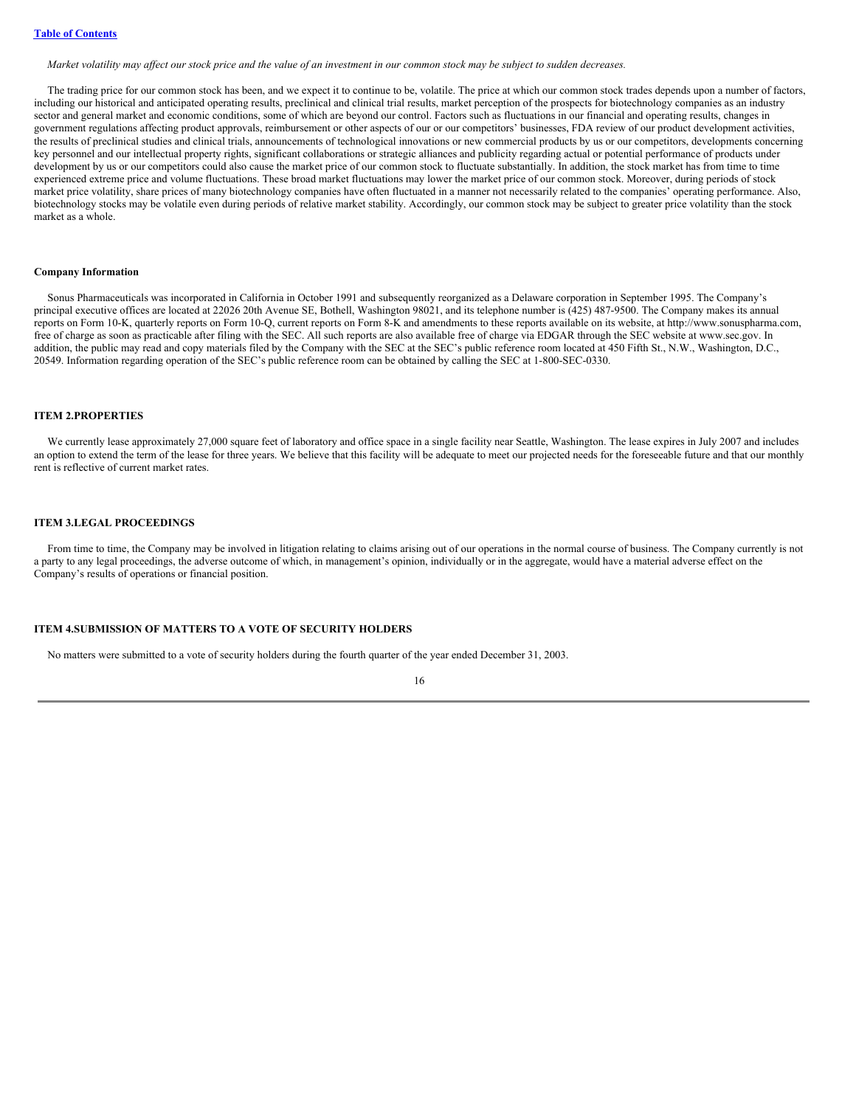Market volatility may affect our stock price and the value of an investment in our common stock may be subject to sudden decreases.

The trading price for our common stock has been, and we expect it to continue to be, volatile. The price at which our common stock trades depends upon a number of factors, including our historical and anticipated operating results, preclinical and clinical trial results, market perception of the prospects for biotechnology companies as an industry sector and general market and economic conditions, some of which are beyond our control. Factors such as fluctuations in our financial and operating results, changes in government regulations affecting product approvals, reimbursement or other aspects of our or our competitors' businesses, FDA review of our product development activities, the results of preclinical studies and clinical trials, announcements of technological innovations or new commercial products by us or our competitors, developments concerning key personnel and our intellectual property rights, significant collaborations or strategic alliances and publicity regarding actual or potential performance of products under development by us or our competitors could also cause the market price of our common stock to fluctuate substantially. In addition, the stock market has from time to time experienced extreme price and volume fluctuations. These broad market fluctuations may lower the market price of our common stock. Moreover, during periods of stock market price volatility, share prices of many biotechnology companies have often fluctuated in a manner not necessarily related to the companies' operating performance. Also, biotechnology stocks may be volatile even during periods of relative market stability. Accordingly, our common stock may be subject to greater price volatility than the stock market as a whole.

#### <span id="page-16-0"></span>**Company Information**

Sonus Pharmaceuticals was incorporated in California in October 1991 and subsequently reorganized as a Delaware corporation in September 1995. The Company's principal executive offices are located at 22026 20th Avenue SE, Bothell, Washington 98021, and its telephone number is (425) 487-9500. The Company makes its annual reports on Form 10-K, quarterly reports on Form 10-Q, current reports on Form 8-K and amendments to these reports available on its website, at http://www.sonuspharma.com, free of charge as soon as practicable after filing with the SEC. All such reports are also available free of charge via EDGAR through the SEC website at www.sec.gov. In addition, the public may read and copy materials filed by the Company with the SEC at the SEC's public reference room located at 450 Fifth St., N.W., Washington, D.C., 20549. Information regarding operation of the SEC's public reference room can be obtained by calling the SEC at 1-800-SEC-0330.

# <span id="page-16-1"></span>**ITEM 2.PROPERTIES**

We currently lease approximately 27,000 square feet of laboratory and office space in a single facility near Seattle, Washington. The lease expires in July 2007 and includes an option to extend the term of the lease for three years. We believe that this facility will be adequate to meet our projected needs for the foreseeable future and that our monthly rent is reflective of current market rates.

#### <span id="page-16-2"></span>**ITEM 3.LEGAL PROCEEDINGS**

From time to time, the Company may be involved in litigation relating to claims arising out of our operations in the normal course of business. The Company currently is not a party to any legal proceedings, the adverse outcome of which, in management's opinion, individually or in the aggregate, would have a material adverse effect on the Company's results of operations or financial position.

### <span id="page-16-3"></span>**ITEM 4.SUBMISSION OF MATTERS TO A VOTE OF SECURITY HOLDERS**

No matters were submitted to a vote of security holders during the fourth quarter of the year ended December 31, 2003.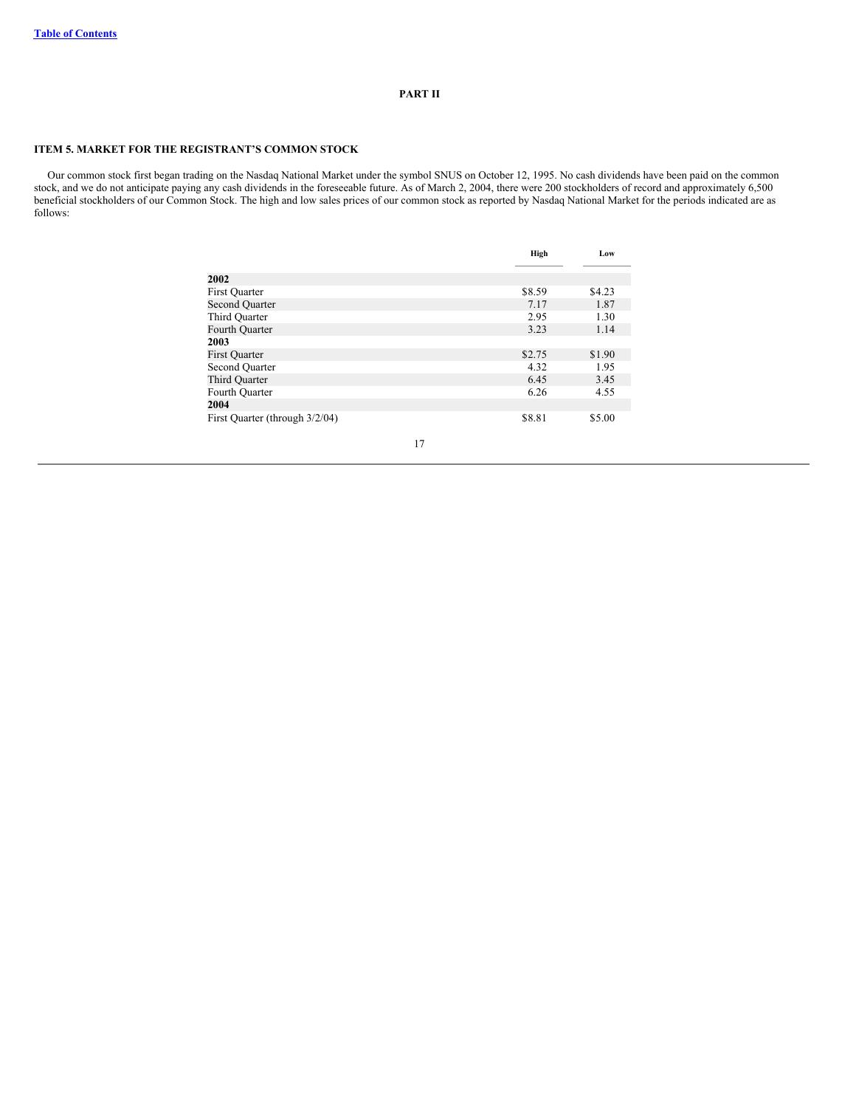# **PART II**

# <span id="page-17-1"></span><span id="page-17-0"></span>**ITEM 5. MARKET FOR THE REGISTRANT'S COMMON STOCK**

Our common stock first began trading on the Nasdaq National Market under the symbol SNUS on October 12, 1995. No cash dividends have been paid on the common stock, and we do not anticipate paying any cash dividends in the foreseeable future. As of March 2, 2004, there were 200 stockholders of record and approximately 6,500 beneficial stockholders of our Common Stock. The high and low sales prices of our common stock as reported by Nasdaq National Market for the periods indicated are as follows:

|                                | High   | Low    |
|--------------------------------|--------|--------|
|                                |        |        |
| 2002                           |        |        |
| <b>First Ouarter</b>           | \$8.59 | \$4.23 |
| <b>Second Quarter</b>          | 7.17   | 1.87   |
| Third Quarter                  | 2.95   | 1.30   |
| Fourth Quarter                 | 3.23   | 1.14   |
| 2003                           |        |        |
| <b>First Ouarter</b>           | \$2.75 | \$1.90 |
| Second Quarter                 | 4.32   | 1.95   |
| Third Quarter                  | 6.45   | 3.45   |
| Fourth Quarter                 | 6.26   | 4.55   |
| 2004                           |        |        |
| First Quarter (through 3/2/04) | \$8.81 | \$5.00 |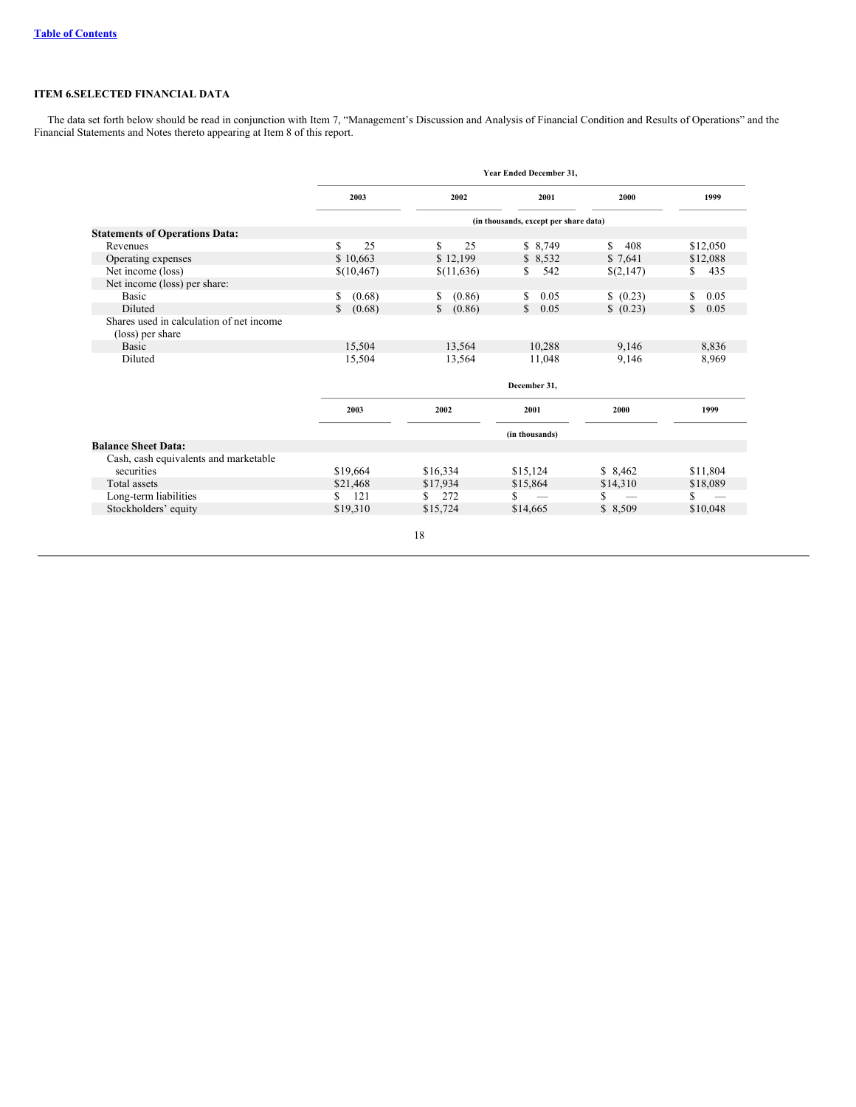# <span id="page-18-0"></span>**ITEM 6.SELECTED FINANCIAL DATA**

The data set forth below should be read in conjunction with Item 7, "Management's Discussion and Analysis of Financial Condition and Results of Operations" and the Financial Statements and Notes thereto appearing at Item 8 of this report.

|                                                              | Year Ended December 31, |              |                                       |                                |                               |  |
|--------------------------------------------------------------|-------------------------|--------------|---------------------------------------|--------------------------------|-------------------------------|--|
|                                                              | 2003                    | 2002         | 2001                                  | 2000                           | 1999                          |  |
|                                                              |                         |              | (in thousands, except per share data) |                                |                               |  |
| <b>Statements of Operations Data:</b>                        |                         |              |                                       |                                |                               |  |
| Revenues                                                     | S<br>25                 | 25<br>\$.    | \$ 8,749                              | S.<br>408                      | \$12,050                      |  |
| Operating expenses                                           | \$10,663                | \$12,199     | \$8,532                               | \$7,641                        | \$12,088                      |  |
| Net income (loss)                                            | \$(10,467)              | \$(11,636)   | S.<br>542                             | \$(2,147)                      | 435<br>S.                     |  |
| Net income (loss) per share:                                 |                         |              |                                       |                                |                               |  |
| <b>Basic</b>                                                 | S<br>(0.68)             | \$<br>(0.86) | S<br>0.05                             | (0.23)                         | S<br>0.05                     |  |
| Diluted                                                      | (0.68)<br>\$            | \$<br>(0.86) | $\mathbb{S}$<br>0.05                  | (0.23)                         | S.<br>0.05                    |  |
| Shares used in calculation of net income<br>(loss) per share |                         |              |                                       |                                |                               |  |
| Basic                                                        | 15,504                  | 13,564       | 10,288                                | 9,146                          | 8,836                         |  |
| Diluted                                                      | 15,504                  | 13,564       | 11,048                                | 9,146                          | 8.969                         |  |
|                                                              | December 31,            |              |                                       |                                |                               |  |
|                                                              | 2003                    | 2002         | 2001                                  | 2000                           | 1999                          |  |
|                                                              |                         |              | (in thousands)                        |                                |                               |  |
| <b>Balance Sheet Data:</b>                                   |                         |              |                                       |                                |                               |  |
| Cash, cash equivalents and marketable                        |                         |              |                                       |                                |                               |  |
| securities                                                   | \$19,664                | \$16,334     | \$15,124                              | \$8,462                        | \$11,804                      |  |
| Total assets                                                 | \$21,468                | \$17,934     | \$15,864                              | \$14,310                       | \$18,089                      |  |
| Long-term liabilities                                        | 121<br>\$               | 272<br>S.    | \$<br>$\overline{\phantom{a}}$        | S.<br>$\overline{\phantom{a}}$ | S<br>$\overline{\phantom{m}}$ |  |
| Stockholders' equity                                         | \$19,310                | \$15,724     | \$14,665                              | \$ 8,509                       | \$10,048                      |  |
|                                                              |                         |              |                                       |                                |                               |  |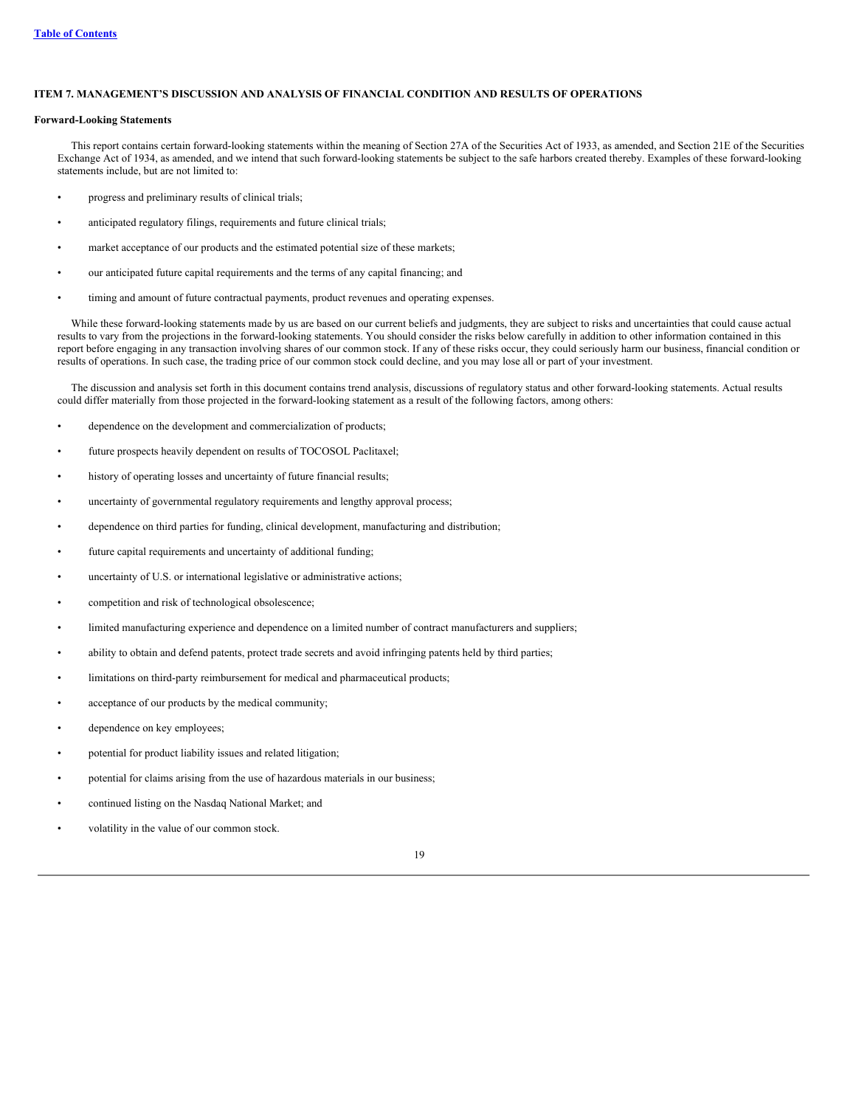# <span id="page-19-0"></span>**ITEM 7. MANAGEMENT'S DISCUSSION AND ANALYSIS OF FINANCIAL CONDITION AND RESULTS OF OPERATIONS**

#### **Forward-Looking Statements**

This report contains certain forward-looking statements within the meaning of Section 27A of the Securities Act of 1933, as amended, and Section 21E of the Securities Exchange Act of 1934, as amended, and we intend that such forward-looking statements be subject to the safe harbors created thereby. Examples of these forward-looking statements include, but are not limited to:

- progress and preliminary results of clinical trials;
- anticipated regulatory filings, requirements and future clinical trials;
- market acceptance of our products and the estimated potential size of these markets;
- our anticipated future capital requirements and the terms of any capital financing; and
- timing and amount of future contractual payments, product revenues and operating expenses.

While these forward-looking statements made by us are based on our current beliefs and judgments, they are subject to risks and uncertainties that could cause actual results to vary from the projections in the forward-looking statements. You should consider the risks below carefully in addition to other information contained in this report before engaging in any transaction involving shares of our common stock. If any of these risks occur, they could seriously harm our business, financial condition or results of operations. In such case, the trading price of our common stock could decline, and you may lose all or part of your investment.

The discussion and analysis set forth in this document contains trend analysis, discussions of regulatory status and other forward-looking statements. Actual results could differ materially from those projected in the forward-looking statement as a result of the following factors, among others:

- dependence on the development and commercialization of products;
- future prospects heavily dependent on results of TOCOSOL Paclitaxel;
- history of operating losses and uncertainty of future financial results;
- uncertainty of governmental regulatory requirements and lengthy approval process;
- dependence on third parties for funding, clinical development, manufacturing and distribution;
- future capital requirements and uncertainty of additional funding;
- uncertainty of U.S. or international legislative or administrative actions;
- competition and risk of technological obsolescence;
- limited manufacturing experience and dependence on a limited number of contract manufacturers and suppliers;
- ability to obtain and defend patents, protect trade secrets and avoid infringing patents held by third parties;
- limitations on third-party reimbursement for medical and pharmaceutical products;
- acceptance of our products by the medical community;
- dependence on key employees;
- potential for product liability issues and related litigation;
- potential for claims arising from the use of hazardous materials in our business;
- continued listing on the Nasdaq National Market; and
- volatility in the value of our common stock.

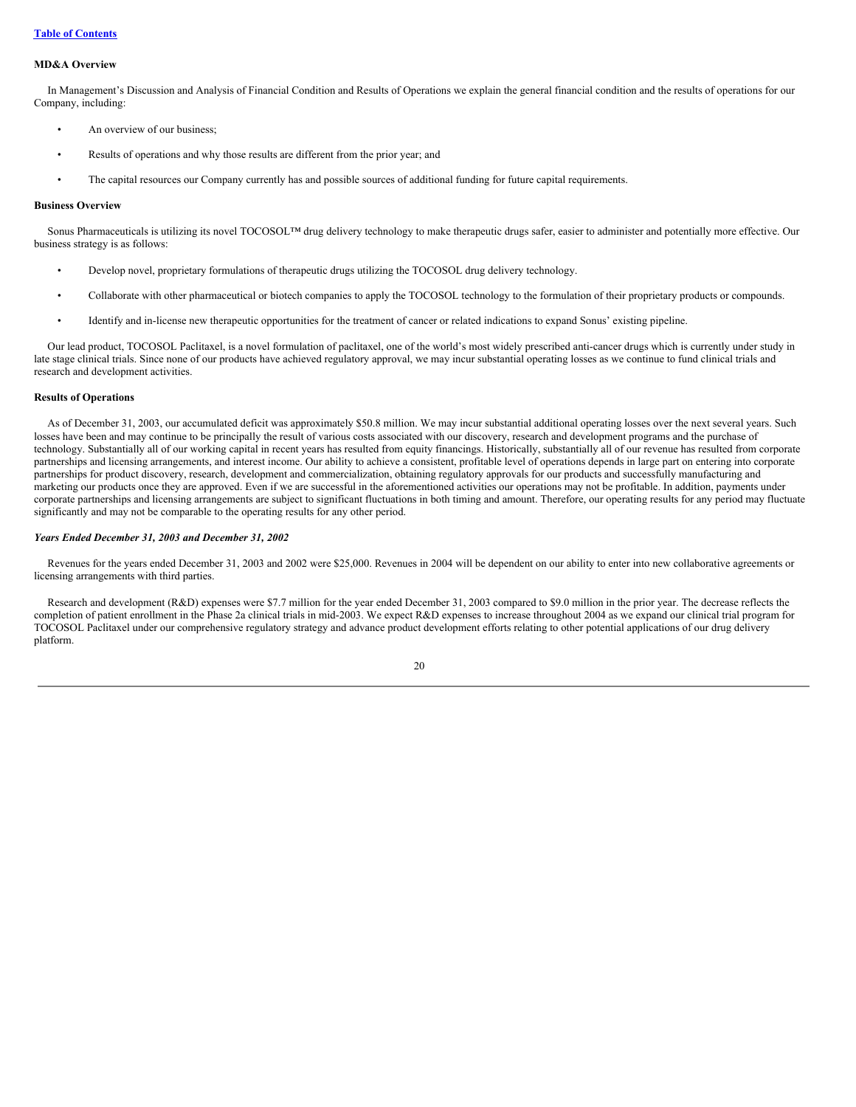#### **MD&A Overview**

In Management's Discussion and Analysis of Financial Condition and Results of Operations we explain the general financial condition and the results of operations for our Company, including:

- An overview of our business;
- Results of operations and why those results are different from the prior year; and
- The capital resources our Company currently has and possible sources of additional funding for future capital requirements.

### **Business Overview**

Sonus Pharmaceuticals is utilizing its novel TOCOSOL™ drug delivery technology to make therapeutic drugs safer, easier to administer and potentially more effective. Our business strategy is as follows:

- Develop novel, proprietary formulations of therapeutic drugs utilizing the TOCOSOL drug delivery technology.
- Collaborate with other pharmaceutical or biotech companies to apply the TOCOSOL technology to the formulation of their proprietary products or compounds.
- Identify and in-license new therapeutic opportunities for the treatment of cancer or related indications to expand Sonus' existing pipeline.

Our lead product, TOCOSOL Paclitaxel, is a novel formulation of paclitaxel, one of the world's most widely prescribed anti-cancer drugs which is currently under study in late stage clinical trials. Since none of our products have achieved regulatory approval, we may incur substantial operating losses as we continue to fund clinical trials and research and development activities.

# **Results of Operations**

As of December 31, 2003, our accumulated deficit was approximately \$50.8 million. We may incur substantial additional operating losses over the next several years. Such losses have been and may continue to be principally the result of various costs associated with our discovery, research and development programs and the purchase of technology. Substantially all of our working capital in recent years has resulted from equity financings. Historically, substantially all of our revenue has resulted from corporate partnerships and licensing arrangements, and interest income. Our ability to achieve a consistent, profitable level of operations depends in large part on entering into corporate partnerships for product discovery, research, development and commercialization, obtaining regulatory approvals for our products and successfully manufacturing and marketing our products once they are approved. Even if we are successful in the aforementioned activities our operations may not be profitable. In addition, payments under corporate partnerships and licensing arrangements are subject to significant fluctuations in both timing and amount. Therefore, our operating results for any period may fluctuate significantly and may not be comparable to the operating results for any other period.

#### *Years Ended December 31, 2003 and December 31, 2002*

Revenues for the years ended December 31, 2003 and 2002 were \$25,000. Revenues in 2004 will be dependent on our ability to enter into new collaborative agreements or licensing arrangements with third parties.

Research and development (R&D) expenses were \$7.7 million for the year ended December 31, 2003 compared to \$9.0 million in the prior year. The decrease reflects the completion of patient enrollment in the Phase 2a clinical trials in mid-2003. We expect R&D expenses to increase throughout 2004 as we expand our clinical trial program for TOCOSOL Paclitaxel under our comprehensive regulatory strategy and advance product development efforts relating to other potential applications of our drug delivery platform.

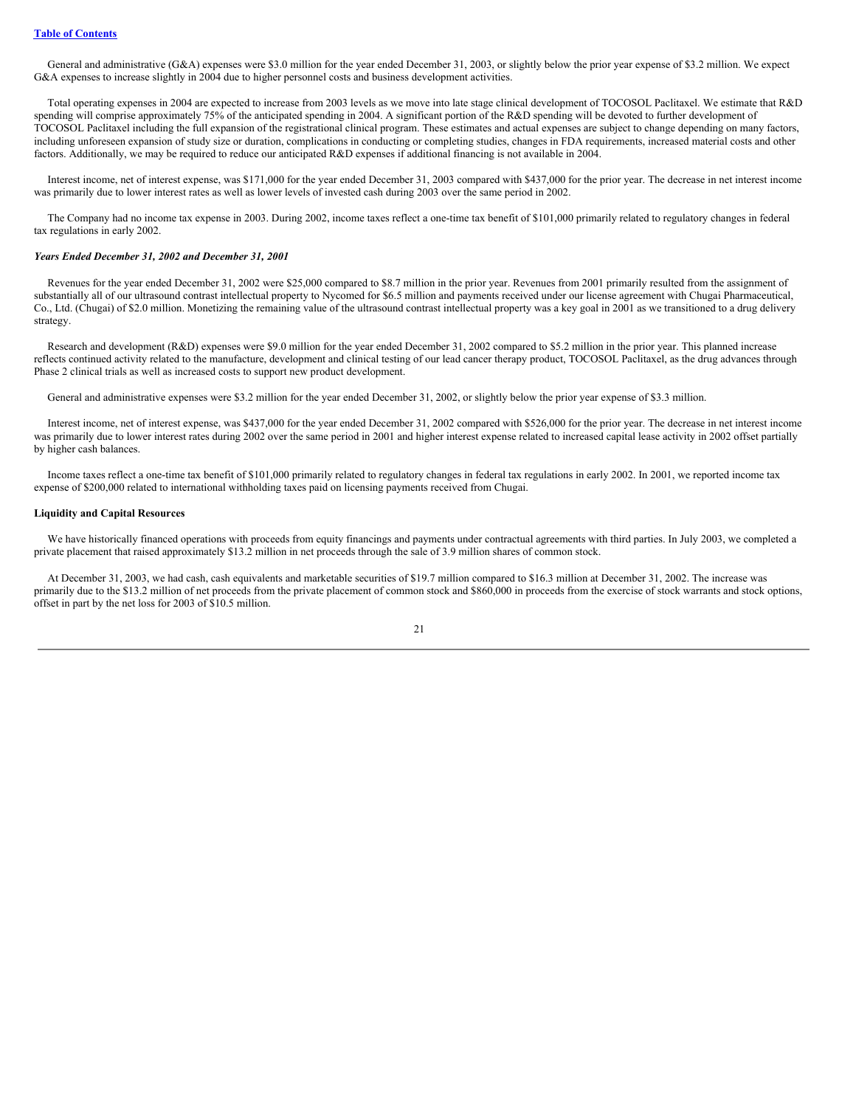General and administrative (G&A) expenses were \$3.0 million for the year ended December 31, 2003, or slightly below the prior year expense of \$3.2 million. We expect G&A expenses to increase slightly in 2004 due to higher personnel costs and business development activities.

Total operating expenses in 2004 are expected to increase from 2003 levels as we move into late stage clinical development of TOCOSOL Paclitaxel. We estimate that R&D spending will comprise approximately 75% of the anticipated spending in 2004. A significant portion of the R&D spending will be devoted to further development of TOCOSOL Paclitaxel including the full expansion of the registrational clinical program. These estimates and actual expenses are subject to change depending on many factors, including unforeseen expansion of study size or duration, complications in conducting or completing studies, changes in FDA requirements, increased material costs and other factors. Additionally, we may be required to reduce our anticipated R&D expenses if additional financing is not available in 2004.

Interest income, net of interest expense, was \$171,000 for the year ended December 31, 2003 compared with \$437,000 for the prior year. The decrease in net interest income was primarily due to lower interest rates as well as lower levels of invested cash during 2003 over the same period in 2002.

The Company had no income tax expense in 2003. During 2002, income taxes reflect a one-time tax benefit of \$101,000 primarily related to regulatory changes in federal tax regulations in early 2002.

#### *Years Ended December 31, 2002 and December 31, 2001*

Revenues for the year ended December 31, 2002 were \$25,000 compared to \$8.7 million in the prior year. Revenues from 2001 primarily resulted from the assignment of substantially all of our ultrasound contrast intellectual property to Nycomed for \$6.5 million and payments received under our license agreement with Chugai Pharmaceutical, Co., Ltd. (Chugai) of \$2.0 million. Monetizing the remaining value of the ultrasound contrast intellectual property was a key goal in 2001 as we transitioned to a drug delivery strategy.

Research and development (R&D) expenses were \$9.0 million for the year ended December 31, 2002 compared to \$5.2 million in the prior year. This planned increase reflects continued activity related to the manufacture, development and clinical testing of our lead cancer therapy product, TOCOSOL Paclitaxel, as the drug advances through Phase 2 clinical trials as well as increased costs to support new product development.

General and administrative expenses were \$3.2 million for the year ended December 31, 2002, or slightly below the prior year expense of \$3.3 million.

Interest income, net of interest expense, was \$437,000 for the year ended December 31, 2002 compared with \$526,000 for the prior year. The decrease in net interest income was primarily due to lower interest rates during 2002 over the same period in 2001 and higher interest expense related to increased capital lease activity in 2002 offset partially by higher cash balances.

Income taxes reflect a one-time tax benefit of \$101,000 primarily related to regulatory changes in federal tax regulations in early 2002. In 2001, we reported income tax expense of \$200,000 related to international withholding taxes paid on licensing payments received from Chugai.

### **Liquidity and Capital Resources**

We have historically financed operations with proceeds from equity financings and payments under contractual agreements with third parties. In July 2003, we completed a private placement that raised approximately \$13.2 million in net proceeds through the sale of 3.9 million shares of common stock.

At December 31, 2003, we had cash, cash equivalents and marketable securities of \$19.7 million compared to \$16.3 million at December 31, 2002. The increase was primarily due to the \$13.2 million of net proceeds from the private placement of common stock and \$860,000 in proceeds from the exercise of stock warrants and stock options, offset in part by the net loss for 2003 of \$10.5 million.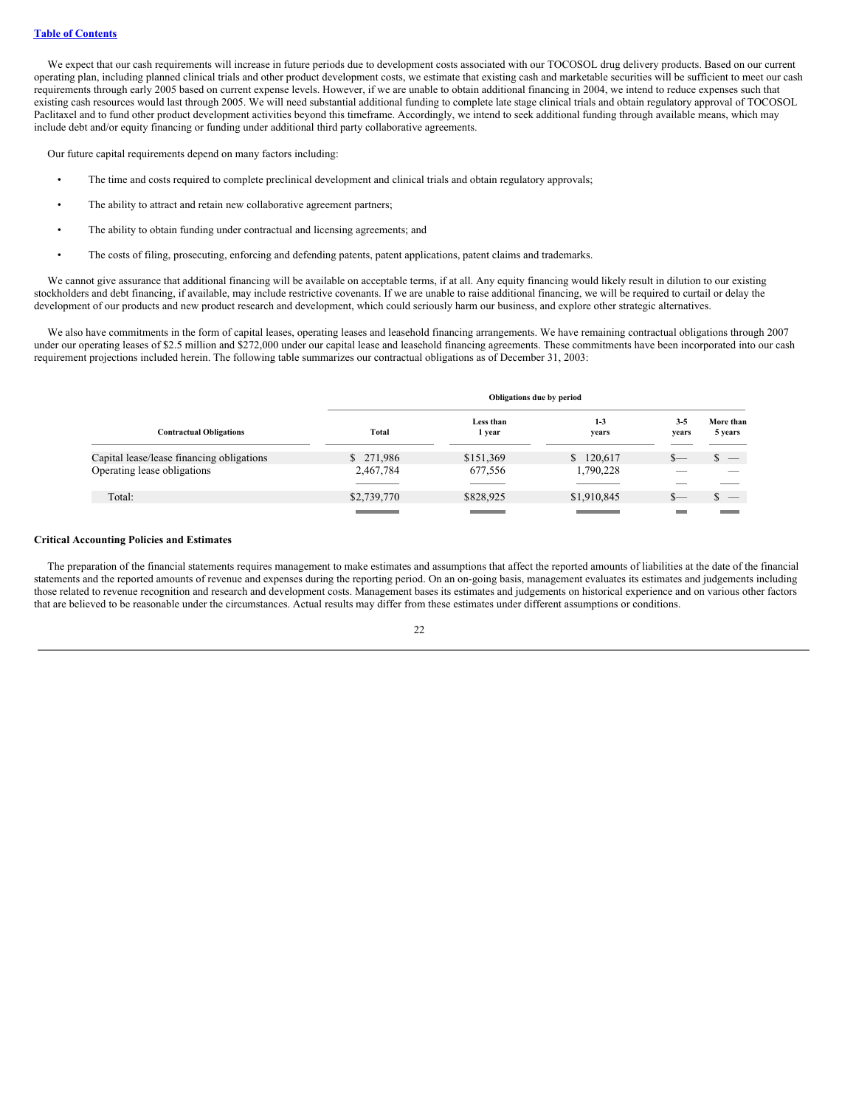We expect that our cash requirements will increase in future periods due to development costs associated with our TOCOSOL drug delivery products. Based on our current operating plan, including planned clinical trials and other product development costs, we estimate that existing cash and marketable securities will be sufficient to meet our cash requirements through early 2005 based on current expense levels. However, if we are unable to obtain additional financing in 2004, we intend to reduce expenses such that existing cash resources would last through 2005. We will need substantial additional funding to complete late stage clinical trials and obtain regulatory approval of TOCOSOL Paclitaxel and to fund other product development activities beyond this timeframe. Accordingly, we intend to seek additional funding through available means, which may include debt and/or equity financing or funding under additional third party collaborative agreements.

Our future capital requirements depend on many factors including:

- The time and costs required to complete preclinical development and clinical trials and obtain regulatory approvals;
- The ability to attract and retain new collaborative agreement partners;
- The ability to obtain funding under contractual and licensing agreements; and
- The costs of filing, prosecuting, enforcing and defending patents, patent applications, patent claims and trademarks.

We cannot give assurance that additional financing will be available on acceptable terms, if at all. Any equity financing would likely result in dilution to our existing stockholders and debt financing, if available, may include restrictive covenants. If we are unable to raise additional financing, we will be required to curtail or delay the development of our products and new product research and development, which could seriously harm our business, and explore other strategic alternatives.

We also have commitments in the form of capital leases, operating leases and leasehold financing arrangements. We have remaining contractual obligations through 2007 under our operating leases of \$2.5 million and \$272,000 under our capital lease and leasehold financing agreements. These commitments have been incorporated into our cash requirement projections included herein. The following table summarizes our contractual obligations as of December 31, 2003:

|                                           | Obligations due by period |                     |                  |                  |                          |  |  |
|-------------------------------------------|---------------------------|---------------------|------------------|------------------|--------------------------|--|--|
| <b>Contractual Obligations</b>            | Total                     | Less than<br>1 year | $1 - 3$<br>vears | $3 - 5$<br>vears | More than<br>5 years     |  |  |
| Capital lease/lease financing obligations | \$271,986                 | \$151,369           | \$120,617        | S—               | $\overline{\phantom{a}}$ |  |  |
| Operating lease obligations               | 2,467,784                 | 677,556             | 1,790,228        |                  |                          |  |  |
|                                           |                           |                     |                  |                  |                          |  |  |
| Total:                                    | \$2,739,770               | \$828,925           | \$1,910,845      | s—               | $\overline{\phantom{a}}$ |  |  |
|                                           |                           |                     |                  | ___              |                          |  |  |

#### **Critical Accounting Policies and Estimates**

The preparation of the financial statements requires management to make estimates and assumptions that affect the reported amounts of liabilities at the date of the financial statements and the reported amounts of revenue and expenses during the reporting period. On an on-going basis, management evaluates its estimates and judgements including those related to revenue recognition and research and development costs. Management bases its estimates and judgements on historical experience and on various other factors that are believed to be reasonable under the circumstances. Actual results may differ from these estimates under different assumptions or conditions.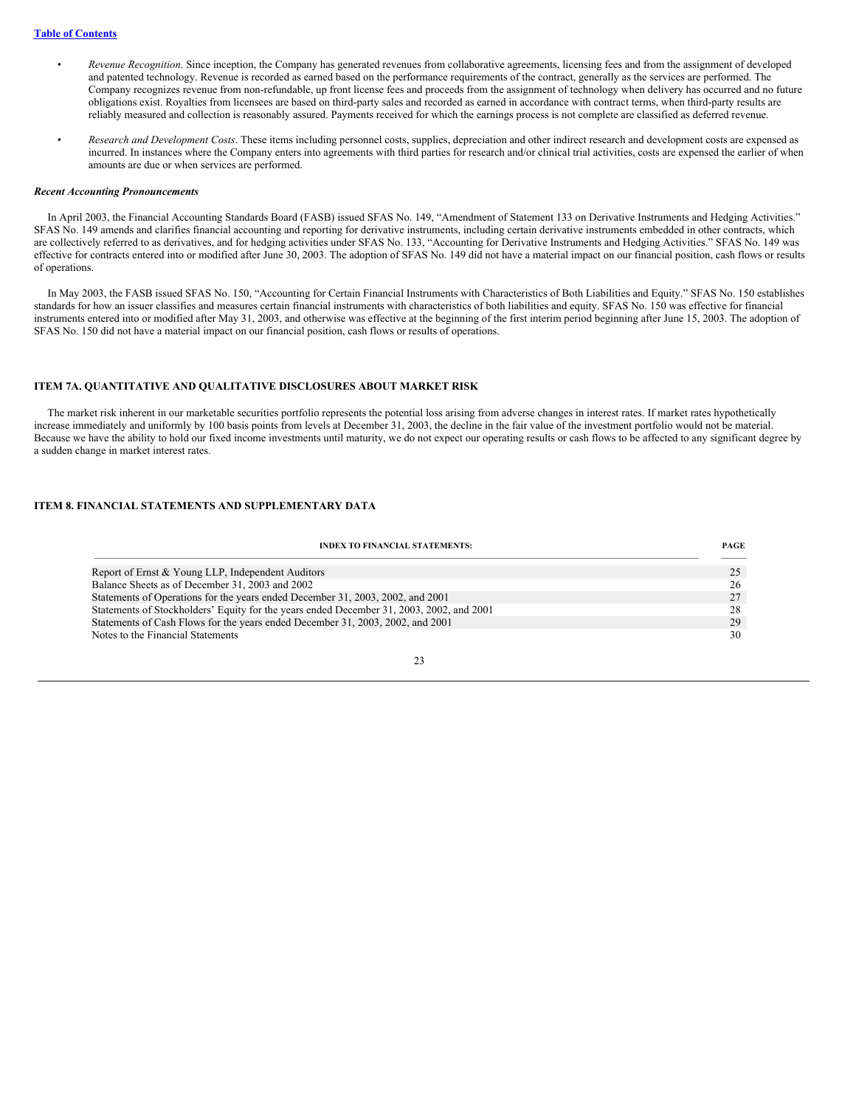- *Revenue Recognition*. Since inception, the Company has generated revenues from collaborative agreements, licensing fees and from the assignment of developed and patented technology. Revenue is recorded as earned based on the performance requirements of the contract, generally as the services are performed. The Company recognizes revenue from non-refundable, up front license fees and proceeds from the assignment of technology when delivery has occurred and no future obligations exist. Royalties from licensees are based on third-party sales and recorded as earned in accordance with contract terms, when third-party results are reliably measured and collection is reasonably assured. Payments received for which the earnings process is not complete are classified as deferred revenue.
- *Research and Development Costs*. These items including personnel costs, supplies, depreciation and other indirect research and development costs are expensed as incurred. In instances where the Company enters into agreements with third parties for research and/or clinical trial activities, costs are expensed the earlier of when amounts are due or when services are performed.

#### *Recent Accounting Pronouncements*

In April 2003, the Financial Accounting Standards Board (FASB) issued SFAS No. 149, "Amendment of Statement 133 on Derivative Instruments and Hedging Activities." SFAS No. 149 amends and clarifies financial accounting and reporting for derivative instruments, including certain derivative instruments embedded in other contracts, which are collectively referred to as derivatives, and for hedging activities under SFAS No. 133, "Accounting for Derivative Instruments and Hedging Activities." SFAS No. 149 was effective for contracts entered into or modified after June 30, 2003. The adoption of SFAS No. 149 did not have a material impact on our financial position, cash flows or results of operations.

In May 2003, the FASB issued SFAS No. 150, "Accounting for Certain Financial Instruments with Characteristics of Both Liabilities and Equity." SFAS No. 150 establishes standards for how an issuer classifies and measures certain financial instruments with characteristics of both liabilities and equity. SFAS No. 150 was effective for financial instruments entered into or modified after May 31, 2003, and otherwise was effective at the beginning of the first interim period beginning after June 15, 2003. The adoption of SFAS No. 150 did not have a material impact on our financial position, cash flows or results of operations.

### <span id="page-23-0"></span>**ITEM 7A. QUANTITATIVE AND QUALITATIVE DISCLOSURES ABOUT MARKET RISK**

The market risk inherent in our marketable securities portfolio represents the potential loss arising from adverse changes in interest rates. If market rates hypothetically increase immediately and uniformly by 100 basis points from levels at December 31, 2003, the decline in the fair value of the investment portfolio would not be material. Because we have the ability to hold our fixed income investments until maturity, we do not expect our operating results or cash flows to be affected to any significant degree by a sudden change in market interest rates.

# <span id="page-23-1"></span>**ITEM 8. FINANCIAL STATEMENTS AND SUPPLEMENTARY DATA**

| <b>INDEX TO FINANCIAL STATEMENTS:</b>                                                    | PAGE |
|------------------------------------------------------------------------------------------|------|
| Report of Ernst & Young LLP, Independent Auditors                                        | 25   |
| Balance Sheets as of December 31, 2003 and 2002                                          | 26   |
| Statements of Operations for the years ended December 31, 2003, 2002, and 2001           | 27   |
| Statements of Stockholders' Equity for the years ended December 31, 2003, 2002, and 2001 | 28   |
| Statements of Cash Flows for the years ended December 31, 2003, 2002, and 2001           | 29   |
| Notes to the Financial Statements                                                        | 30   |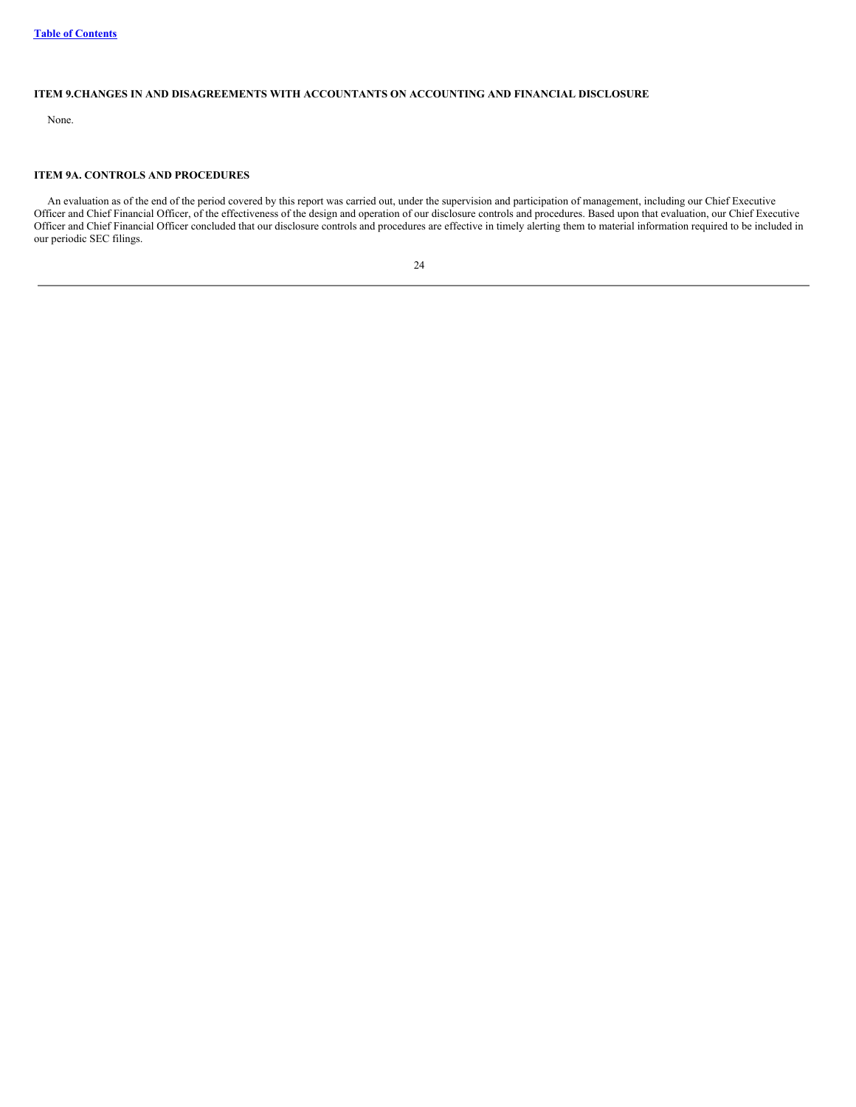# <span id="page-24-0"></span>**ITEM 9.CHANGES IN AND DISAGREEMENTS WITH ACCOUNTANTS ON ACCOUNTING AND FINANCIAL DISCLOSURE**

<span id="page-24-1"></span>None.

# **ITEM 9A. CONTROLS AND PROCEDURES**

An evaluation as of the end of the period covered by this report was carried out, under the supervision and participation of management, including our Chief Executive Officer and Chief Financial Officer, of the effectiveness of the design and operation of our disclosure controls and procedures. Based upon that evaluation, our Chief Executive Officer and Chief Financial Officer concluded that our disclosure controls and procedures are effective in timely alerting them to material information required to be included in our periodic SEC filings.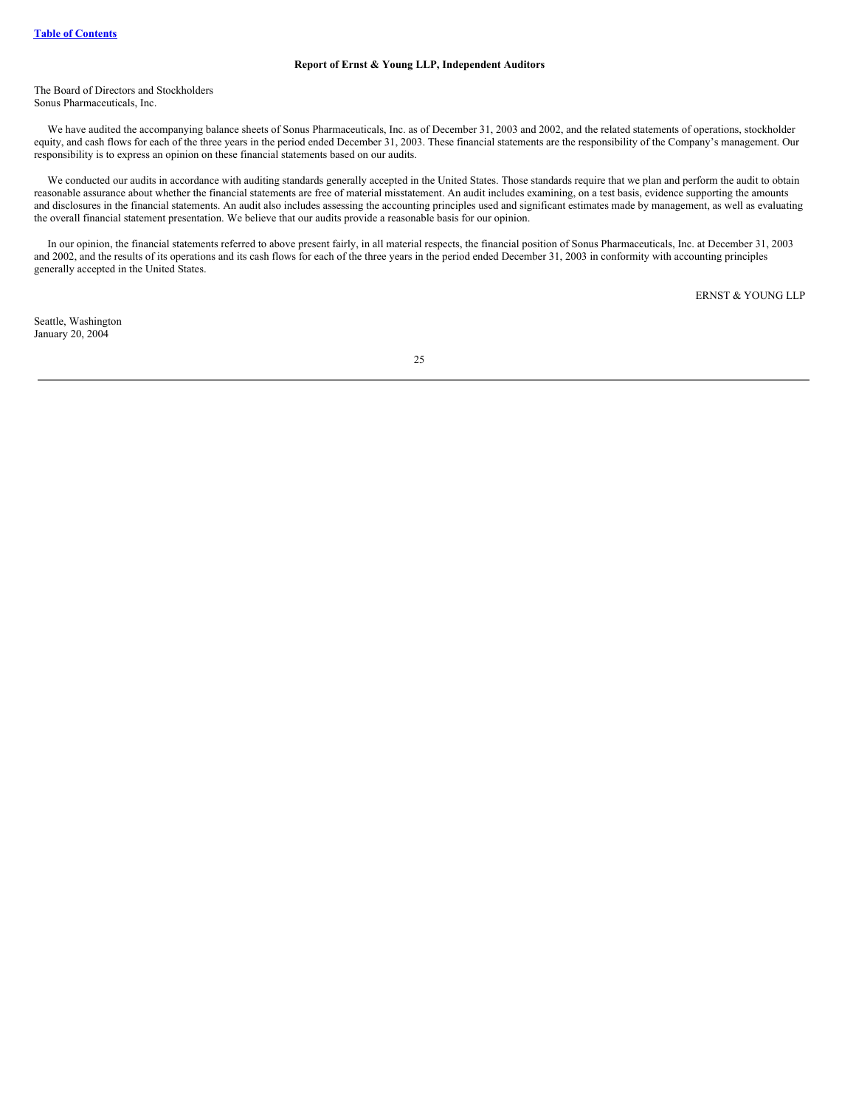# **Report of Ernst & Young LLP, Independent Auditors**

The Board of Directors and Stockholders Sonus Pharmaceuticals, Inc.

We have audited the accompanying balance sheets of Sonus Pharmaceuticals, Inc. as of December 31, 2003 and 2002, and the related statements of operations, stockholder equity, and cash flows for each of the three years in the period ended December 31, 2003. These financial statements are the responsibility of the Company's management. Our responsibility is to express an opinion on these financial statements based on our audits.

We conducted our audits in accordance with auditing standards generally accepted in the United States. Those standards require that we plan and perform the audit to obtain reasonable assurance about whether the financial statements are free of material misstatement. An audit includes examining, on a test basis, evidence supporting the amounts and disclosures in the financial statements. An audit also includes assessing the accounting principles used and significant estimates made by management, as well as evaluating the overall financial statement presentation. We believe that our audits provide a reasonable basis for our opinion.

In our opinion, the financial statements referred to above present fairly, in all material respects, the financial position of Sonus Pharmaceuticals, Inc. at December 31, 2003 and 2002, and the results of its operations and its cash flows for each of the three years in the period ended December 31, 2003 in conformity with accounting principles generally accepted in the United States.

ERNST & YOUNG LLP

Seattle, Washington January 20, 2004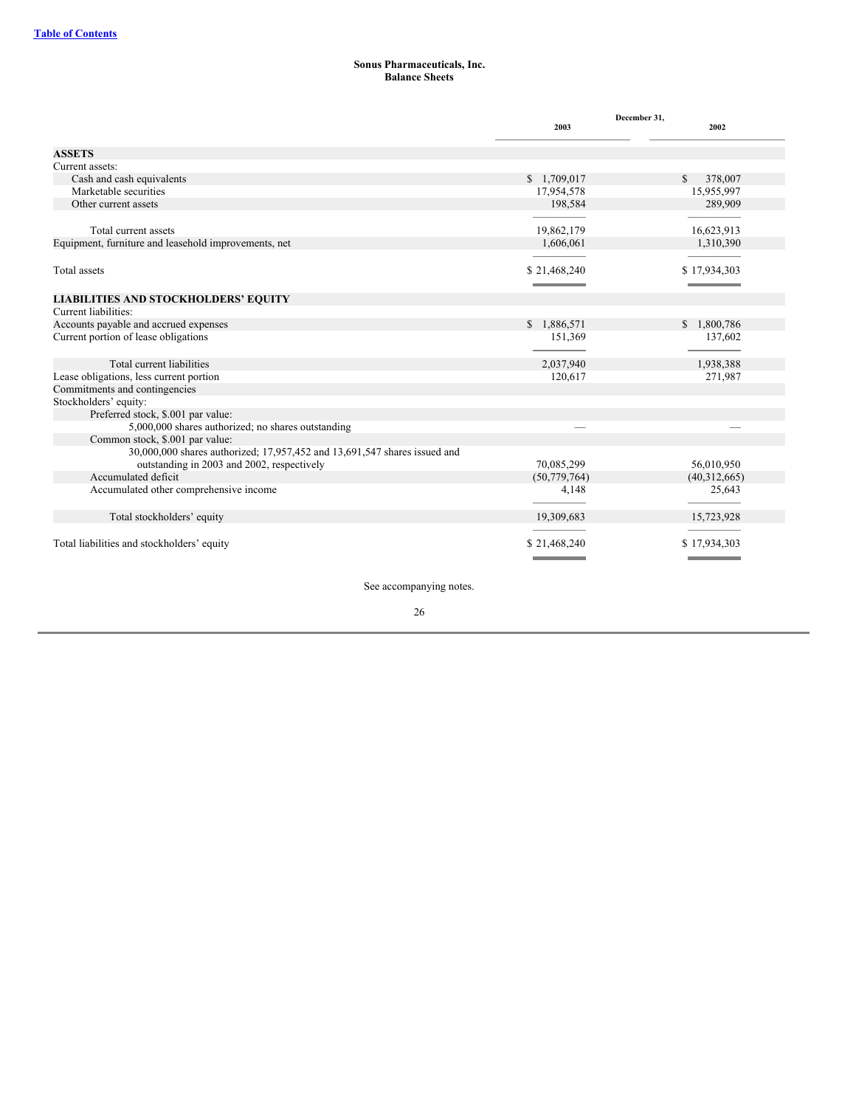# **Sonus Pharmaceuticals, Inc. Balance Sheets**

|                                                                           |                                                                                                                       | December 31,           |
|---------------------------------------------------------------------------|-----------------------------------------------------------------------------------------------------------------------|------------------------|
|                                                                           | 2003                                                                                                                  | 2002                   |
| <b>ASSETS</b>                                                             |                                                                                                                       |                        |
| Current assets:                                                           |                                                                                                                       |                        |
| Cash and cash equivalents                                                 | \$1,709,017                                                                                                           | $\mathbf S$<br>378,007 |
| Marketable securities                                                     | 17,954,578                                                                                                            | 15,955,997             |
| Other current assets                                                      | 198,584                                                                                                               | 289,909                |
|                                                                           |                                                                                                                       |                        |
| Total current assets                                                      | 19,862,179                                                                                                            | 16,623,913             |
| Equipment, furniture and leasehold improvements, net                      | 1,606,061                                                                                                             | 1,310,390              |
|                                                                           |                                                                                                                       |                        |
| Total assets                                                              | \$21,468,240                                                                                                          | \$17,934,303           |
|                                                                           |                                                                                                                       |                        |
| <b>LIABILITIES AND STOCKHOLDERS' EQUITY</b>                               |                                                                                                                       |                        |
| Current liabilities:                                                      |                                                                                                                       |                        |
| Accounts payable and accrued expenses                                     | \$1,886,571                                                                                                           | \$1,800,786            |
| Current portion of lease obligations                                      | 151,369                                                                                                               | 137,602                |
|                                                                           |                                                                                                                       |                        |
| Total current liabilities                                                 | 2,037,940                                                                                                             | 1,938,388              |
| Lease obligations, less current portion                                   | 120,617                                                                                                               | 271,987                |
| Commitments and contingencies                                             |                                                                                                                       |                        |
| Stockholders' equity:                                                     |                                                                                                                       |                        |
| Preferred stock, \$.001 par value:                                        |                                                                                                                       |                        |
| 5,000,000 shares authorized; no shares outstanding                        |                                                                                                                       |                        |
| Common stock, \$.001 par value:                                           |                                                                                                                       |                        |
| 30,000,000 shares authorized; 17,957,452 and 13,691,547 shares issued and |                                                                                                                       |                        |
| outstanding in 2003 and 2002, respectively                                | 70,085,299                                                                                                            | 56,010,950             |
| Accumulated deficit                                                       | (50, 779, 764)                                                                                                        | (40,312,665)           |
| Accumulated other comprehensive income                                    | 4,148                                                                                                                 | 25,643                 |
|                                                                           |                                                                                                                       |                        |
| Total stockholders' equity                                                | 19,309,683                                                                                                            | 15,723,928             |
|                                                                           |                                                                                                                       |                        |
| Total liabilities and stockholders' equity                                | \$21,468,240                                                                                                          | \$17,934,303           |
|                                                                           | <b>Contract Contract Contract Contract Contract Contract Contract Contract Contract Contract Contract Contract Co</b> |                        |

See accompanying notes.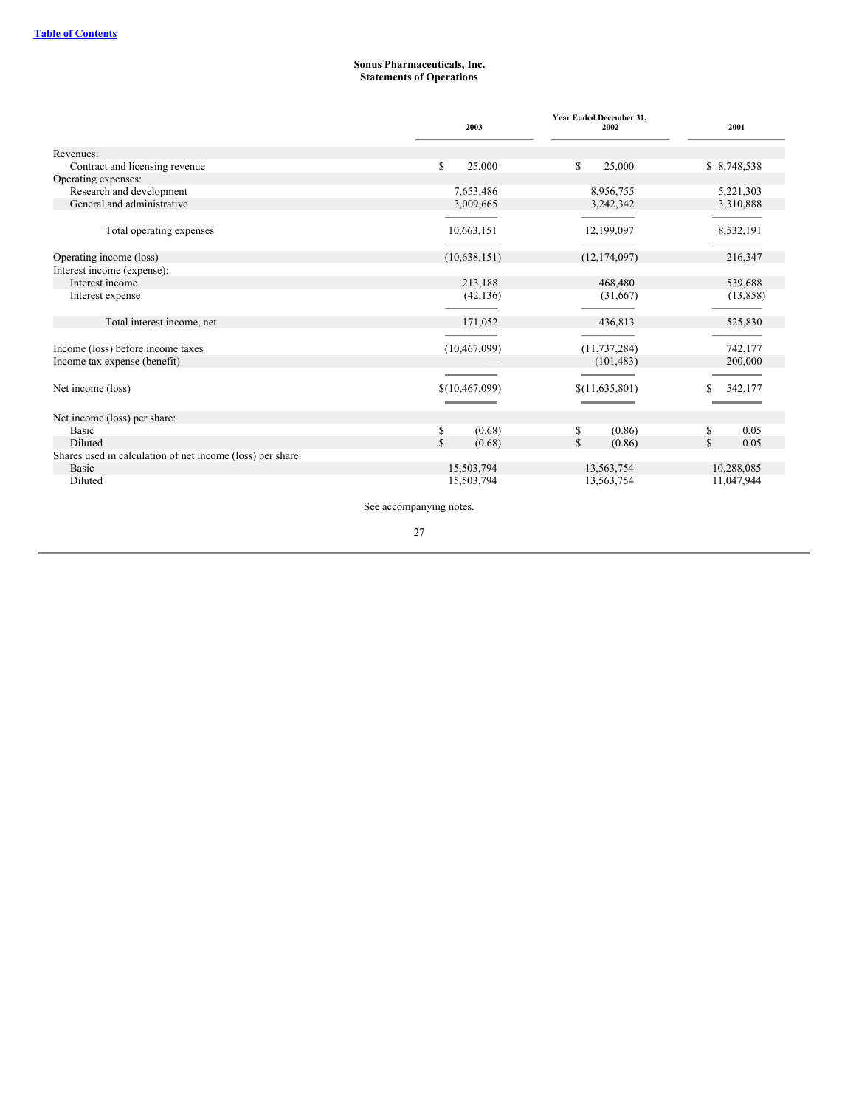# **Sonus Pharmaceuticals, Inc. Statements of Operations**

|                                                            | 2003           | Year Ended December 31,<br>2002 | 2001         |
|------------------------------------------------------------|----------------|---------------------------------|--------------|
| Revenues:                                                  |                |                                 |              |
| Contract and licensing revenue                             | \$<br>25,000   | \$<br>25,000                    | \$ 8,748,538 |
| Operating expenses:                                        |                |                                 |              |
| Research and development                                   | 7,653,486      | 8,956,755                       | 5,221,303    |
| General and administrative                                 | 3,009,665      | 3,242,342                       | 3,310,888    |
| Total operating expenses                                   | 10,663,151     | 12,199,097                      | 8,532,191    |
| Operating income (loss)                                    | (10, 638, 151) | (12, 174, 097)                  | 216,347      |
| Interest income (expense):                                 |                |                                 |              |
| Interest income                                            | 213,188        | 468,480                         | 539,688      |
| Interest expense                                           | (42, 136)      | (31,667)                        | (13, 858)    |
|                                                            |                |                                 |              |
| Total interest income, net                                 | 171,052        | 436,813                         | 525,830      |
|                                                            |                |                                 |              |
| Income (loss) before income taxes                          | (10, 467, 099) | (11, 737, 284)                  | 742,177      |
| Income tax expense (benefit)                               |                | (101, 483)                      | 200,000      |
|                                                            |                |                                 |              |
| Net income (loss)                                          | \$(10,467,099) | \$(11,635,801)                  | 542,177      |
|                                                            |                |                                 |              |
| Net income (loss) per share:                               |                |                                 |              |
| <b>Basic</b>                                               | \$<br>(0.68)   | (0.86)<br>\$                    | 0.05<br>S    |
| <b>Diluted</b>                                             | \$<br>(0.68)   | $\mathbf S$<br>(0.86)           | S<br>0.05    |
| Shares used in calculation of net income (loss) per share: |                |                                 |              |
| <b>Basic</b>                                               | 15,503,794     | 13,563,754                      | 10,288,085   |
| Diluted                                                    | 15,503,794     | 13,563,754                      | 11,047,944   |

See accompanying notes.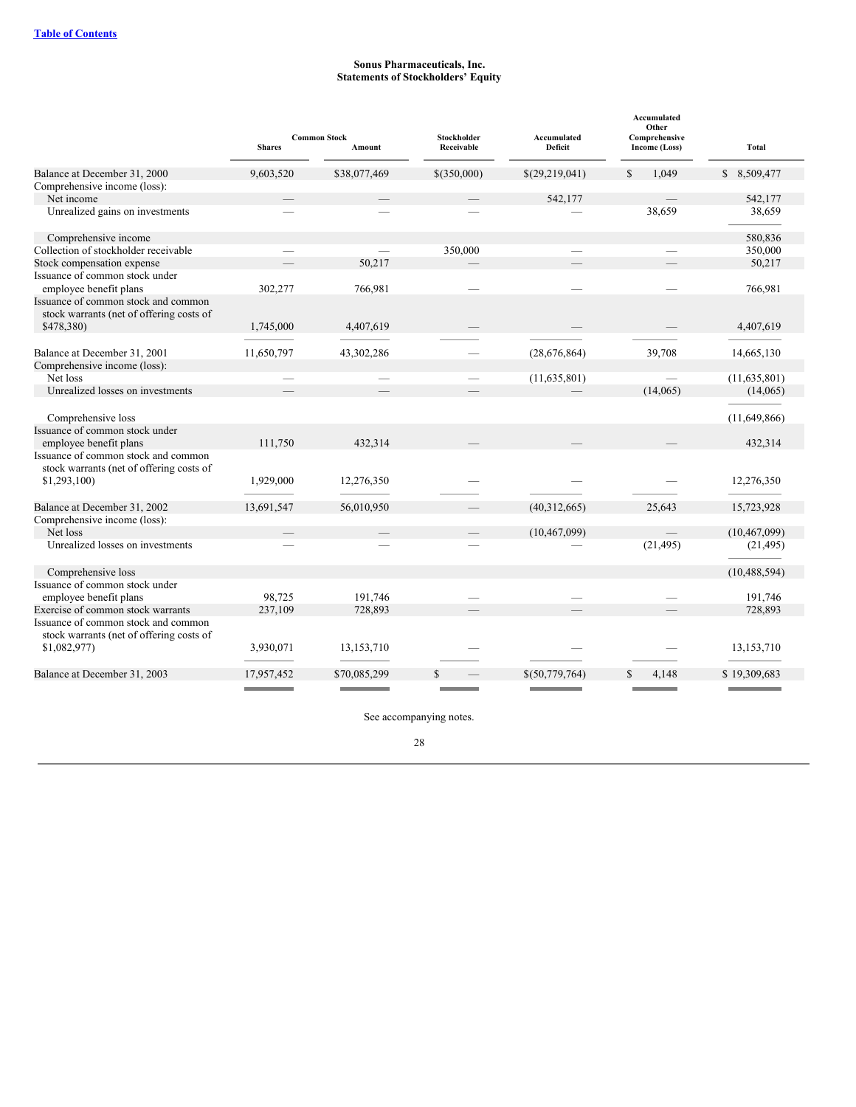# **Sonus Pharmaceuticals, Inc. Statements of Stockholders' Equity**

|                                                                                 |               | <b>Common Stock</b> | Stockholder   | Accumulated    | Accumulated<br>Other<br>Comprehensive |                |
|---------------------------------------------------------------------------------|---------------|---------------------|---------------|----------------|---------------------------------------|----------------|
|                                                                                 | <b>Shares</b> | Amount              | Receivable    | Deficit        | Income (Loss)                         | <b>Total</b>   |
| Balance at December 31, 2000                                                    | 9,603,520     | \$38,077,469        | $$$ (350,000) | \$(29,219,041) | S.<br>1,049                           | \$ 8,509,477   |
| Comprehensive income (loss):                                                    |               |                     |               |                |                                       |                |
| Net income                                                                      |               |                     |               | 542,177        |                                       | 542,177        |
| Unrealized gains on investments                                                 |               |                     |               |                | 38,659                                | 38,659         |
| Comprehensive income                                                            |               |                     |               |                |                                       | 580,836        |
| Collection of stockholder receivable                                            |               |                     | 350,000       |                |                                       | 350,000        |
| Stock compensation expense                                                      |               | 50,217              |               |                |                                       | 50,217         |
| Issuance of common stock under<br>employee benefit plans                        | 302,277       | 766,981             |               |                |                                       | 766,981        |
| Issuance of common stock and common<br>stock warrants (net of offering costs of |               |                     |               |                |                                       |                |
| \$478,380)                                                                      | 1,745,000     | 4,407,619           |               |                |                                       | 4,407,619      |
| Balance at December 31, 2001                                                    | 11,650,797    | 43,302,286          |               | (28,676,864)   | 39,708                                | 14,665,130     |
| Comprehensive income (loss):                                                    |               |                     |               |                |                                       |                |
| Net loss                                                                        |               | -                   |               | (11, 635, 801) |                                       | (11, 635, 801) |
| Unrealized losses on investments                                                |               |                     |               |                | (14,065)                              | (14,065)       |
| Comprehensive loss                                                              |               |                     |               |                |                                       | (11,649,866)   |
| Issuance of common stock under<br>employee benefit plans                        | 111,750       | 432,314             |               |                |                                       | 432,314        |
| Issuance of common stock and common<br>stock warrants (net of offering costs of |               |                     |               |                |                                       |                |
| \$1,293,100                                                                     | 1,929,000     | 12,276,350          |               |                |                                       | 12,276,350     |
| Balance at December 31, 2002                                                    | 13,691,547    | 56,010,950          |               | (40,312,665)   | 25,643                                | 15,723,928     |
| Comprehensive income (loss):                                                    |               |                     |               |                |                                       |                |
| Net loss                                                                        |               |                     |               | (10, 467, 099) |                                       | (10, 467, 099) |
| Unrealized losses on investments                                                |               |                     |               |                | (21, 495)                             | (21, 495)      |
| Comprehensive loss                                                              |               |                     |               |                |                                       | (10, 488, 594) |
| Issuance of common stock under                                                  |               |                     |               |                |                                       |                |
| employee benefit plans                                                          | 98,725        | 191,746             |               |                |                                       | 191,746        |
| Exercise of common stock warrants                                               | 237,109       | 728,893             |               |                |                                       | 728,893        |
| Issuance of common stock and common<br>stock warrants (net of offering costs of |               |                     |               |                |                                       |                |
| \$1,082,977)                                                                    | 3,930,071     | 13,153,710          |               |                |                                       | 13,153,710     |
| Balance at December 31, 2003                                                    | 17,957,452    | \$70,085,299        | <sup>\$</sup> | \$(50,779,764) | 4.148<br>S                            | \$19,309,683   |
|                                                                                 |               |                     |               |                |                                       |                |

See accompanying notes.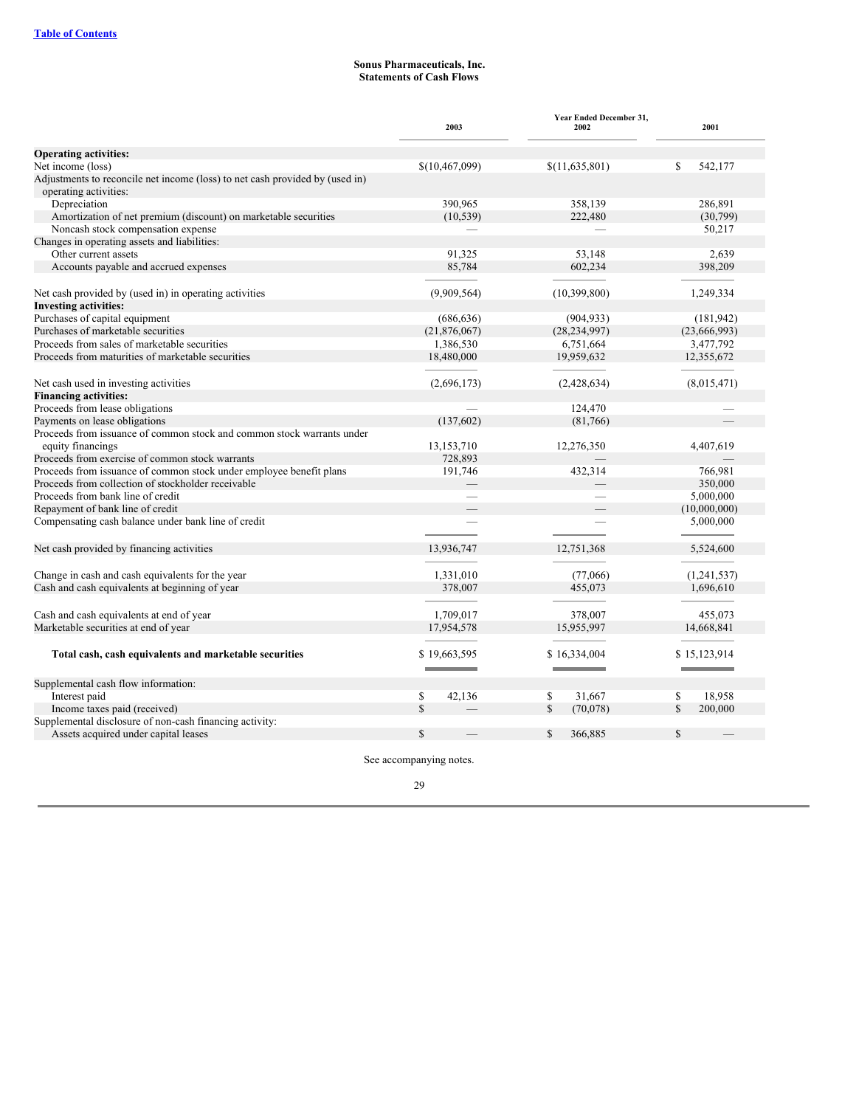# **Sonus Pharmaceuticals, Inc. Statements of Cash Flows**

|                                                                              | 2003             | Year Ended December 31,<br>2002 | 2001                                      |
|------------------------------------------------------------------------------|------------------|---------------------------------|-------------------------------------------|
| <b>Operating activities:</b>                                                 |                  |                                 |                                           |
| Net income (loss)                                                            | \$(10, 467, 099) | \$(11,635,801)                  | \$<br>542,177                             |
| Adjustments to reconcile net income (loss) to net cash provided by (used in) |                  |                                 |                                           |
| operating activities:                                                        |                  |                                 |                                           |
| Depreciation                                                                 | 390.965          | 358,139                         | 286.891                                   |
| Amortization of net premium (discount) on marketable securities              | (10, 539)        | 222,480                         | (30, 799)                                 |
| Noncash stock compensation expense                                           |                  |                                 | 50,217                                    |
| Changes in operating assets and liabilities:                                 |                  |                                 |                                           |
| Other current assets                                                         | 91,325           | 53.148                          | 2,639                                     |
| Accounts payable and accrued expenses                                        | 85,784           | 602,234                         | 398,209                                   |
|                                                                              |                  |                                 |                                           |
| Net cash provided by (used in) in operating activities                       | (9,909,564)      | (10, 399, 800)                  | 1,249,334                                 |
| <b>Investing activities:</b>                                                 |                  |                                 |                                           |
| Purchases of capital equipment                                               | (686, 636)       | (904, 933)                      | (181, 942)                                |
| Purchases of marketable securities                                           | (21,876,067)     | (28, 234, 997)                  | (23,666,993)                              |
| Proceeds from sales of marketable securities                                 | 1,386,530        | 6,751,664                       | 3,477,792                                 |
| Proceeds from maturities of marketable securities                            | 18,480,000       | 19,959,632                      | 12,355,672                                |
|                                                                              |                  |                                 |                                           |
| Net cash used in investing activities                                        | (2,696,173)      | (2,428,634)                     | (8,015,471)                               |
| <b>Financing activities:</b>                                                 |                  |                                 |                                           |
| Proceeds from lease obligations                                              |                  | 124,470                         |                                           |
| Payments on lease obligations                                                | (137, 602)       | (81,766)                        |                                           |
| Proceeds from issuance of common stock and common stock warrants under       |                  |                                 |                                           |
| equity financings                                                            | 13,153,710       | 12,276,350                      | 4,407,619                                 |
| Proceeds from exercise of common stock warrants                              | 728,893          |                                 |                                           |
| Proceeds from issuance of common stock under employee benefit plans          | 191,746          | 432,314                         | 766,981                                   |
| Proceeds from collection of stockholder receivable                           |                  |                                 | 350,000                                   |
| Proceeds from bank line of credit                                            |                  |                                 | 5,000,000                                 |
| Repayment of bank line of credit                                             |                  |                                 | (10,000,000)                              |
| Compensating cash balance under bank line of credit                          |                  |                                 | 5,000,000                                 |
|                                                                              |                  |                                 |                                           |
| Net cash provided by financing activities                                    | 13,936,747       | 12,751,368                      | 5,524,600                                 |
| Change in cash and cash equivalents for the year                             | 1,331,010        | (77,066)                        | (1, 241, 537)                             |
| Cash and cash equivalents at beginning of year                               | 378,007          | 455,073                         | 1,696,610                                 |
|                                                                              |                  |                                 |                                           |
| Cash and cash equivalents at end of year                                     | 1,709,017        | 378,007                         | 455,073                                   |
| Marketable securities at end of year                                         | 17,954,578       | 15,955,997                      | 14,668,841                                |
|                                                                              |                  |                                 |                                           |
| Total cash, cash equivalents and marketable securities                       | \$19,663,595     | \$16,334,004                    | \$15,123,914                              |
| Supplemental cash flow information:                                          |                  |                                 |                                           |
| Interest paid                                                                | \$<br>42,136     | 31,667<br>\$                    | 18,958<br>\$                              |
| Income taxes paid (received)                                                 | $\mathbf S$      | $\mathbb{S}$<br>(70,078)        | $\mathbf S$<br>200,000                    |
| Supplemental disclosure of non-cash financing activity:                      |                  |                                 |                                           |
| Assets acquired under capital leases                                         | <sup>\$</sup>    | $\mathbb{S}$<br>366,885         | <sup>\$</sup><br>$\overline{\phantom{0}}$ |
|                                                                              |                  |                                 |                                           |

See accompanying notes.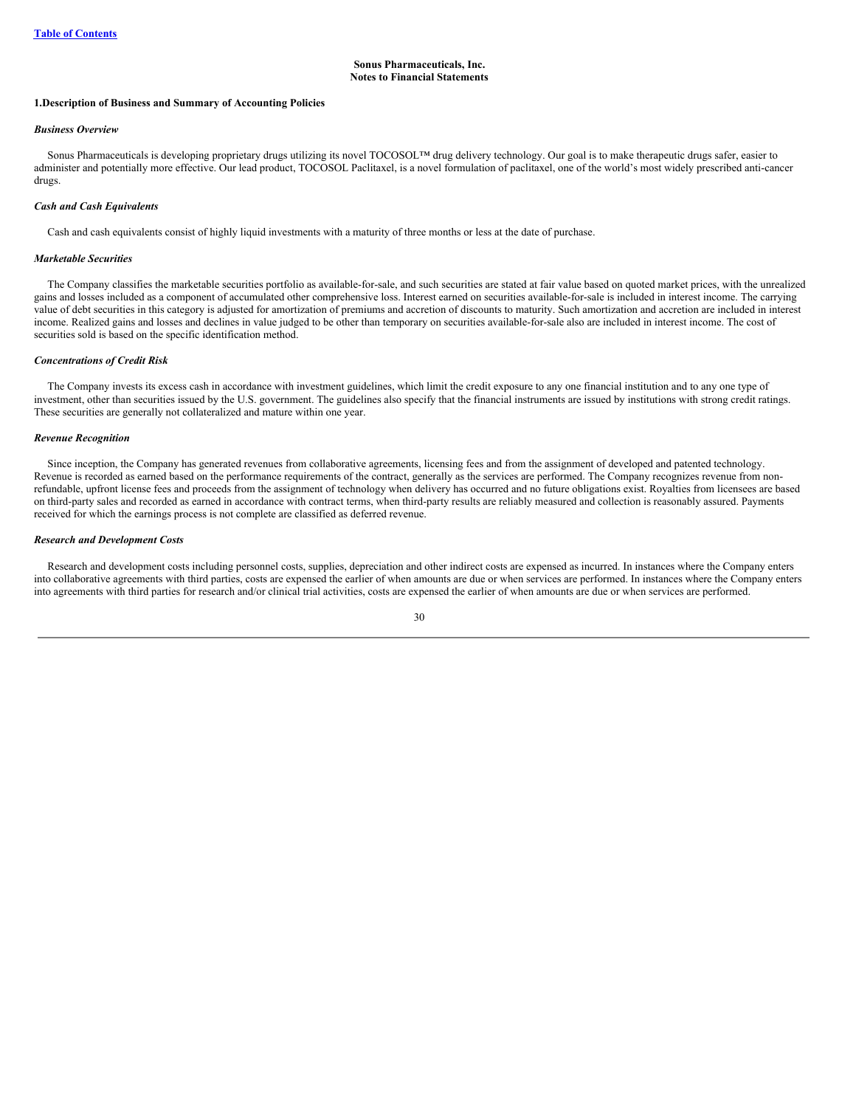#### **Sonus Pharmaceuticals, Inc. Notes to Financial Statements**

#### **1.Description of Business and Summary of Accounting Policies**

### *Business Overview*

Sonus Pharmaceuticals is developing proprietary drugs utilizing its novel TOCOSOL™ drug delivery technology. Our goal is to make therapeutic drugs safer, easier to administer and potentially more effective. Our lead product, TOCOSOL Paclitaxel, is a novel formulation of paclitaxel, one of the world's most widely prescribed anti-cancer drugs.

# *Cash and Cash Equivalents*

Cash and cash equivalents consist of highly liquid investments with a maturity of three months or less at the date of purchase.

#### *Marketable Securities*

The Company classifies the marketable securities portfolio as available-for-sale, and such securities are stated at fair value based on quoted market prices, with the unrealized gains and losses included as a component of accumulated other comprehensive loss. Interest earned on securities available-for-sale is included in interest income. The carrying value of debt securities in this category is adjusted for amortization of premiums and accretion of discounts to maturity. Such amortization and accretion are included in interest income. Realized gains and losses and declines in value judged to be other than temporary on securities available-for-sale also are included in interest income. The cost of securities sold is based on the specific identification method.

### *Concentrations of Credit Risk*

The Company invests its excess cash in accordance with investment guidelines, which limit the credit exposure to any one financial institution and to any one type of investment, other than securities issued by the U.S. government. The guidelines also specify that the financial instruments are issued by institutions with strong credit ratings. These securities are generally not collateralized and mature within one year.

#### *Revenue Recognition*

Since inception, the Company has generated revenues from collaborative agreements, licensing fees and from the assignment of developed and patented technology. Revenue is recorded as earned based on the performance requirements of the contract, generally as the services are performed. The Company recognizes revenue from nonrefundable, upfront license fees and proceeds from the assignment of technology when delivery has occurred and no future obligations exist. Royalties from licensees are based on third-party sales and recorded as earned in accordance with contract terms, when third-party results are reliably measured and collection is reasonably assured. Payments received for which the earnings process is not complete are classified as deferred revenue.

#### *Research and Development Costs*

Research and development costs including personnel costs, supplies, depreciation and other indirect costs are expensed as incurred. In instances where the Company enters into collaborative agreements with third parties, costs are expensed the earlier of when amounts are due or when services are performed. In instances where the Company enters into agreements with third parties for research and/or clinical trial activities, costs are expensed the earlier of when amounts are due or when services are performed.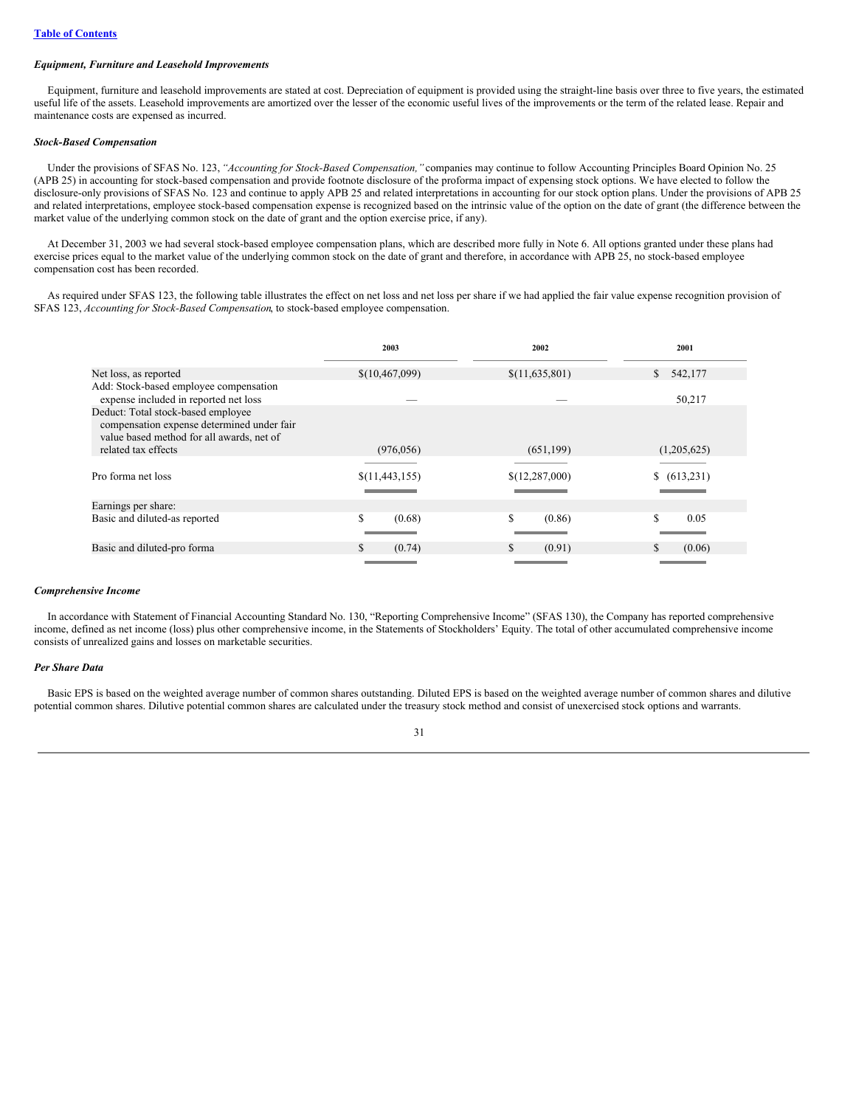#### *Equipment, Furniture and Leasehold Improvements*

Equipment, furniture and leasehold improvements are stated at cost. Depreciation of equipment is provided using the straight-line basis over three to five years, the estimated useful life of the assets. Leasehold improvements are amortized over the lesser of the economic useful lives of the improvements or the term of the related lease. Repair and maintenance costs are expensed as incurred.

#### *Stock-Based Compensation*

Under the provisions of SFAS No. 123, *"Accounting for Stock-Based Compensation,"* companies may continue to follow Accounting Principles Board Opinion No. 25 (APB 25) in accounting for stock-based compensation and provide footnote disclosure of the proforma impact of expensing stock options. We have elected to follow the disclosure-only provisions of SFAS No. 123 and continue to apply APB 25 and related interpretations in accounting for our stock option plans. Under the provisions of APB 25 and related interpretations, employee stock-based compensation expense is recognized based on the intrinsic value of the option on the date of grant (the difference between the market value of the underlying common stock on the date of grant and the option exercise price, if any).

At December 31, 2003 we had several stock-based employee compensation plans, which are described more fully in Note 6. All options granted under these plans had exercise prices equal to the market value of the underlying common stock on the date of grant and therefore, in accordance with APB 25, no stock-based employee compensation cost has been recorded.

As required under SFAS 123, the following table illustrates the effect on net loss and net loss per share if we had applied the fair value expense recognition provision of SFAS 123, *Accounting for Stock-Based Compensation*, to stock-based employee compensation.

|                                                                                                                               | 2003           | 2002           | 2001          |
|-------------------------------------------------------------------------------------------------------------------------------|----------------|----------------|---------------|
| Net loss, as reported                                                                                                         | \$(10,467,099) | \$(11,635,801) | 542,177<br>S. |
| Add: Stock-based employee compensation<br>expense included in reported net loss                                               |                |                | 50,217        |
| Deduct: Total stock-based employee<br>compensation expense determined under fair<br>value based method for all awards, net of |                |                |               |
| related tax effects                                                                                                           | (976, 056)     | (651, 199)     | (1,205,625)   |
| Pro forma net loss                                                                                                            | \$(11,443,155) | \$(12,287,000) | \$ (613,231)  |
| Earnings per share:                                                                                                           |                |                |               |
| Basic and diluted-as reported                                                                                                 | S<br>(0.68)    | \$<br>(0.86)   | 0.05          |
| Basic and diluted-pro forma                                                                                                   | S<br>(0.74)    | \$<br>(0.91)   | (0.06)        |
|                                                                                                                               |                |                |               |

### *Comprehensive Income*

In accordance with Statement of Financial Accounting Standard No. 130, "Reporting Comprehensive Income" (SFAS 130), the Company has reported comprehensive income, defined as net income (loss) plus other comprehensive income, in the Statements of Stockholders' Equity. The total of other accumulated comprehensive income consists of unrealized gains and losses on marketable securities.

#### *Per Share Data*

Basic EPS is based on the weighted average number of common shares outstanding. Diluted EPS is based on the weighted average number of common shares and dilutive potential common shares. Dilutive potential common shares are calculated under the treasury stock method and consist of unexercised stock options and warrants.

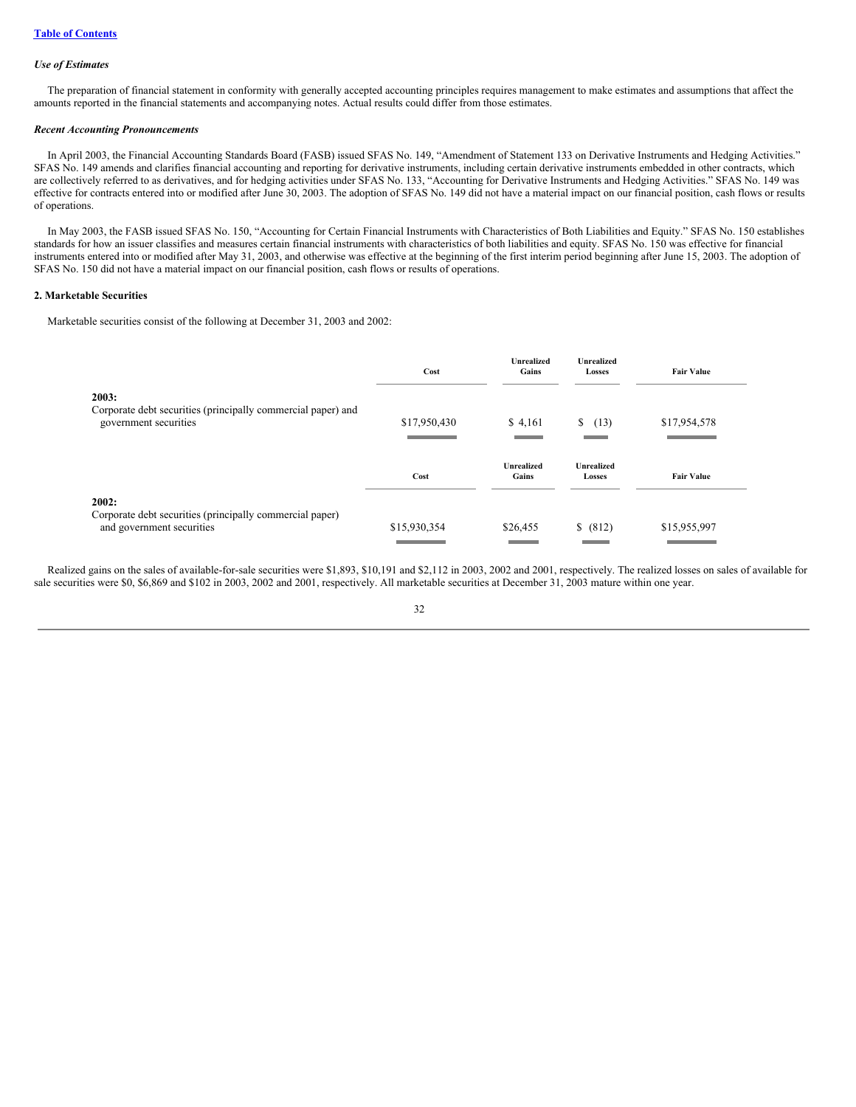#### *Use of Estimates*

The preparation of financial statement in conformity with generally accepted accounting principles requires management to make estimates and assumptions that affect the amounts reported in the financial statements and accompanying notes. Actual results could differ from those estimates.

### *Recent Accounting Pronouncements*

In April 2003, the Financial Accounting Standards Board (FASB) issued SFAS No. 149, "Amendment of Statement 133 on Derivative Instruments and Hedging Activities." SFAS No. 149 amends and clarifies financial accounting and reporting for derivative instruments, including certain derivative instruments embedded in other contracts, which are collectively referred to as derivatives, and for hedging activities under SFAS No. 133, "Accounting for Derivative Instruments and Hedging Activities." SFAS No. 149 was effective for contracts entered into or modified after June 30, 2003. The adoption of SFAS No. 149 did not have a material impact on our financial position, cash flows or results of operations.

In May 2003, the FASB issued SFAS No. 150, "Accounting for Certain Financial Instruments with Characteristics of Both Liabilities and Equity." SFAS No. 150 establishes standards for how an issuer classifies and measures certain financial instruments with characteristics of both liabilities and equity. SFAS No. 150 was effective for financial instruments entered into or modified after May 31, 2003, and otherwise was effective at the beginning of the first interim period beginning after June 15, 2003. The adoption of SFAS No. 150 did not have a material impact on our financial position, cash flows or results of operations.

#### **2. Marketable Securities**

Marketable securities consist of the following at December 31, 2003 and 2002:

|                                                                                                | Cost         | <b>Unrealized</b><br>Gains | <b>Unrealized</b><br>Losses | <b>Fair Value</b> |
|------------------------------------------------------------------------------------------------|--------------|----------------------------|-----------------------------|-------------------|
| 2003:<br>Corporate debt securities (principally commercial paper) and<br>government securities | \$17,950,430 | \$4,161                    | (13)<br>S.                  | \$17,954,578      |
|                                                                                                | Cost         | <b>Unrealized</b><br>Gains | <b>Unrealized</b><br>Losses | <b>Fair Value</b> |
| 2002:<br>Corporate debt securities (principally commercial paper)<br>and government securities | \$15,930,354 | \$26,455                   | \$ (812)                    | \$15,955,997      |

Realized gains on the sales of available-for-sale securities were \$1,893, \$10,191 and \$2,112 in 2003, 2002 and 2001, respectively. The realized losses on sales of available for sale securities were \$0, \$6,869 and \$102 in 2003, 2002 and 2001, respectively. All marketable securities at December 31, 2003 mature within one year.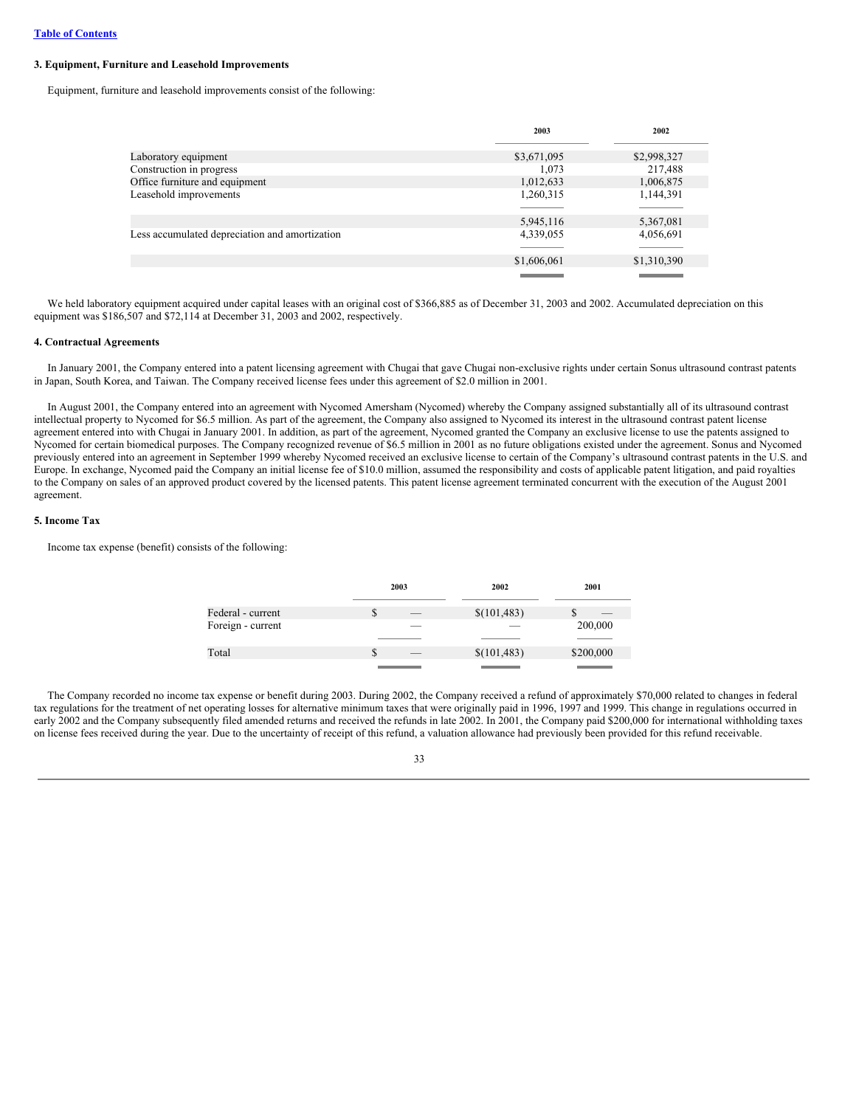#### **3. Equipment, Furniture and Leasehold Improvements**

Equipment, furniture and leasehold improvements consist of the following:

|                                                | 2003        | 2002        |
|------------------------------------------------|-------------|-------------|
| Laboratory equipment                           | \$3,671,095 | \$2,998,327 |
| Construction in progress                       | 1,073       | 217,488     |
| Office furniture and equipment                 | 1,012,633   | 1,006,875   |
| Leasehold improvements                         | 1,260,315   | 1,144,391   |
|                                                |             |             |
|                                                | 5,945,116   | 5,367,081   |
| Less accumulated depreciation and amortization | 4,339,055   | 4,056,691   |
|                                                |             |             |
|                                                | \$1,606,061 | \$1,310,390 |
|                                                |             |             |

We held laboratory equipment acquired under capital leases with an original cost of \$366,885 as of December 31, 2003 and 2002. Accumulated depreciation on this equipment was \$186,507 and \$72,114 at December 31, 2003 and 2002, respectively.

#### **4. Contractual Agreements**

In January 2001, the Company entered into a patent licensing agreement with Chugai that gave Chugai non-exclusive rights under certain Sonus ultrasound contrast patents in Japan, South Korea, and Taiwan. The Company received license fees under this agreement of \$2.0 million in 2001.

In August 2001, the Company entered into an agreement with Nycomed Amersham (Nycomed) whereby the Company assigned substantially all of its ultrasound contrast intellectual property to Nycomed for \$6.5 million. As part of the agreement, the Company also assigned to Nycomed its interest in the ultrasound contrast patent license agreement entered into with Chugai in January 2001. In addition, as part of the agreement, Nycomed granted the Company an exclusive license to use the patents assigned to Nycomed for certain biomedical purposes. The Company recognized revenue of \$6.5 million in 2001 as no future obligations existed under the agreement. Sonus and Nycomed previously entered into an agreement in September 1999 whereby Nycomed received an exclusive license to certain of the Company's ultrasound contrast patents in the U.S. and Europe. In exchange, Nycomed paid the Company an initial license fee of \$10.0 million, assumed the responsibility and costs of applicable patent litigation, and paid royalties to the Company on sales of an approved product covered by the licensed patents. This patent license agreement terminated concurrent with the execution of the August 2001 agreement.

### **5. Income Tax**

Income tax expense (benefit) consists of the following:

|                   | 2003 | 2002         | 2001      |
|-------------------|------|--------------|-----------|
| Federal - current | P    | \$(101,483)  |           |
| Foreign - current |      |              | 200,000   |
|                   |      |              |           |
| Total             | S    | \$(101, 483) | \$200,000 |
|                   |      |              |           |

The Company recorded no income tax expense or benefit during 2003. During 2002, the Company received a refund of approximately \$70,000 related to changes in federal tax regulations for the treatment of net operating losses for alternative minimum taxes that were originally paid in 1996, 1997 and 1999. This change in regulations occurred in early 2002 and the Company subsequently filed amended returns and received the refunds in late 2002. In 2001, the Company paid \$200,000 for international withholding taxes on license fees received during the year. Due to the uncertainty of receipt of this refund, a valuation allowance had previously been provided for this refund receivable.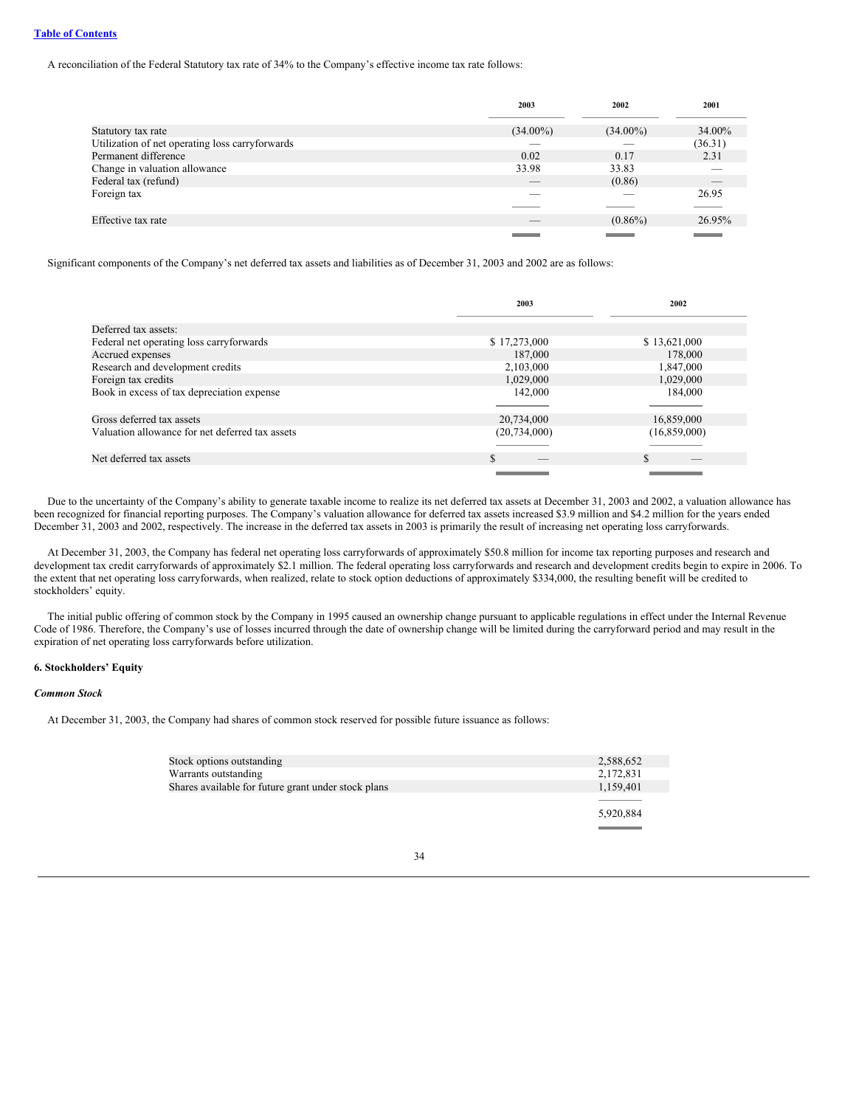# **Table of [Contents](#page-0-0)**

A reconciliation of the Federal Statutory tax rate of 34% to the Company's effective income tax rate follows:

|                                                 | 2003        | 2002        | 2001                     |
|-------------------------------------------------|-------------|-------------|--------------------------|
| Statutory tax rate                              | $(34.00\%)$ | $(34.00\%)$ | 34.00%                   |
| Utilization of net operating loss carryforwards |             |             | (36.31)                  |
| Permanent difference                            | 0.02        | 0.17        | 2.31                     |
| Change in valuation allowance                   | 33.98       | 33.83       | -                        |
| Federal tax (refund)                            | $-$         | (0.86)      | $\overline{\phantom{a}}$ |
| Foreign tax                                     |             |             | 26.95                    |
|                                                 |             |             |                          |
| Effective tax rate                              |             | $(0.86\%)$  | 26.95%                   |
|                                                 |             |             |                          |

Significant components of the Company's net deferred tax assets and liabilities as of December 31, 2003 and 2002 are as follows:

|                                                 | 2003           | 2002         |
|-------------------------------------------------|----------------|--------------|
| Deferred tax assets:                            |                |              |
| Federal net operating loss carryforwards        | \$17,273,000   | \$13,621,000 |
| Accrued expenses                                | 187,000        | 178,000      |
| Research and development credits                | 2,103,000      | 1,847,000    |
| Foreign tax credits                             | 1,029,000      | 1,029,000    |
| Book in excess of tax depreciation expense      | 142,000        | 184,000      |
| Gross deferred tax assets                       | 20,734,000     | 16,859,000   |
| Valuation allowance for net deferred tax assets | (20, 734, 000) | (16,859,000) |
| Net deferred tax assets                         | S<br>$-$       | S<br>$-$     |
|                                                 |                |              |

Due to the uncertainty of the Company's ability to generate taxable income to realize its net deferred tax assets at December 31, 2003 and 2002, a valuation allowance has been recognized for financial reporting purposes. The Company's valuation allowance for deferred tax assets increased \$3.9 million and \$4.2 million for the years ended December 31, 2003 and 2002, respectively. The increase in the deferred tax assets in 2003 is primarily the result of increasing net operating loss carryforwards.

At December 31, 2003, the Company has federal net operating loss carryforwards of approximately \$50.8 million for income tax reporting purposes and research and development tax credit carryforwards of approximately \$2.1 million. The federal operating loss carryforwards and research and development credits begin to expire in 2006. To the extent that net operating loss carryforwards, when realized, relate to stock option deductions of approximately \$334,000, the resulting benefit will be credited to stockholders' equity.

The initial public offering of common stock by the Company in 1995 caused an ownership change pursuant to applicable regulations in effect under the Internal Revenue Code of 1986. Therefore, the Company's use of losses incurred through the date of ownership change will be limited during the carryforward period and may result in the expiration of net operating loss carryforwards before utilization.

#### **6. Stockholders' Equity**

### *Common Stock*

At December 31, 2003, the Company had shares of common stock reserved for possible future issuance as follows:

| Stock options outstanding                           | 2,588,652 |
|-----------------------------------------------------|-----------|
| Warrants outstanding                                | 2,172,831 |
| Shares available for future grant under stock plans | 1,159,401 |
|                                                     |           |
|                                                     | 5,920,884 |
|                                                     |           |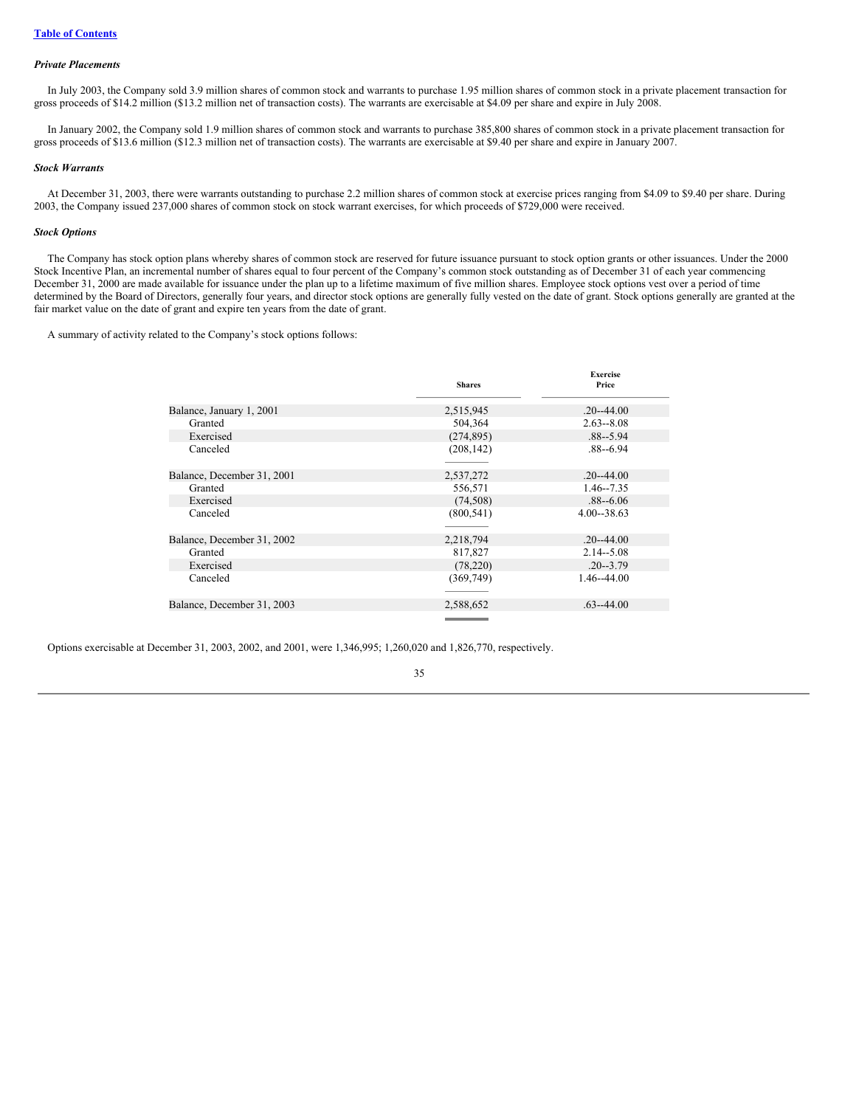#### *Private Placements*

In July 2003, the Company sold 3.9 million shares of common stock and warrants to purchase 1.95 million shares of common stock in a private placement transaction for gross proceeds of \$14.2 million (\$13.2 million net of transaction costs). The warrants are exercisable at \$4.09 per share and expire in July 2008.

In January 2002, the Company sold 1.9 million shares of common stock and warrants to purchase 385,800 shares of common stock in a private placement transaction for gross proceeds of \$13.6 million (\$12.3 million net of transaction costs). The warrants are exercisable at \$9.40 per share and expire in January 2007.

#### *Stock Warrants*

At December 31, 2003, there were warrants outstanding to purchase 2.2 million shares of common stock at exercise prices ranging from \$4.09 to \$9.40 per share. During 2003, the Company issued 237,000 shares of common stock on stock warrant exercises, for which proceeds of \$729,000 were received.

#### *Stock Options*

The Company has stock option plans whereby shares of common stock are reserved for future issuance pursuant to stock option grants or other issuances. Under the 2000 Stock Incentive Plan, an incremental number of shares equal to four percent of the Company's common stock outstanding as of December 31 of each year commencing December 31, 2000 are made available for issuance under the plan up to a lifetime maximum of five million shares. Employee stock options vest over a period of time determined by the Board of Directors, generally four years, and director stock options are generally fully vested on the date of grant. Stock options generally are granted at the fair market value on the date of grant and expire ten years from the date of grant.

A summary of activity related to the Company's stock options follows:

|                            | <b>Shares</b> | <b>Exercise</b><br>Price |
|----------------------------|---------------|--------------------------|
| Balance, January 1, 2001   | 2,515,945     | $.20 - 44.00$            |
| Granted                    | 504,364       | $2.63 - 8.08$            |
| Exercised                  | (274, 895)    | $.88 - 5.94$             |
| Canceled                   | (208, 142)    | $.88 - 6.94$             |
| Balance, December 31, 2001 | 2,537,272     | $.20 - 44.00$            |
| Granted                    | 556,571       | $1.46 - 7.35$            |
| Exercised                  | (74, 508)     | $.88 - 6.06$             |
| Canceled                   | (800, 541)    | $4.00 - 38.63$           |
| Balance, December 31, 2002 | 2,218,794     | $.20 - 44.00$            |
| Granted                    | 817,827       | $2.14 - 5.08$            |
| Exercised                  | (78,220)      | $.20 - 3.79$             |
| Canceled                   | (369, 749)    | $1.46 - 44.00$           |
| Balance, December 31, 2003 | 2,588,652     | $.63 - 44.00$            |

Options exercisable at December 31, 2003, 2002, and 2001, were 1,346,995; 1,260,020 and 1,826,770, respectively.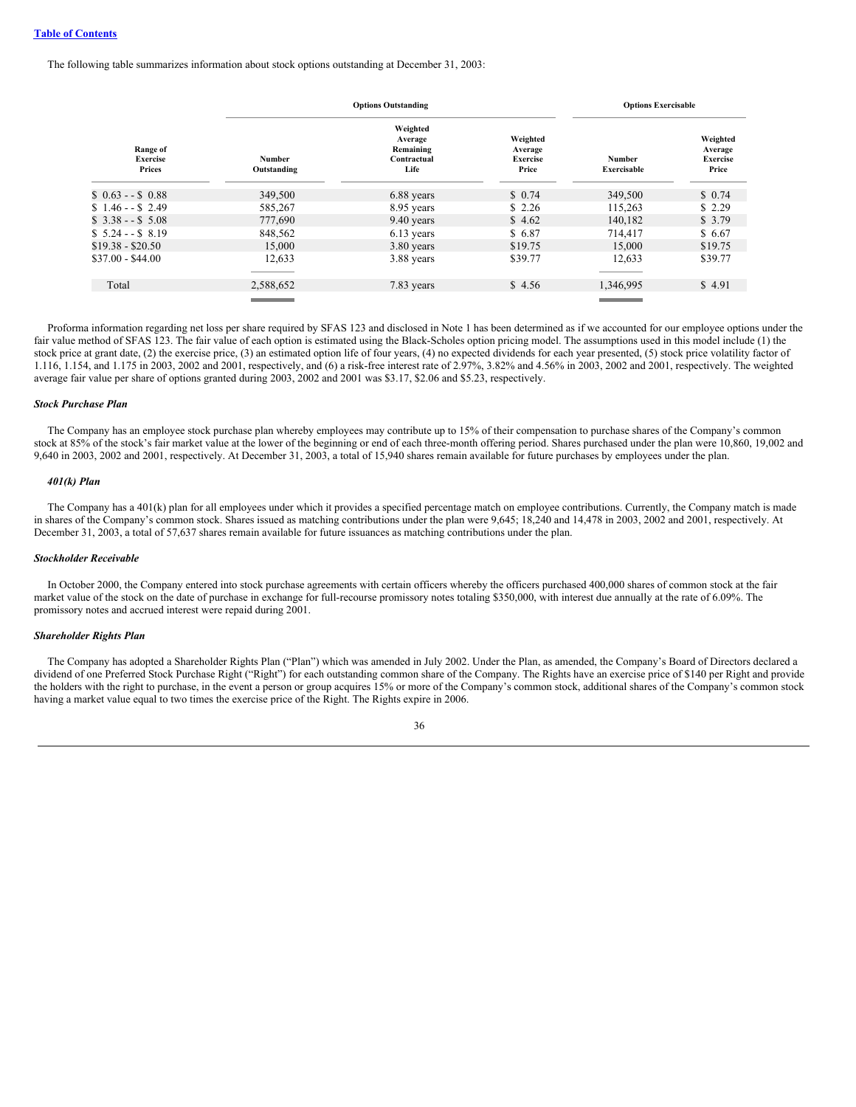The following table summarizes information about stock options outstanding at December 31, 2003:

|                                       |                              | <b>Options Outstanding</b>                              |                                                 | <b>Options Exercisable</b> |                                                 |
|---------------------------------------|------------------------------|---------------------------------------------------------|-------------------------------------------------|----------------------------|-------------------------------------------------|
| Range of<br><b>Exercise</b><br>Prices | <b>Number</b><br>Outstanding | Weighted<br>Average<br>Remaining<br>Contractual<br>Life | Weighted<br>Average<br><b>Exercise</b><br>Price | Number<br>Exercisable      | Weighted<br>Average<br><b>Exercise</b><br>Price |
| $$0.63 - $0.88$                       | 349,500                      | 6.88 years                                              | \$0.74                                          | 349,500                    | \$0.74                                          |
| $$1.46 - $2.49$                       | 585,267                      | 8.95 years                                              | \$2.26                                          | 115,263                    | \$2.29                                          |
| $$3.38 - $5.08$                       | 777,690                      | 9.40 years                                              | \$4.62                                          | 140.182                    | \$3.79                                          |
| $$5.24 - $8.19$                       | 848,562                      | $6.13$ years                                            | \$6.87                                          | 714,417                    | \$6.67                                          |
| \$19.38 - \$20.50                     | 15,000                       | 3.80 years                                              | \$19.75                                         | 15,000                     | \$19.75                                         |
| \$37.00 - \$44.00                     | 12,633                       | 3.88 years                                              | \$39.77                                         | 12,633                     | \$39.77                                         |
| Total                                 | 2,588,652                    | 7.83 years                                              | \$4.56                                          | 1,346,995                  | \$4.91                                          |
|                                       |                              |                                                         |                                                 |                            |                                                 |

Proforma information regarding net loss per share required by SFAS 123 and disclosed in Note 1 has been determined as if we accounted for our employee options under the fair value method of SFAS 123. The fair value of each option is estimated using the Black-Scholes option pricing model. The assumptions used in this model include (1) the stock price at grant date, (2) the exercise price, (3) an estimated option life of four years, (4) no expected dividends for each year presented, (5) stock price volatility factor of 1.116, 1.154, and 1.175 in 2003, 2002 and 2001, respectively, and (6) a risk-free interest rate of 2.97%, 3.82% and 4.56% in 2003, 2002 and 2001, respectively. The weighted average fair value per share of options granted during 2003, 2002 and 2001 was \$3.17, \$2.06 and \$5.23, respectively.

#### *Stock Purchase Plan*

The Company has an employee stock purchase plan whereby employees may contribute up to 15% of their compensation to purchase shares of the Company's common stock at 85% of the stock's fair market value at the lower of the beginning or end of each three-month offering period. Shares purchased under the plan were 10,860, 19,002 and 9,640 in 2003, 2002 and 2001, respectively. At December 31, 2003, a total of 15,940 shares remain available for future purchases by employees under the plan.

### *401(k) Plan*

The Company has a 401(k) plan for all employees under which it provides a specified percentage match on employee contributions. Currently, the Company match is made in shares of the Company's common stock. Shares issued as matching contributions under the plan were 9,645; 18,240 and 14,478 in 2003, 2002 and 2001, respectively. At December 31, 2003, a total of 57,637 shares remain available for future issuances as matching contributions under the plan.

#### *Stockholder Receivable*

In October 2000, the Company entered into stock purchase agreements with certain officers whereby the officers purchased 400,000 shares of common stock at the fair market value of the stock on the date of purchase in exchange for full-recourse promissory notes totaling \$350,000, with interest due annually at the rate of 6.09%. The promissory notes and accrued interest were repaid during 2001.

## *Shareholder Rights Plan*

The Company has adopted a Shareholder Rights Plan ("Plan") which was amended in July 2002. Under the Plan, as amended, the Company's Board of Directors declared a dividend of one Preferred Stock Purchase Right ("Right") for each outstanding common share of the Company. The Rights have an exercise price of \$140 per Right and provide the holders with the right to purchase, in the event a person or group acquires 15% or more of the Company's common stock, additional shares of the Company's common stock having a market value equal to two times the exercise price of the Right. The Rights expire in 2006.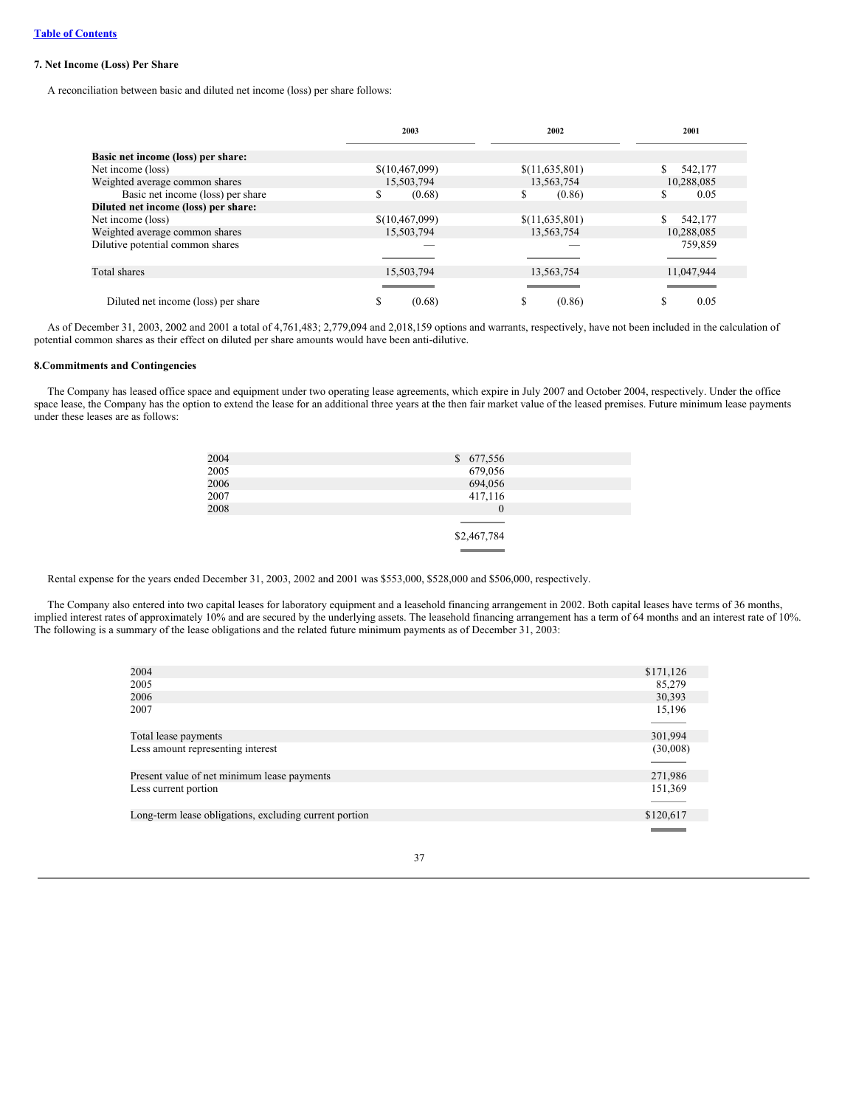# **7. Net Income (Loss) Per Share**

A reconciliation between basic and diluted net income (loss) per share follows:

|                                      | 2003           | 2002           | 2001        |
|--------------------------------------|----------------|----------------|-------------|
|                                      |                |                |             |
| Basic net income (loss) per share:   |                |                |             |
| Net income (loss)                    | \$(10,467,099) | \$(11,635,801) | 542,177     |
| Weighted average common shares       | 15,503,794     | 13,563,754     | 10,288,085  |
| Basic net income (loss) per share    | (0.68)<br>S    | \$<br>(0.86)   | \$.<br>0.05 |
| Diluted net income (loss) per share: |                |                |             |
| Net income (loss)                    | \$(10,467,099) | \$(11,635,801) | 542,177     |
| Weighted average common shares       | 15,503,794     | 13,563,754     | 10,288,085  |
| Dilutive potential common shares     |                |                | 759,859     |
|                                      |                |                |             |
| Total shares                         | 15,503,794     | 13,563,754     | 11,047,944  |
|                                      |                |                |             |
| Diluted net income (loss) per share  | (0.68)         | (0.86)<br>ъ    | S<br>0.05   |

As of December 31, 2003, 2002 and 2001 a total of 4,761,483; 2,779,094 and 2,018,159 options and warrants, respectively, have not been included in the calculation of potential common shares as their effect on diluted per share amounts would have been anti-dilutive.

### **8.Commitments and Contingencies**

The Company has leased office space and equipment under two operating lease agreements, which expire in July 2007 and October 2004, respectively. Under the office space lease, the Company has the option to extend the lease for an additional three years at the then fair market value of the leased premises. Future minimum lease payments under these leases are as follows:

| 2004 | \$ 677,556   |  |
|------|--------------|--|
| 2005 | 679,056      |  |
| 2006 | 694,056      |  |
| 2007 | 417,116      |  |
| 2008 | $\mathbf{0}$ |  |
|      |              |  |
|      | \$2,467,784  |  |

Rental expense for the years ended December 31, 2003, 2002 and 2001 was \$553,000, \$528,000 and \$506,000, respectively.

The Company also entered into two capital leases for laboratory equipment and a leasehold financing arrangement in 2002. Both capital leases have terms of 36 months, implied interest rates of approximately 10% and are secured by the underlying assets. The leasehold financing arrangement has a term of 64 months and an interest rate of 10%. The following is a summary of the lease obligations and the related future minimum payments as of December 31, 2003:

| 2004                                                   | \$171,126 |
|--------------------------------------------------------|-----------|
| 2005                                                   | 85,279    |
| 2006                                                   | 30,393    |
| 2007                                                   | 15,196    |
|                                                        |           |
| Total lease payments                                   | 301,994   |
| Less amount representing interest                      | (30,008)  |
|                                                        |           |
| Present value of net minimum lease payments            | 271,986   |
| Less current portion                                   | 151,369   |
|                                                        |           |
| Long-term lease obligations, excluding current portion | \$120,617 |
|                                                        |           |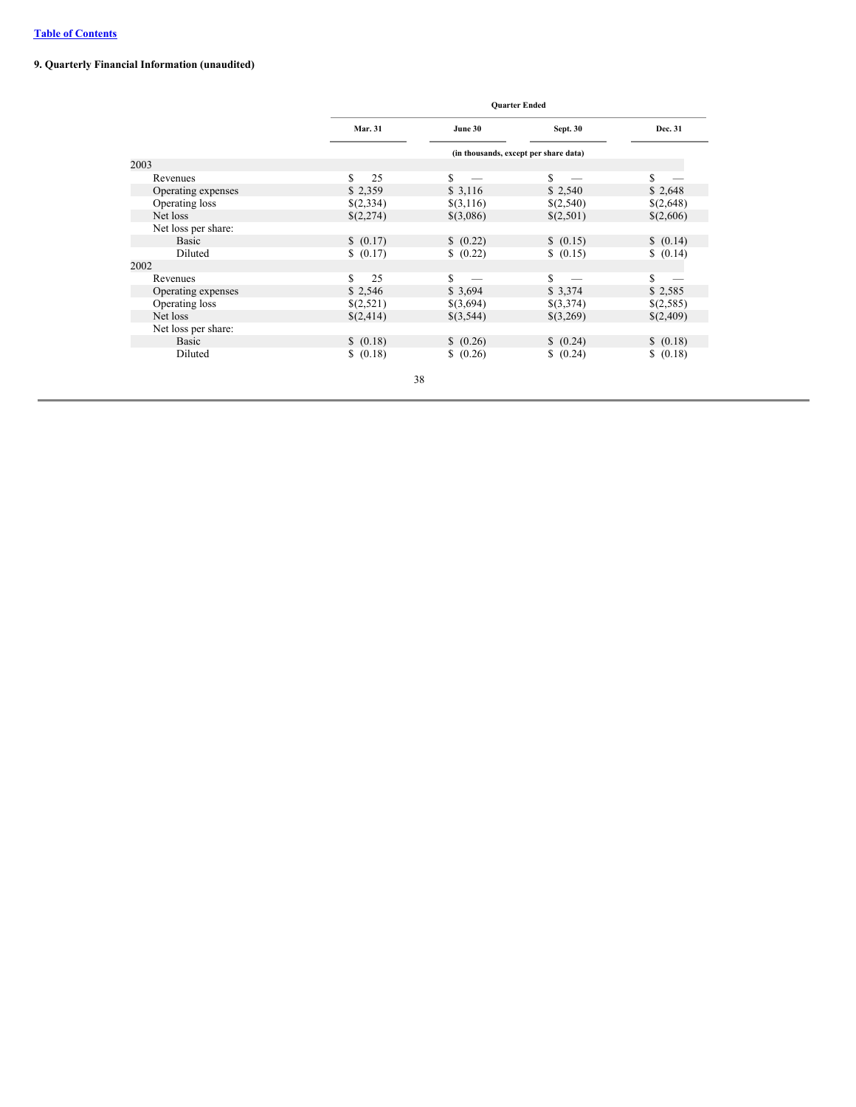# **9. Quarterly Financial Information (unaudited)**

|                     | <b>Quarter Ended</b> |           |                                       |           |
|---------------------|----------------------|-----------|---------------------------------------|-----------|
|                     | <b>Mar. 31</b>       | June 30   | <b>Sept. 30</b>                       | Dec. 31   |
|                     |                      |           | (in thousands, except per share data) |           |
| 2003                |                      |           |                                       |           |
| Revenues            | S.<br>25             | S.        | \$                                    | S         |
| Operating expenses  | \$2,359              | \$3,116   | \$2,540                               | \$2,648   |
| Operating loss      | \$(2,334)            | \$(3,116) | \$(2,540)                             | \$(2,648) |
| Net loss            | \$(2,274)            | \$(3,086) | \$(2,501)                             | \$(2,606) |
| Net loss per share: |                      |           |                                       |           |
| Basic               | (0.17)               | (0.22)    | (0.15)                                | \$ (0.14) |
| Diluted             | (0.17)               | \$ (0.22) | (0.15)                                | \$(0.14)  |
| 2002                |                      |           |                                       |           |
| Revenues            | S.<br>25             | S.        | \$.                                   | S         |
| Operating expenses  | \$2,546              | \$3,694   | \$3,374                               | \$2,585   |
| Operating loss      | \$(2,521)            | \$(3,694) | \$(3,374)                             | \$(2,585) |
| Net loss            | \$(2,414)            | \$(3,544) | \$(3,269)                             | \$(2,409) |
| Net loss per share: |                      |           |                                       |           |
| Basic               | \$ (0.18)            | \$ (0.26) | (0.24)                                | \$(0.18)  |
| Diluted             | \$(0.18)             | \$ (0.26) | (0.24)                                | \$(0.18)  |
|                     | 38                   |           |                                       |           |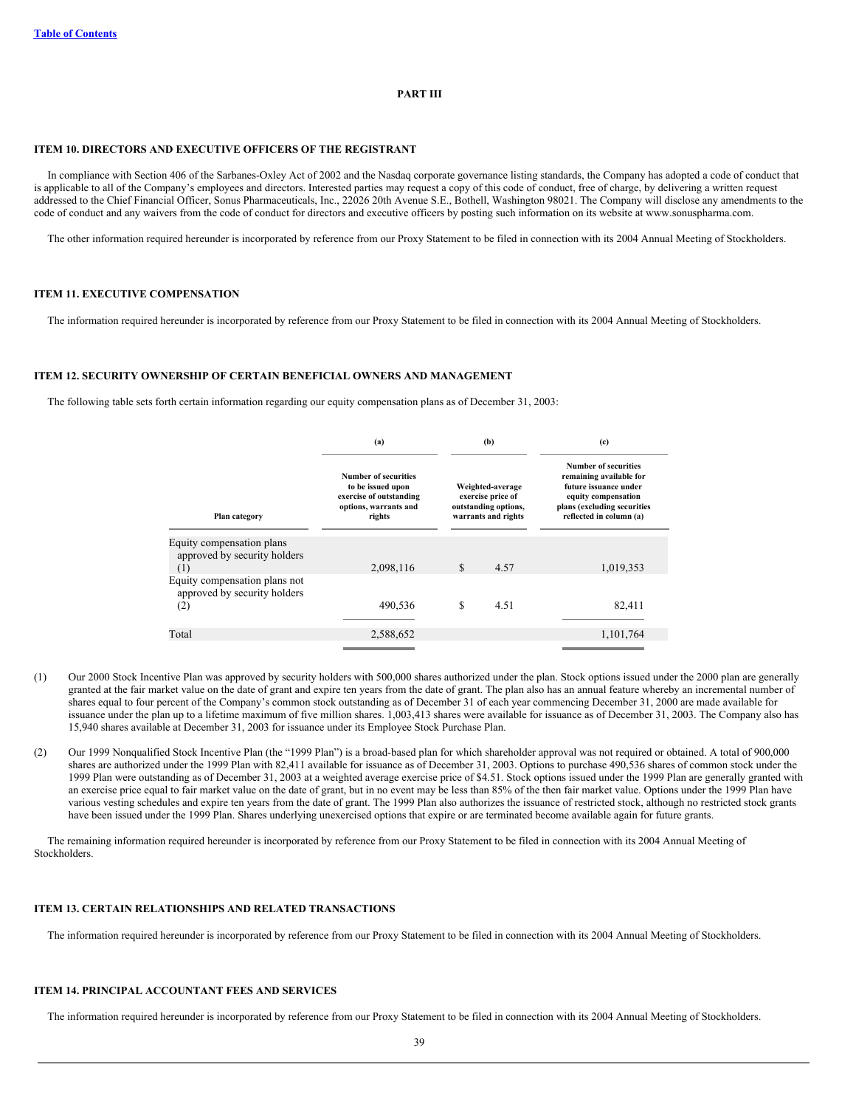# **PART III**

#### <span id="page-39-1"></span><span id="page-39-0"></span>**ITEM 10. DIRECTORS AND EXECUTIVE OFFICERS OF THE REGISTRANT**

In compliance with Section 406 of the Sarbanes-Oxley Act of 2002 and the Nasdaq corporate governance listing standards, the Company has adopted a code of conduct that is applicable to all of the Company's employees and directors. Interested parties may request a copy of this code of conduct, free of charge, by delivering a written request addressed to the Chief Financial Officer, Sonus Pharmaceuticals, Inc., 22026 20th Avenue S.E., Bothell, Washington 98021. The Company will disclose any amendments to the code of conduct and any waivers from the code of conduct for directors and executive officers by posting such information on its website at www.sonuspharma.com.

<span id="page-39-2"></span>The other information required hereunder is incorporated by reference from our Proxy Statement to be filed in connection with its 2004 Annual Meeting of Stockholders.

#### **ITEM 11. EXECUTIVE COMPENSATION**

<span id="page-39-3"></span>The information required hereunder is incorporated by reference from our Proxy Statement to be filed in connection with its 2004 Annual Meeting of Stockholders.

#### **ITEM 12. SECURITY OWNERSHIP OF CERTAIN BENEFICIAL OWNERS AND MANAGEMENT**

The following table sets forth certain information regarding our equity compensation plans as of December 31, 2003:

|                                                               | (a)                                                                                                                                                                                             | (b) |                                                                                                                                                           | (c)       |  |
|---------------------------------------------------------------|-------------------------------------------------------------------------------------------------------------------------------------------------------------------------------------------------|-----|-----------------------------------------------------------------------------------------------------------------------------------------------------------|-----------|--|
| Plan category                                                 | Number of securities<br>to be issued upon<br>Weighted-average<br>exercise of outstanding<br>exercise price of<br>options, warrants and<br>outstanding options,<br>rights<br>warrants and rights |     | Number of securities<br>remaining available for<br>future issuance under<br>equity compensation<br>plans (excluding securities<br>reflected in column (a) |           |  |
| Equity compensation plans<br>approved by security holders     |                                                                                                                                                                                                 |     |                                                                                                                                                           |           |  |
| (1)                                                           | 2,098,116                                                                                                                                                                                       | \$. | 4.57                                                                                                                                                      | 1,019,353 |  |
| Equity compensation plans not<br>approved by security holders |                                                                                                                                                                                                 |     |                                                                                                                                                           |           |  |
| (2)                                                           | 490,536                                                                                                                                                                                         | S   | 4.51                                                                                                                                                      | 82,411    |  |
| Total                                                         | 2,588,652                                                                                                                                                                                       |     |                                                                                                                                                           | 1,101,764 |  |
|                                                               |                                                                                                                                                                                                 |     |                                                                                                                                                           |           |  |

- (1) Our 2000 Stock Incentive Plan was approved by security holders with 500,000 shares authorized under the plan. Stock options issued under the 2000 plan are generally granted at the fair market value on the date of grant and expire ten years from the date of grant. The plan also has an annual feature whereby an incremental number of shares equal to four percent of the Company's common stock outstanding as of December 31 of each year commencing December 31, 2000 are made available for issuance under the plan up to a lifetime maximum of five million shares. 1,003,413 shares were available for issuance as of December 31, 2003. The Company also has 15,940 shares available at December 31, 2003 for issuance under its Employee Stock Purchase Plan.
- (2) Our 1999 Nonqualified Stock Incentive Plan (the "1999 Plan") is a broad-based plan for which shareholder approval was not required or obtained. A total of 900,000 shares are authorized under the 1999 Plan with 82,411 available for issuance as of December 31, 2003. Options to purchase 490,536 shares of common stock under the 1999 Plan were outstanding as of December 31, 2003 at a weighted average exercise price of \$4.51. Stock options issued under the 1999 Plan are generally granted with an exercise price equal to fair market value on the date of grant, but in no event may be less than 85% of the then fair market value. Options under the 1999 Plan have various vesting schedules and expire ten years from the date of grant. The 1999 Plan also authorizes the issuance of restricted stock, although no restricted stock grants have been issued under the 1999 Plan. Shares underlying unexercised options that expire or are terminated become available again for future grants.

The remaining information required hereunder is incorporated by reference from our Proxy Statement to be filed in connection with its 2004 Annual Meeting of **Stockholders** 

# <span id="page-39-4"></span>**ITEM 13. CERTAIN RELATIONSHIPS AND RELATED TRANSACTIONS**

<span id="page-39-5"></span>The information required hereunder is incorporated by reference from our Proxy Statement to be filed in connection with its 2004 Annual Meeting of Stockholders.

# **ITEM 14. PRINCIPAL ACCOUNTANT FEES AND SERVICES**

The information required hereunder is incorporated by reference from our Proxy Statement to be filed in connection with its 2004 Annual Meeting of Stockholders.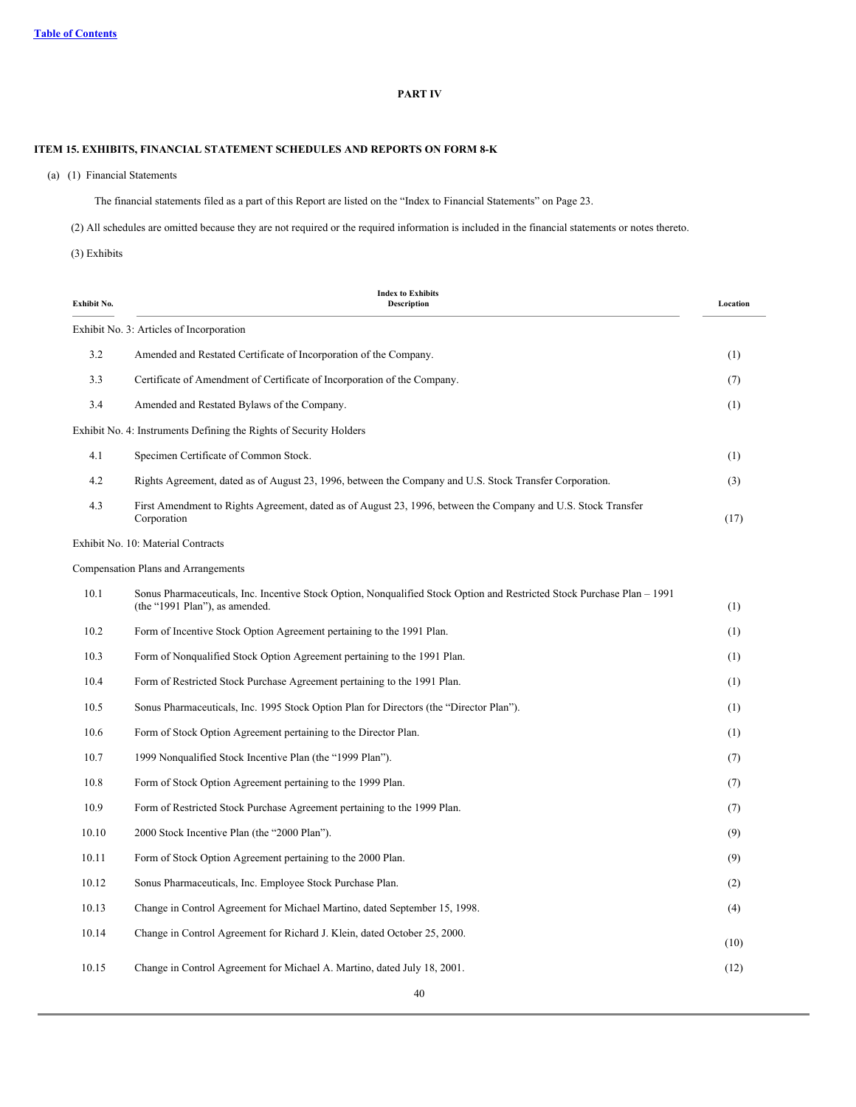# **PART IV**

# <span id="page-40-1"></span><span id="page-40-0"></span>**ITEM 15. EXHIBITS, FINANCIAL STATEMENT SCHEDULES AND REPORTS ON FORM 8-K**

(a) (1) Financial Statements

The financial statements filed as a part of this Report are listed on the "Index to Financial Statements" on Page 23.

(2) All schedules are omitted because they are not required or the required information is included in the financial statements or notes thereto.

(3) Exhibits

| Exhibit No. | <b>Index to Exhibits</b><br><b>Description</b>                                                                                                            | Location |
|-------------|-----------------------------------------------------------------------------------------------------------------------------------------------------------|----------|
|             | Exhibit No. 3: Articles of Incorporation                                                                                                                  |          |
| 3.2         | Amended and Restated Certificate of Incorporation of the Company.                                                                                         | (1)      |
| 3.3         | Certificate of Amendment of Certificate of Incorporation of the Company.                                                                                  | (7)      |
| 3.4         | Amended and Restated Bylaws of the Company.                                                                                                               | (1)      |
|             | Exhibit No. 4: Instruments Defining the Rights of Security Holders                                                                                        |          |
| 4.1         | Specimen Certificate of Common Stock.                                                                                                                     | (1)      |
| 4.2         | Rights Agreement, dated as of August 23, 1996, between the Company and U.S. Stock Transfer Corporation.                                                   | (3)      |
| 4.3         | First Amendment to Rights Agreement, dated as of August 23, 1996, between the Company and U.S. Stock Transfer<br>Corporation                              | (17)     |
|             | Exhibit No. 10: Material Contracts                                                                                                                        |          |
|             | Compensation Plans and Arrangements                                                                                                                       |          |
| 10.1        | Sonus Pharmaceuticals, Inc. Incentive Stock Option, Nonqualified Stock Option and Restricted Stock Purchase Plan – 1991<br>(the "1991 Plan"), as amended. | (1)      |
| 10.2        | Form of Incentive Stock Option Agreement pertaining to the 1991 Plan.                                                                                     | (1)      |
| 10.3        | Form of Nonqualified Stock Option Agreement pertaining to the 1991 Plan.                                                                                  | (1)      |
| 10.4        | Form of Restricted Stock Purchase Agreement pertaining to the 1991 Plan.                                                                                  | (1)      |
| 10.5        | Sonus Pharmaceuticals, Inc. 1995 Stock Option Plan for Directors (the "Director Plan").                                                                   | (1)      |
| 10.6        | Form of Stock Option Agreement pertaining to the Director Plan.                                                                                           | (1)      |
| 10.7        | 1999 Nonqualified Stock Incentive Plan (the "1999 Plan").                                                                                                 | (7)      |
| 10.8        | Form of Stock Option Agreement pertaining to the 1999 Plan.                                                                                               | (7)      |
| 10.9        | Form of Restricted Stock Purchase Agreement pertaining to the 1999 Plan.                                                                                  | (7)      |
| 10.10       | 2000 Stock Incentive Plan (the "2000 Plan").                                                                                                              | (9)      |
| 10.11       | Form of Stock Option Agreement pertaining to the 2000 Plan.                                                                                               | (9)      |
| 10.12       | Sonus Pharmaceuticals, Inc. Employee Stock Purchase Plan.                                                                                                 | (2)      |
| 10.13       | Change in Control Agreement for Michael Martino, dated September 15, 1998.                                                                                | (4)      |
| 10.14       | Change in Control Agreement for Richard J. Klein, dated October 25, 2000.                                                                                 | (10)     |
| 10.15       | Change in Control Agreement for Michael A. Martino, dated July 18, 2001.                                                                                  | (12)     |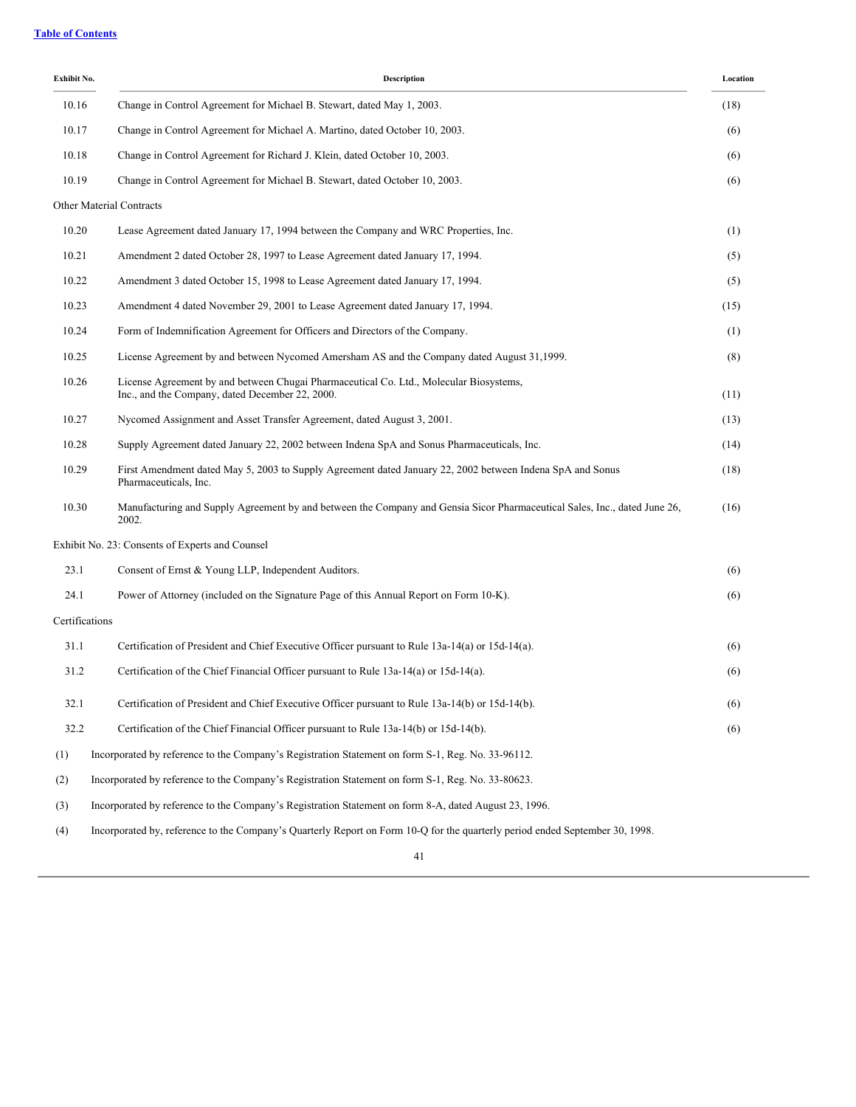|  |  |  |  | <b>Table of Contents</b> |
|--|--|--|--|--------------------------|
|--|--|--|--|--------------------------|

| Exhibit No.    | <b>Description</b>                                                                                                                        | Location |
|----------------|-------------------------------------------------------------------------------------------------------------------------------------------|----------|
| 10.16          | Change in Control Agreement for Michael B. Stewart, dated May 1, 2003.                                                                    | (18)     |
| 10.17          | Change in Control Agreement for Michael A. Martino, dated October 10, 2003.                                                               | (6)      |
| 10.18          | Change in Control Agreement for Richard J. Klein, dated October 10, 2003.                                                                 | (6)      |
| 10.19          | Change in Control Agreement for Michael B. Stewart, dated October 10, 2003.                                                               | (6)      |
|                | <b>Other Material Contracts</b>                                                                                                           |          |
| 10.20          | Lease Agreement dated January 17, 1994 between the Company and WRC Properties, Inc.                                                       | (1)      |
| 10.21          | Amendment 2 dated October 28, 1997 to Lease Agreement dated January 17, 1994.                                                             | (5)      |
| 10.22          | Amendment 3 dated October 15, 1998 to Lease Agreement dated January 17, 1994.                                                             | (5)      |
| 10.23          | Amendment 4 dated November 29, 2001 to Lease Agreement dated January 17, 1994.                                                            | (15)     |
| 10.24          | Form of Indemnification Agreement for Officers and Directors of the Company.                                                              | (1)      |
| 10.25          | License Agreement by and between Nycomed Amersham AS and the Company dated August 31,1999.                                                | (8)      |
| 10.26          | License Agreement by and between Chugai Pharmaceutical Co. Ltd., Molecular Biosystems,<br>Inc., and the Company, dated December 22, 2000. | (11)     |
| 10.27          | Nycomed Assignment and Asset Transfer Agreement, dated August 3, 2001.                                                                    | (13)     |
| 10.28          | Supply Agreement dated January 22, 2002 between Indena SpA and Sonus Pharmaceuticals, Inc.                                                | (14)     |
| 10.29          | First Amendment dated May 5, 2003 to Supply Agreement dated January 22, 2002 between Indena SpA and Sonus<br>Pharmaceuticals, Inc.        | (18)     |
| 10.30          | Manufacturing and Supply Agreement by and between the Company and Gensia Sicor Pharmaceutical Sales, Inc., dated June 26,<br>2002.        | (16)     |
|                | Exhibit No. 23: Consents of Experts and Counsel                                                                                           |          |
| 23.1           | Consent of Ernst & Young LLP, Independent Auditors.                                                                                       | (6)      |
| 24.1           | Power of Attorney (included on the Signature Page of this Annual Report on Form 10-K).                                                    | (6)      |
| Certifications |                                                                                                                                           |          |
| 31.1           | Certification of President and Chief Executive Officer pursuant to Rule 13a-14(a) or 15d-14(a).                                           | (6)      |
| 31.2           | Certification of the Chief Financial Officer pursuant to Rule $13a-14(a)$ or $15d-14(a)$ .                                                | (6)      |
| 32.1           | Certification of President and Chief Executive Officer pursuant to Rule 13a-14(b) or 15d-14(b).                                           | (6)      |
| 32.2           | Certification of the Chief Financial Officer pursuant to Rule 13a-14(b) or 15d-14(b).                                                     | (6)      |
| (1)            | Incorporated by reference to the Company's Registration Statement on form S-1, Reg. No. 33-96112.                                         |          |
| (2)            | Incorporated by reference to the Company's Registration Statement on form S-1, Reg. No. 33-80623.                                         |          |
| (3)            | Incorporated by reference to the Company's Registration Statement on form 8-A, dated August 23, 1996.                                     |          |
| (4)            | Incorporated by, reference to the Company's Quarterly Report on Form 10-Q for the quarterly period ended September 30, 1998.              |          |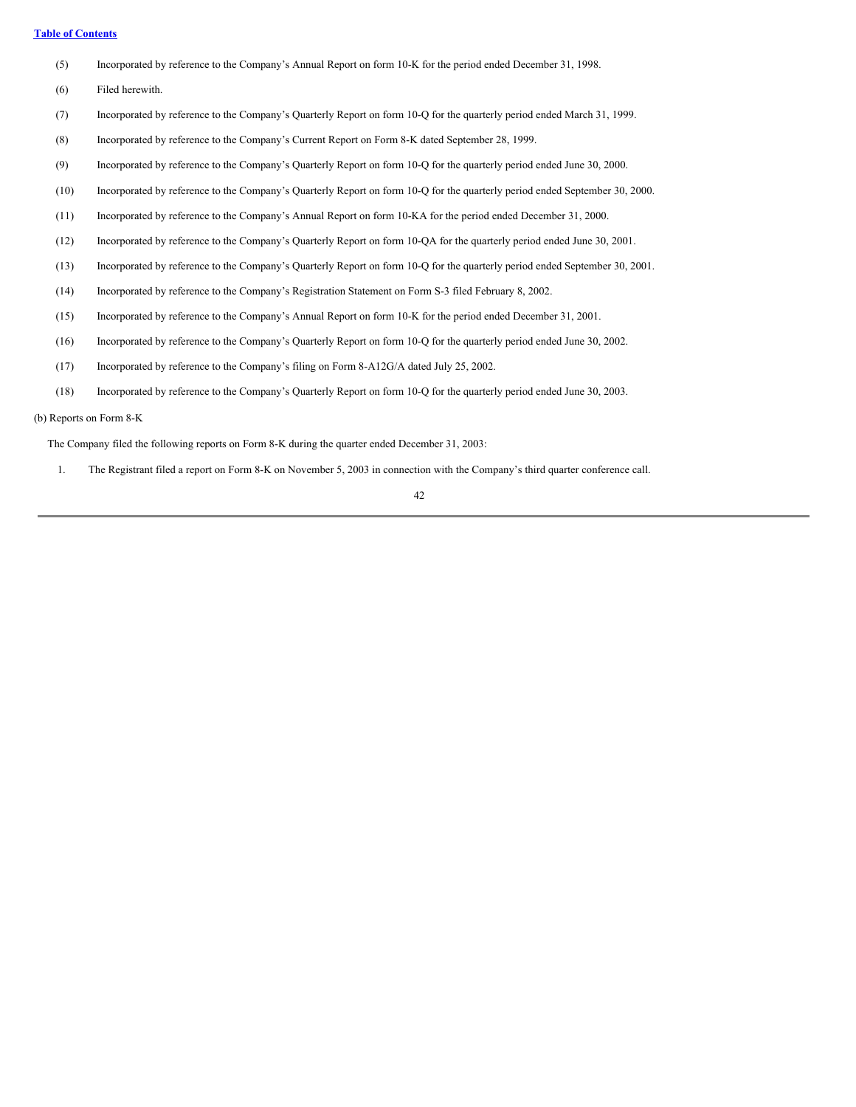# **Table of [Contents](#page-0-0)**

- (5) Incorporated by reference to the Company's Annual Report on form 10-K for the period ended December 31, 1998.
- (6) Filed herewith.
- (7) Incorporated by reference to the Company's Quarterly Report on form 10-Q for the quarterly period ended March 31, 1999.
- (8) Incorporated by reference to the Company's Current Report on Form 8-K dated September 28, 1999.
- (9) Incorporated by reference to the Company's Quarterly Report on form 10-Q for the quarterly period ended June 30, 2000.
- (10) Incorporated by reference to the Company's Quarterly Report on form 10-Q for the quarterly period ended September 30, 2000.
- (11) Incorporated by reference to the Company's Annual Report on form 10-KA for the period ended December 31, 2000.
- (12) Incorporated by reference to the Company's Quarterly Report on form 10-QA for the quarterly period ended June 30, 2001.
- (13) Incorporated by reference to the Company's Quarterly Report on form 10-Q for the quarterly period ended September 30, 2001.
- (14) Incorporated by reference to the Company's Registration Statement on Form S-3 filed February 8, 2002.
- (15) Incorporated by reference to the Company's Annual Report on form 10-K for the period ended December 31, 2001.
- (16) Incorporated by reference to the Company's Quarterly Report on form 10-Q for the quarterly period ended June 30, 2002.
- (17) Incorporated by reference to the Company's filing on Form 8-A12G/A dated July 25, 2002.
- (18) Incorporated by reference to the Company's Quarterly Report on form 10-Q for the quarterly period ended June 30, 2003.

## (b) Reports on Form 8-K

The Company filed the following reports on Form 8-K during the quarter ended December 31, 2003:

1. The Registrant filed a report on Form 8-K on November 5, 2003 in connection with the Company's third quarter conference call.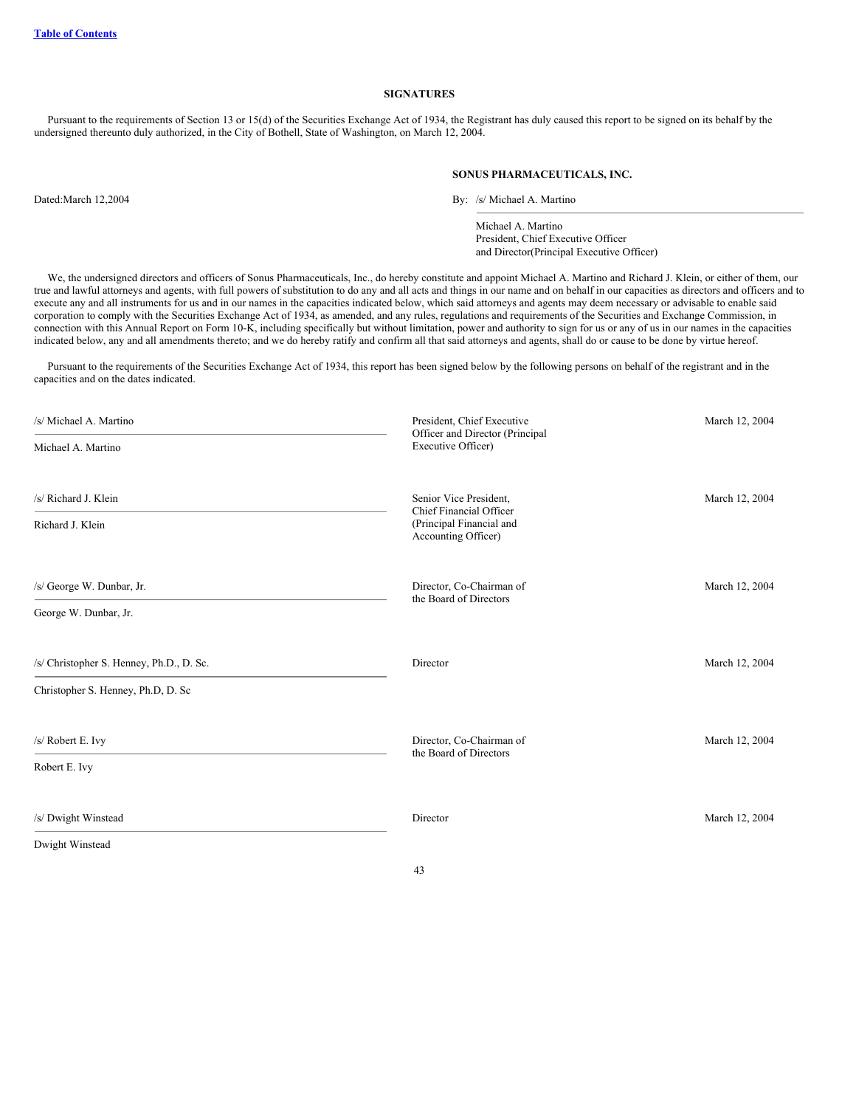# **SIGNATURES**

<span id="page-43-0"></span>Pursuant to the requirements of Section 13 or 15(d) of the Securities Exchange Act of 1934, the Registrant has duly caused this report to be signed on its behalf by the undersigned thereunto duly authorized, in the City of Bothell, State of Washington, on March 12, 2004.

#### **SONUS PHARMACEUTICALS, INC.**

Dated:March 12,2004 By: /s/ Michael A. Martino

Michael A. Martino President, Chief Executive Officer and Director(Principal Executive Officer)

We, the undersigned directors and officers of Sonus Pharmaceuticals, Inc., do hereby constitute and appoint Michael A. Martino and Richard J. Klein, or either of them, our true and lawful attorneys and agents, with full powers of substitution to do any and all acts and things in our name and on behalf in our capacities as directors and officers and to execute any and all instruments for us and in our names in the capacities indicated below, which said attorneys and agents may deem necessary or advisable to enable said corporation to comply with the Securities Exchange Act of 1934, as amended, and any rules, regulations and requirements of the Securities and Exchange Commission, in connection with this Annual Report on Form 10-K, including specifically but without limitation, power and authority to sign for us or any of us in our names in the capacities indicated below, any and all amendments thereto; and we do hereby ratify and confirm all that said attorneys and agents, shall do or cause to be done by virtue hereof.

Pursuant to the requirements of the Securities Exchange Act of 1934, this report has been signed below by the following persons on behalf of the registrant and in the capacities and on the dates indicated.

| /s/ Michael A. Martino                                                         | President, Chief Executive                                                                           | March 12, 2004 |
|--------------------------------------------------------------------------------|------------------------------------------------------------------------------------------------------|----------------|
| Michael A. Martino                                                             | Officer and Director (Principal<br>Executive Officer)                                                |                |
| /s/ Richard J. Klein<br>Richard J. Klein                                       | Senior Vice President,<br>Chief Financial Officer<br>(Principal Financial and<br>Accounting Officer) | March 12, 2004 |
| /s/ George W. Dunbar, Jr.<br>George W. Dunbar, Jr.                             | Director, Co-Chairman of<br>the Board of Directors                                                   | March 12, 2004 |
| /s/ Christopher S. Henney, Ph.D., D. Sc.<br>Christopher S. Henney, Ph.D, D. Sc | Director                                                                                             | March 12, 2004 |
| /s/ Robert E. Ivy<br>Robert E. Ivy                                             | Director, Co-Chairman of<br>the Board of Directors                                                   | March 12, 2004 |
| /s/ Dwight Winstead<br>Dwight Winstead                                         | Director                                                                                             | March 12, 2004 |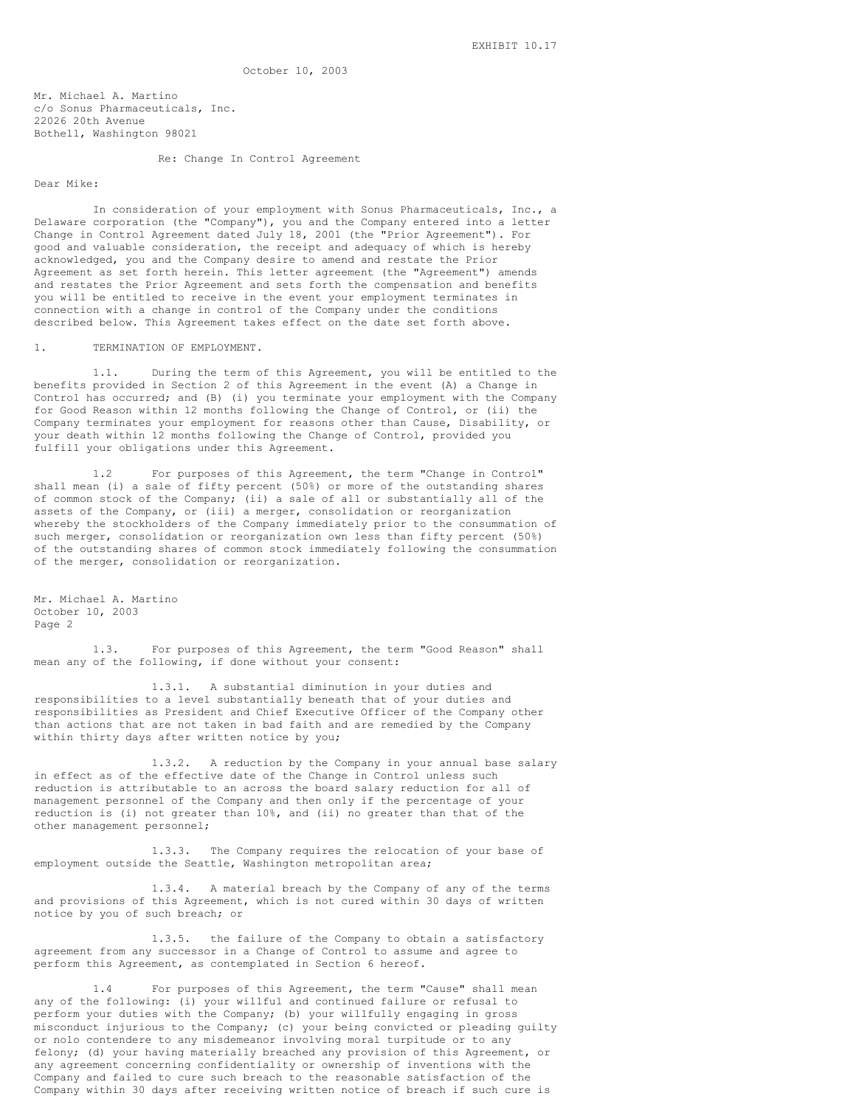October 10, 2003

Mr. Michael A. Martino c/o Sonus Pharmaceuticals, Inc. 22026 20th Avenue Bothell, Washington 98021

Re: Change In Control Agreement

#### Dear Mike:

In consideration of your employment with Sonus Pharmaceuticals, Inc., a Delaware corporation (the "Company"), you and the Company entered into a letter Change in Control Agreement dated July 18, 2001 (the "Prior Agreement"). For good and valuable consideration, the receipt and adequacy of which is hereby acknowledged, you and the Company desire to amend and restate the Prior Agreement as set forth herein. This letter agreement (the "Agreement") amends and restates the Prior Agreement and sets forth the compensation and benefits you will be entitled to receive in the event your employment terminates in connection with a change in control of the Company under the conditions described below. This Agreement takes effect on the date set forth above.

# 1. TERMINATION OF EMPLOYMENT.

1.1. During the term of this Agreement, you will be entitled to the benefits provided in Section 2 of this Agreement in the event (A) a Change in Control has occurred; and (B) (i) you terminate your employment with the Company for Good Reason within 12 months following the Change of Control, or (ii) the Company terminates your employment for reasons other than Cause, Disability, or your death within 12 months following the Change of Control, provided you fulfill your obligations under this Agreement.

1.2 For purposes of this Agreement, the term "Change in Control" shall mean (i) a sale of fifty percent (50%) or more of the outstanding shares of common stock of the Company; (ii) a sale of all or substantially all of the assets of the Company, or (iii) a merger, consolidation or reorganization whereby the stockholders of the Company immediately prior to the consummation of such merger, consolidation or reorganization own less than fifty percent (50%) of the outstanding shares of common stock immediately following the consummation of the merger, consolidation or reorganization.

Mr. Michael A. Martino October 10, 2003 Page 2

1.3. For purposes of this Agreement, the term "Good Reason" shall mean any of the following, if done without your consent:

1.3.1. A substantial diminution in your duties and responsibilities to a level substantially beneath that of your duties and responsibilities as President and Chief Executive Officer of the Company other than actions that are not taken in bad faith and are remedied by the Company within thirty days after written notice by you;

1.3.2. A reduction by the Company in your annual base salary in effect as of the effective date of the Change in Control unless such reduction is attributable to an across the board salary reduction for all of management personnel of the Company and then only if the percentage of your reduction is (i) not greater than 10%, and (ii) no greater than that of the other management personnel;

1.3.3. The Company requires the relocation of your base of employment outside the Seattle, Washington metropolitan area;

1.3.4. A material breach by the Company of any of the terms and provisions of this Agreement, which is not cured within 30 days of written notice by you of such breach; or

1.3.5. the failure of the Company to obtain a satisfactory agreement from any successor in a Change of Control to assume and agree to perform this Agreement, as contemplated in Section 6 hereof.

1.4 For purposes of this Agreement, the term "Cause" shall mean any of the following: (i) your willful and continued failure or refusal to perform your duties with the Company; (b) your willfully engaging in gross misconduct injurious to the Company; (c) your being convicted or pleading guilty or nolo contendere to any misdemeanor involving moral turpitude or to any felony; (d) your having materially breached any provision of this Agreement, or any agreement concerning confidentiality or ownership of inventions with the Company and failed to cure such breach to the reasonable satisfaction of the Company within 30 days after receiving written notice of breach if such cure is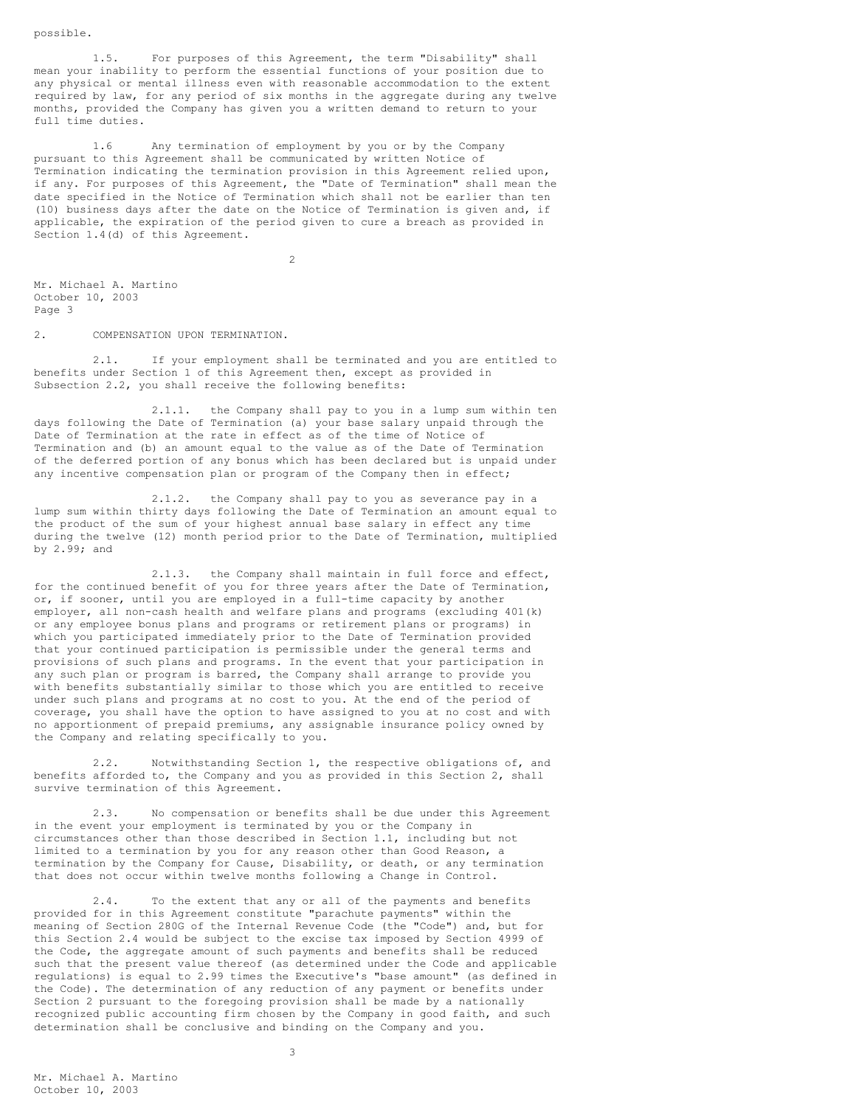<span id="page-45-0"></span>possible.

1.5. For purposes of this Agreement, the term "Disability" shall mean your inability to perform the essential functions of your position due to any physical or mental illness even with reasonable accommodation to the extent required by law, for any period of six months in the aggregate during any twelve months, provided the Company has given you a written demand to return to your full time duties.

1.6 Any termination of employment by you or by the Company pursuant to this Agreement shall be communicated by written Notice of Termination indicating the termination provision in this Agreement relied upon, if any. For purposes of this Agreement, the "Date of Termination" shall mean the date specified in the Notice of Termination which shall not be earlier than ten (10) business days after the date on the Notice of Termination is given and, if applicable, the expiration of the period given to cure a breach as provided in Section 1.4(d) of this Agreement.

 $\overline{2}$ 

Mr. Michael A. Martino October 10, 2003 Page 3

#### 2. COMPENSATION UPON TERMINATION.

2.1. If your employment shall be terminated and you are entitled to benefits under Section 1 of this Agreement then, except as provided in Subsection 2.2, you shall receive the following benefits:

2.1.1. the Company shall pay to you in a lump sum within ten days following the Date of Termination (a) your base salary unpaid through the Date of Termination at the rate in effect as of the time of Notice of Termination and (b) an amount equal to the value as of the Date of Termination of the deferred portion of any bonus which has been declared but is unpaid under any incentive compensation plan or program of the Company then in effect;

2.1.2. the Company shall pay to you as severance pay in a lump sum within thirty days following the Date of Termination an amount equal to the product of the sum of your highest annual base salary in effect any time during the twelve (12) month period prior to the Date of Termination, multiplied by 2.99; and

2.1.3. the Company shall maintain in full force and effect, for the continued benefit of you for three years after the Date of Termination, or, if sooner, until you are employed in a full-time capacity by another employer, all non-cash health and welfare plans and programs (excluding 401(k) or any employee bonus plans and programs or retirement plans or programs) in which you participated immediately prior to the Date of Termination provided that your continued participation is permissible under the general terms and provisions of such plans and programs. In the event that your participation in any such plan or program is barred, the Company shall arrange to provide you with benefits substantially similar to those which you are entitled to receive under such plans and programs at no cost to you. At the end of the period of coverage, you shall have the option to have assigned to you at no cost and with no apportionment of prepaid premiums, any assignable insurance policy owned by the Company and relating specifically to you.

2.2. Notwithstanding Section 1, the respective obligations of, and benefits afforded to, the Company and you as provided in this Section 2, shall survive termination of this Agreement.

2.3. No compensation or benefits shall be due under this Agreement in the event your employment is terminated by you or the Company in circumstances other than those described in Section 1.1, including but not limited to a termination by you for any reason other than Good Reason, a termination by the Company for Cause, Disability, or death, or any termination that does not occur within twelve months following a Change in Control.

2.4. To the extent that any or all of the payments and benefits provided for in this Agreement constitute "parachute payments" within the meaning of Section 280G of the Internal Revenue Code (the "Code") and, but for this Section 2.4 would be subject to the excise tax imposed by Section 4999 of the Code, the aggregate amount of such payments and benefits shall be reduced such that the present value thereof (as determined under the Code and applicable regulations) is equal to 2.99 times the Executive's "base amount" (as defined in the Code). The determination of any reduction of any payment or benefits under Section 2 pursuant to the foregoing provision shall be made by a nationally recognized public accounting firm chosen by the Company in good faith, and such determination shall be conclusive and binding on the Company and you.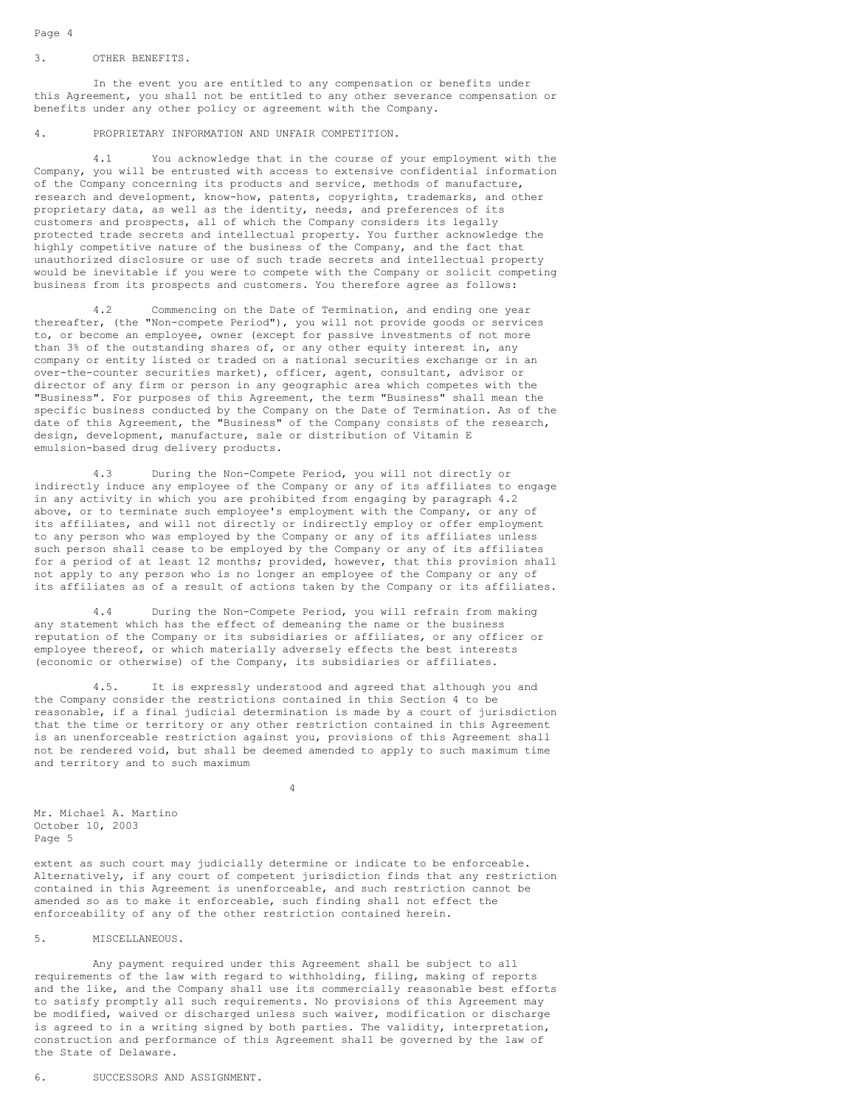#### 3. OTHER BENEFITS.

In the event you are entitled to any compensation or benefits under this Agreement, you shall not be entitled to any other severance compensation or benefits under any other policy or agreement with the Company.

### 4. PROPRIETARY INFORMATION AND UNFAIR COMPETITION.

4.1 You acknowledge that in the course of your employment with the Company, you will be entrusted with access to extensive confidential information of the Company concerning its products and service, methods of manufacture, research and development, know-how, patents, copyrights, trademarks, and other proprietary data, as well as the identity, needs, and preferences of its customers and prospects, all of which the Company considers its legally protected trade secrets and intellectual property. You further acknowledge the highly competitive nature of the business of the Company, and the fact that unauthorized disclosure or use of such trade secrets and intellectual property would be inevitable if you were to compete with the Company or solicit competing business from its prospects and customers. You therefore agree as follows:

Commencing on the Date of Termination, and ending one year thereafter, (the "Non-compete Period"), you will not provide goods or services to, or become an employee, owner (except for passive investments of not more than 3% of the outstanding shares of, or any other equity interest in, any company or entity listed or traded on a national securities exchange or in an over-the-counter securities market), officer, agent, consultant, advisor or director of any firm or person in any geographic area which competes with the "Business". For purposes of this Agreement, the term "Business" shall mean the specific business conducted by the Company on the Date of Termination. As of the date of this Agreement, the "Business" of the Company consists of the research, design, development, manufacture, sale or distribution of Vitamin E emulsion-based drug delivery products.

4.3 During the Non-Compete Period, you will not directly or indirectly induce any employee of the Company or any of its affiliates to engage in any activity in which you are prohibited from engaging by paragraph 4.2 above, or to terminate such employee's employment with the Company, or any of its affiliates, and will not directly or indirectly employ or offer employment to any person who was employed by the Company or any of its affiliates unless such person shall cease to be employed by the Company or any of its affiliates for a period of at least 12 months; provided, however, that this provision shall not apply to any person who is no longer an employee of the Company or any of its affiliates as of a result of actions taken by the Company or its affiliates.

4.4 During the Non-Compete Period, you will refrain from making any statement which has the effect of demeaning the name or the business reputation of the Company or its subsidiaries or affiliates, or any officer or employee thereof, or which materially adversely effects the best interests (economic or otherwise) of the Company, its subsidiaries or affiliates.

4.5. It is expressly understood and agreed that although you and the Company consider the restrictions contained in this Section 4 to be reasonable, if a final judicial determination is made by a court of jurisdiction that the time or territory or any other restriction contained in this Agreement is an unenforceable restriction against you, provisions of this Agreement shall not be rendered void, but shall be deemed amended to apply to such maximum time and territory and to such maximum

4

Mr. Michael A. Martino October 10, 2003 Page 5

extent as such court may judicially determine or indicate to be enforceable. Alternatively, if any court of competent jurisdiction finds that any restriction contained in this Agreement is unenforceable, and such restriction cannot be amended so as to make it enforceable, such finding shall not effect the enforceability of any of the other restriction contained herein.

5. MISCELLANEOUS.

Any payment required under this Agreement shall be subject to all requirements of the law with regard to withholding, filing, making of reports and the like, and the Company shall use its commercially reasonable best efforts to satisfy promptly all such requirements. No provisions of this Agreement may be modified, waived or discharged unless such waiver, modification or discharge is agreed to in a writing signed by both parties. The validity, interpretation, construction and performance of this Agreement shall be governed by the law of the State of Delaware.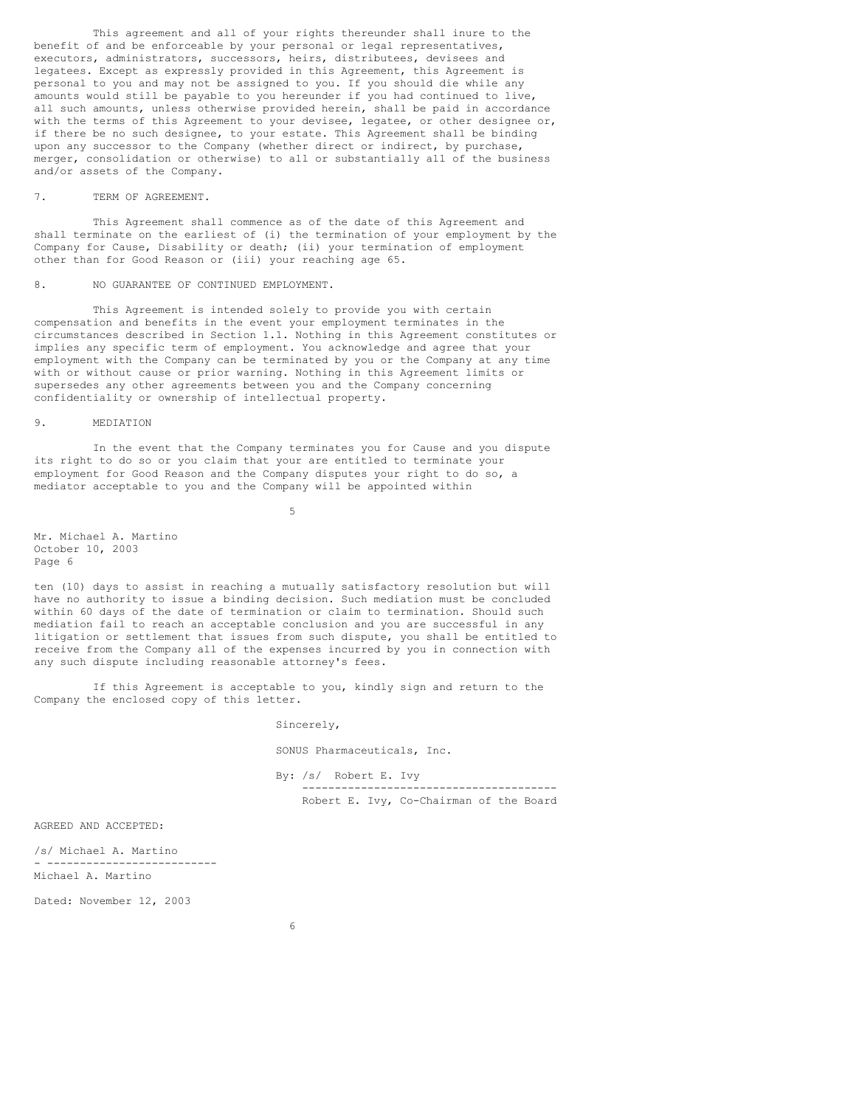This agreement and all of your rights thereunder shall inure to the benefit of and be enforceable by your personal or legal representatives, executors, administrators, successors, heirs, distributees, devisees and legatees. Except as expressly provided in this Agreement, this Agreement is personal to you and may not be assigned to you. If you should die while any amounts would still be payable to you hereunder if you had continued to live, all such amounts, unless otherwise provided herein, shall be paid in accordance with the terms of this Agreement to your devisee, legatee, or other designee or, if there be no such designee, to your estate. This Agreement shall be binding upon any successor to the Company (whether direct or indirect, by purchase, merger, consolidation or otherwise) to all or substantially all of the business and/or assets of the Company.

#### 7. TERM OF AGREEMENT.

This Agreement shall commence as of the date of this Agreement and shall terminate on the earliest of (i) the termination of your employment by the Company for Cause, Disability or death; (ii) your termination of employment other than for Good Reason or (iii) your reaching age 65.

#### 8. NO GUARANTEE OF CONTINUED EMPLOYMENT.

This Agreement is intended solely to provide you with certain compensation and benefits in the event your employment terminates in the circumstances described in Section 1.1. Nothing in this Agreement constitutes or implies any specific term of employment. You acknowledge and agree that your employment with the Company can be terminated by you or the Company at any time with or without cause or prior warning. Nothing in this Agreement limits or supersedes any other agreements between you and the Company concerning confidentiality or ownership of intellectual property.

#### 9. MEDIATION

In the event that the Company terminates you for Cause and you dispute its right to do so or you claim that your are entitled to terminate your employment for Good Reason and the Company disputes your right to do so, a mediator acceptable to you and the Company will be appointed within

5

Mr. Michael A. Martino October 10, 2003 Page 6

ten (10) days to assist in reaching a mutually satisfactory resolution but will have no authority to issue a binding decision. Such mediation must be concluded within 60 days of the date of termination or claim to termination. Should such mediation fail to reach an acceptable conclusion and you are successful in any litigation or settlement that issues from such dispute, you shall be entitled to receive from the Company all of the expenses incurred by you in connection with any such dispute including reasonable attorney's fees.

If this Agreement is acceptable to you, kindly sign and return to the Company the enclosed copy of this letter.

Sincerely,

SONUS Pharmaceuticals, Inc.

By: /s/ Robert E. Ivy --------------------------------------- Robert E. Ivy, Co-Chairman of the Board

AGREED AND ACCEPTED:

- --------------------------

/s/ Michael A. Martino

Michael A. Martino

Dated: November 12, 2003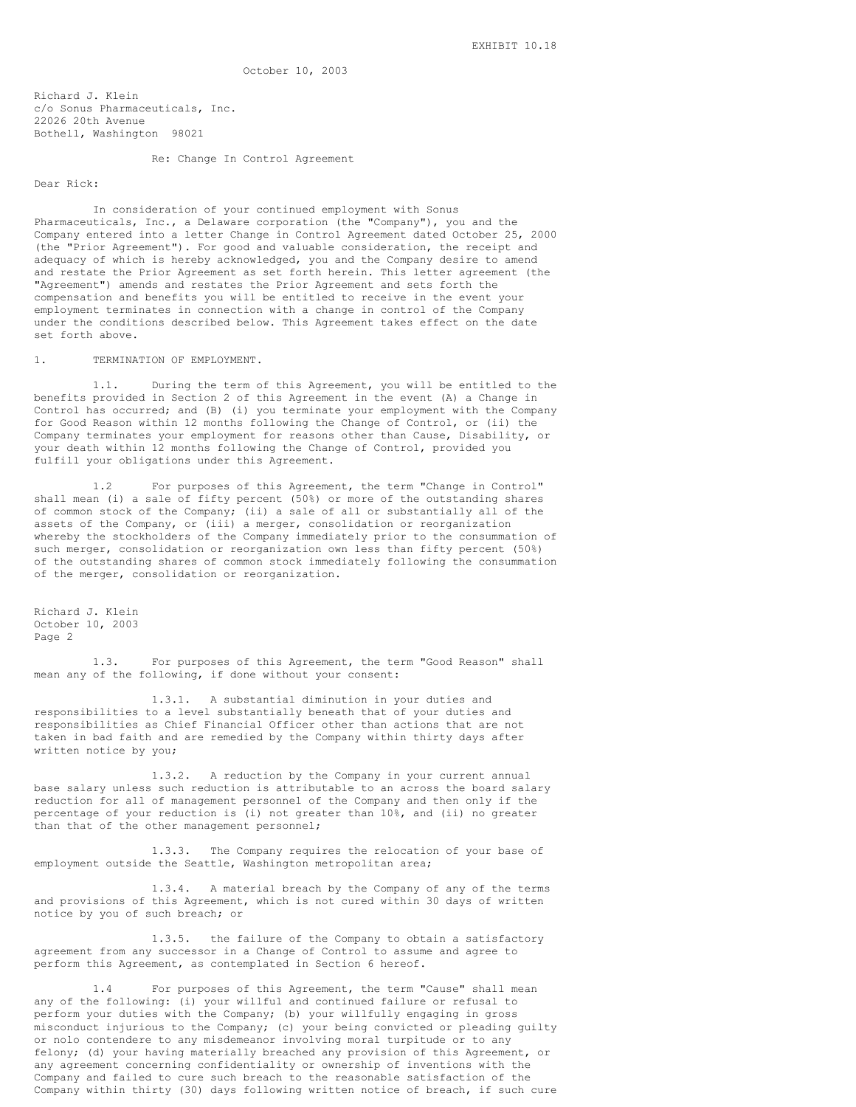October 10, 2003

Richard J. Klein c/o Sonus Pharmaceuticals, Inc. 22026 20th Avenue Bothell, Washington 98021

Re: Change In Control Agreement

#### Dear Rick:

In consideration of your continued employment with Sonus Pharmaceuticals, Inc., a Delaware corporation (the "Company"), you and the Company entered into a letter Change in Control Agreement dated October 25, 2000 (the "Prior Agreement"). For good and valuable consideration, the receipt and adequacy of which is hereby acknowledged, you and the Company desire to amend and restate the Prior Agreement as set forth herein. This letter agreement (the "Agreement") amends and restates the Prior Agreement and sets forth the compensation and benefits you will be entitled to receive in the event your employment terminates in connection with a change in control of the Company under the conditions described below. This Agreement takes effect on the date set forth above.

1. TERMINATION OF EMPLOYMENT.

1.1. During the term of this Agreement, you will be entitled to the benefits provided in Section 2 of this Agreement in the event (A) a Change in Control has occurred; and (B) (i) you terminate your employment with the Company for Good Reason within 12 months following the Change of Control, or (ii) the Company terminates your employment for reasons other than Cause, Disability, or your death within 12 months following the Change of Control, provided you fulfill your obligations under this Agreement.

1.2 For purposes of this Agreement, the term "Change in Control" shall mean (i) a sale of fifty percent (50%) or more of the outstanding shares of common stock of the Company; (ii) a sale of all or substantially all of the assets of the Company, or (iii) a merger, consolidation or reorganization whereby the stockholders of the Company immediately prior to the consummation of such merger, consolidation or reorganization own less than fifty percent (50%) of the outstanding shares of common stock immediately following the consummation of the merger, consolidation or reorganization.

Richard J. Klein October 10, 2003 Page 2

1.3. For purposes of this Agreement, the term "Good Reason" shall mean any of the following, if done without your consent:

1.3.1. A substantial diminution in your duties and responsibilities to a level substantially beneath that of your duties and responsibilities as Chief Financial Officer other than actions that are not taken in bad faith and are remedied by the Company within thirty days after written notice by you;

1.3.2. A reduction by the Company in your current annual base salary unless such reduction is attributable to an across the board salary reduction for all of management personnel of the Company and then only if the percentage of your reduction is (i) not greater than 10%, and (ii) no greater than that of the other management personnel;

1.3.3. The Company requires the relocation of your base of employment outside the Seattle, Washington metropolitan area;

1.3.4. A material breach by the Company of any of the terms and provisions of this Agreement, which is not cured within 30 days of written notice by you of such breach; or

1.3.5. the failure of the Company to obtain a satisfactory agreement from any successor in a Change of Control to assume and agree to perform this Agreement, as contemplated in Section 6 hereof.

1.4 For purposes of this Agreement, the term "Cause" shall mean any of the following: (i) your willful and continued failure or refusal to perform your duties with the Company; (b) your willfully engaging in gross misconduct injurious to the Company; (c) your being convicted or pleading guilty or nolo contendere to any misdemeanor involving moral turpitude or to any felony; (d) your having materially breached any provision of this Agreement, or any agreement concerning confidentiality or ownership of inventions with the Company and failed to cure such breach to the reasonable satisfaction of the Company within thirty (30) days following written notice of breach, if such cure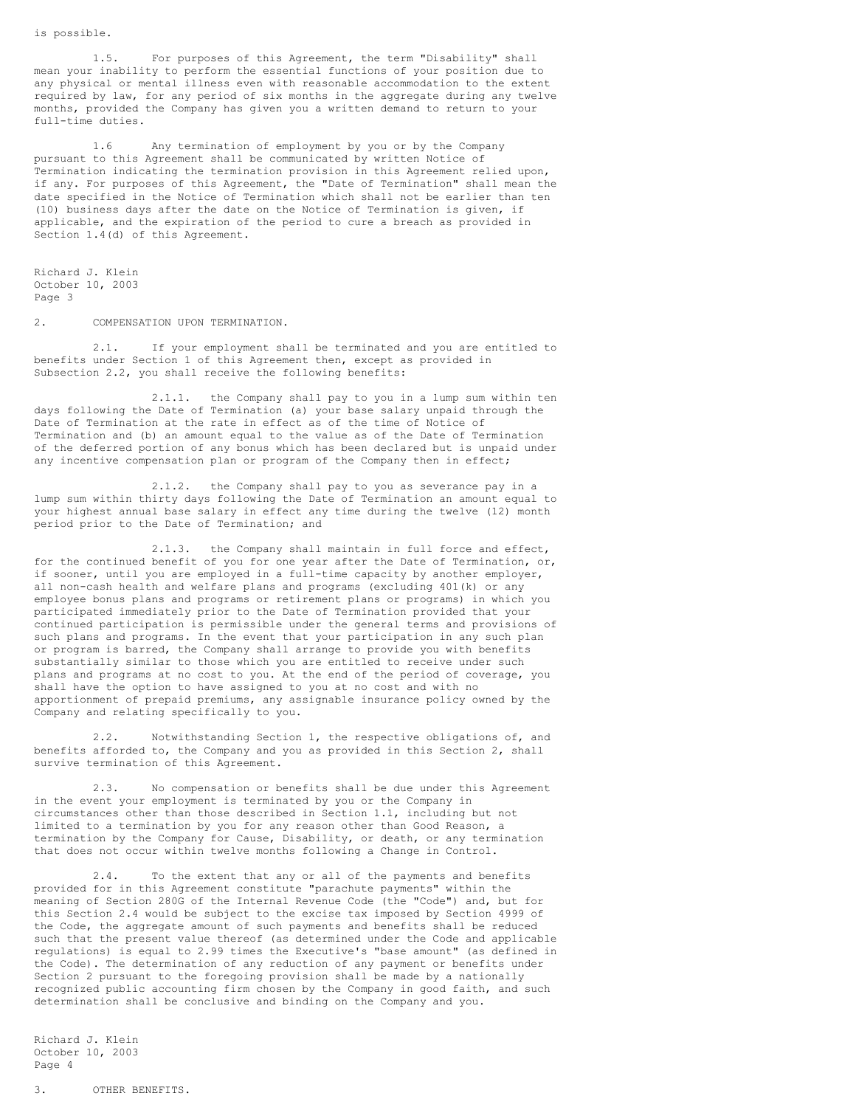<span id="page-49-0"></span>is possible.

1.5. For purposes of this Agreement, the term "Disability" shall mean your inability to perform the essential functions of your position due to any physical or mental illness even with reasonable accommodation to the extent required by law, for any period of six months in the aggregate during any twelve months, provided the Company has given you a written demand to return to your full-time duties.

1.6 Any termination of employment by you or by the Company pursuant to this Agreement shall be communicated by written Notice of Termination indicating the termination provision in this Agreement relied upon, if any. For purposes of this Agreement, the "Date of Termination" shall mean the date specified in the Notice of Termination which shall not be earlier than ten (10) business days after the date on the Notice of Termination is given, if applicable, and the expiration of the period to cure a breach as provided in Section 1.4(d) of this Agreement.

Richard J. Klein October 10, 2003 Page 3

#### 2. COMPENSATION UPON TERMINATION.

2.1. If your employment shall be terminated and you are entitled to benefits under Section 1 of this Agreement then, except as provided in Subsection 2.2, you shall receive the following benefits:

2.1.1. the Company shall pay to you in a lump sum within ten days following the Date of Termination (a) your base salary unpaid through the Date of Termination at the rate in effect as of the time of Notice of Termination and (b) an amount equal to the value as of the Date of Termination of the deferred portion of any bonus which has been declared but is unpaid under any incentive compensation plan or program of the Company then in effect;

2.1.2. the Company shall pay to you as severance pay in a lump sum within thirty days following the Date of Termination an amount equal to your highest annual base salary in effect any time during the twelve (12) month period prior to the Date of Termination; and

2.1.3. the Company shall maintain in full force and effect, for the continued benefit of you for one year after the Date of Termination, or, if sooner, until you are employed in a full-time capacity by another employer, all non-cash health and welfare plans and programs (excluding 401(k) or any employee bonus plans and programs or retirement plans or programs) in which you participated immediately prior to the Date of Termination provided that your continued participation is permissible under the general terms and provisions of such plans and programs. In the event that your participation in any such plan or program is barred, the Company shall arrange to provide you with benefits substantially similar to those which you are entitled to receive under such plans and programs at no cost to you. At the end of the period of coverage, you shall have the option to have assigned to you at no cost and with no apportionment of prepaid premiums, any assignable insurance policy owned by the Company and relating specifically to you.

2.2. Notwithstanding Section 1, the respective obligations of, and benefits afforded to, the Company and you as provided in this Section 2, shall survive termination of this Agreement.

2.3. No compensation or benefits shall be due under this Agreement in the event your employment is terminated by you or the Company in circumstances other than those described in Section 1.1, including but not limited to a termination by you for any reason other than Good Reason, a termination by the Company for Cause, Disability, or death, or any termination that does not occur within twelve months following a Change in Control.

2.4. To the extent that any or all of the payments and benefits provided for in this Agreement constitute "parachute payments" within the meaning of Section 280G of the Internal Revenue Code (the "Code") and, but for this Section 2.4 would be subject to the excise tax imposed by Section 4999 of the Code, the aggregate amount of such payments and benefits shall be reduced such that the present value thereof (as determined under the Code and applicable regulations) is equal to 2.99 times the Executive's "base amount" (as defined in the Code). The determination of any reduction of any payment or benefits under Section 2 pursuant to the foregoing provision shall be made by a nationally recognized public accounting firm chosen by the Company in good faith, and such determination shall be conclusive and binding on the Company and you.

Richard J. Klein October 10, 2003 Page 4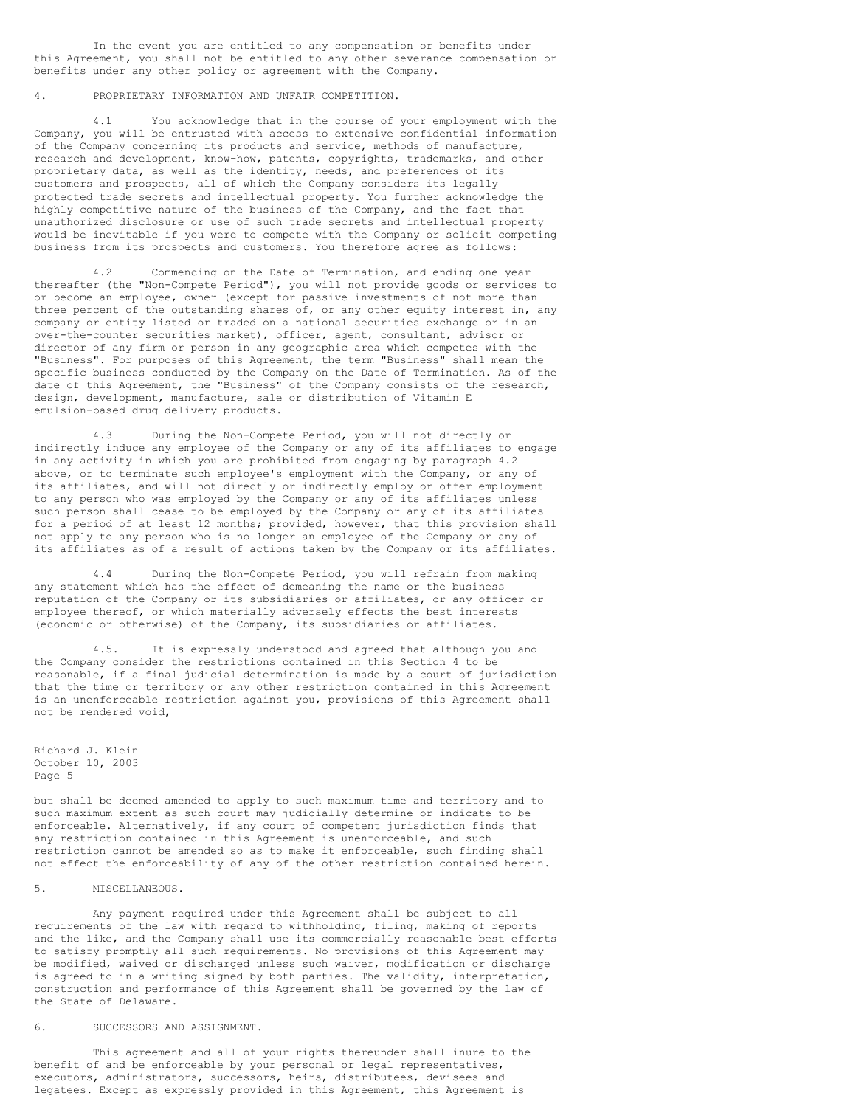In the event you are entitled to any compensation or benefits under this Agreement, you shall not be entitled to any other severance compensation or benefits under any other policy or agreement with the Company.

### 4. PROPRIETARY INFORMATION AND UNFAIR COMPETITION.

4.1 You acknowledge that in the course of your employment with the Company, you will be entrusted with access to extensive confidential information of the Company concerning its products and service, methods of manufacture, research and development, know-how, patents, copyrights, trademarks, and other proprietary data, as well as the identity, needs, and preferences of its customers and prospects, all of which the Company considers its legally protected trade secrets and intellectual property. You further acknowledge the highly competitive nature of the business of the Company, and the fact that unauthorized disclosure or use of such trade secrets and intellectual property would be inevitable if you were to compete with the Company or solicit competing business from its prospects and customers. You therefore agree as follows:

4.2 Commencing on the Date of Termination, and ending one year thereafter (the "Non-Compete Period"), you will not provide goods or services to or become an employee, owner (except for passive investments of not more than three percent of the outstanding shares of, or any other equity interest in, any company or entity listed or traded on a national securities exchange or in an over-the-counter securities market), officer, agent, consultant, advisor or director of any firm or person in any geographic area which competes with the "Business". For purposes of this Agreement, the term "Business" shall mean the specific business conducted by the Company on the Date of Termination. As of the date of this Agreement, the "Business" of the Company consists of the research, design, development, manufacture, sale or distribution of Vitamin E emulsion-based drug delivery products.

4.3 During the Non-Compete Period, you will not directly or indirectly induce any employee of the Company or any of its affiliates to engage in any activity in which you are prohibited from engaging by paragraph 4.2 above, or to terminate such employee's employment with the Company, or any of its affiliates, and will not directly or indirectly employ or offer employment to any person who was employed by the Company or any of its affiliates unless such person shall cease to be employed by the Company or any of its affiliates for a period of at least 12 months; provided, however, that this provision shall not apply to any person who is no longer an employee of the Company or any of its affiliates as of a result of actions taken by the Company or its affiliates.

4.4 During the Non-Compete Period, you will refrain from making any statement which has the effect of demeaning the name or the business reputation of the Company or its subsidiaries or affiliates, or any officer or employee thereof, or which materially adversely effects the best interests (economic or otherwise) of the Company, its subsidiaries or affiliates.

4.5. It is expressly understood and agreed that although you and the Company consider the restrictions contained in this Section 4 to be reasonable, if a final judicial determination is made by a court of jurisdiction that the time or territory or any other restriction contained in this Agreement is an unenforceable restriction against you, provisions of this Agreement shall not be rendered void,

Richard J. Klein October 10, 2003 Page 5

but shall be deemed amended to apply to such maximum time and territory and to such maximum extent as such court may judicially determine or indicate to be enforceable. Alternatively, if any court of competent jurisdiction finds that any restriction contained in this Agreement is unenforceable, and such restriction cannot be amended so as to make it enforceable, such finding shall not effect the enforceability of any of the other restriction contained herein.

#### 5. MISCELLANEOUS.

Any payment required under this Agreement shall be subject to all requirements of the law with regard to withholding, filing, making of reports and the like, and the Company shall use its commercially reasonable best efforts to satisfy promptly all such requirements. No provisions of this Agreement may be modified, waived or discharged unless such waiver, modification or discharge is agreed to in a writing signed by both parties. The validity, interpretation, construction and performance of this Agreement shall be governed by the law of the State of Delaware.

#### 6. SUCCESSORS AND ASSIGNMENT.

This agreement and all of your rights thereunder shall inure to the benefit of and be enforceable by your personal or legal representatives, executors, administrators, successors, heirs, distributees, devisees and legatees. Except as expressly provided in this Agreement, this Agreement is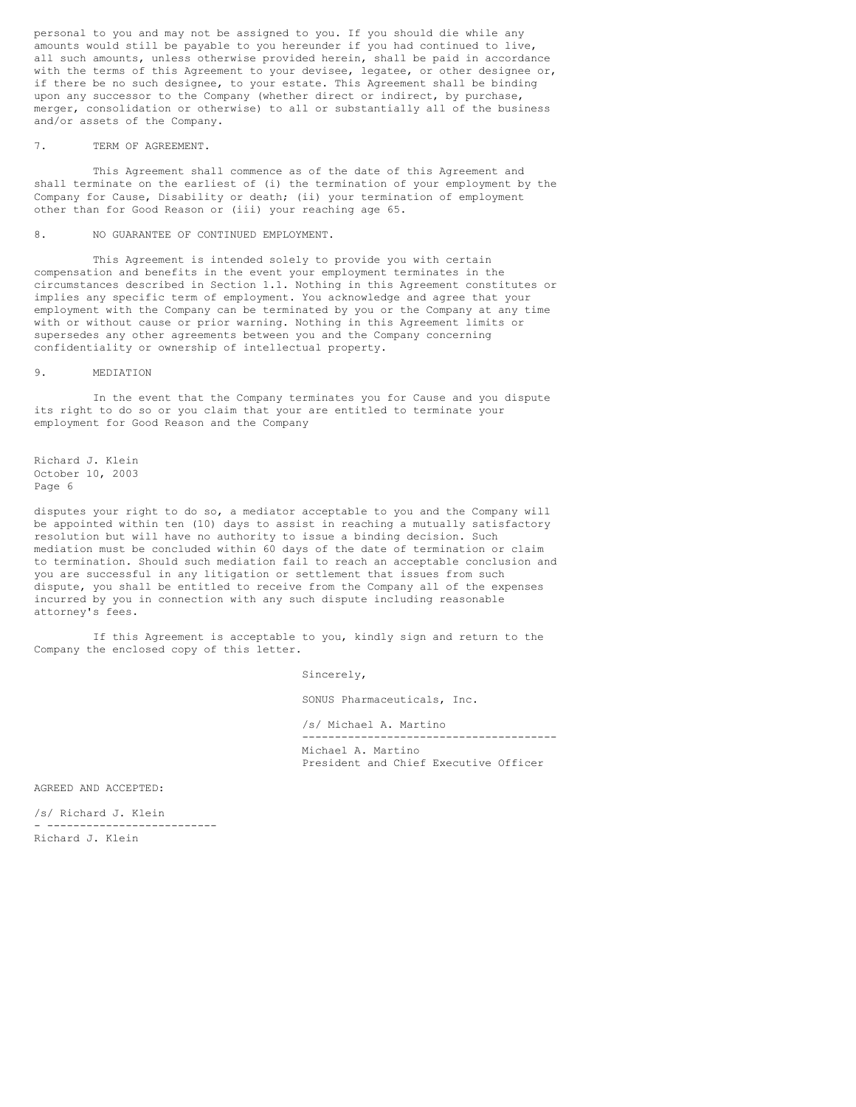personal to you and may not be assigned to you. If you should die while any amounts would still be payable to you hereunder if you had continued to live, all such amounts, unless otherwise provided herein, shall be paid in accordance with the terms of this Agreement to your devisee, legatee, or other designee or, if there be no such designee, to your estate. This Agreement shall be binding upon any successor to the Company (whether direct or indirect, by purchase, merger, consolidation or otherwise) to all or substantially all of the business and/or assets of the Company.

#### 7. TERM OF AGREEMENT.

This Agreement shall commence as of the date of this Agreement and shall terminate on the earliest of (i) the termination of your employment by the Company for Cause, Disability or death; (ii) your termination of employment other than for Good Reason or (iii) your reaching age 65.

#### 8. NO GUARANTEE OF CONTINUED EMPLOYMENT.

This Agreement is intended solely to provide you with certain compensation and benefits in the event your employment terminates in the circumstances described in Section 1.1. Nothing in this Agreement constitutes or implies any specific term of employment. You acknowledge and agree that your employment with the Company can be terminated by you or the Company at any time with or without cause or prior warning. Nothing in this Agreement limits or supersedes any other agreements between you and the Company concerning confidentiality or ownership of intellectual property.

#### 9. MEDIATION

In the event that the Company terminates you for Cause and you dispute its right to do so or you claim that your are entitled to terminate your employment for Good Reason and the Company

Richard J. Klein October 10, 2003 Page 6

disputes your right to do so, a mediator acceptable to you and the Company will be appointed within ten (10) days to assist in reaching a mutually satisfactory resolution but will have no authority to issue a binding decision. Such mediation must be concluded within 60 days of the date of termination or claim to termination. Should such mediation fail to reach an acceptable conclusion and you are successful in any litigation or settlement that issues from such dispute, you shall be entitled to receive from the Company all of the expenses incurred by you in connection with any such dispute including reasonable attorney's fees.

If this Agreement is acceptable to you, kindly sign and return to the Company the enclosed copy of this letter.

#### Sincerely,

SONUS Pharmaceuticals, Inc.

/s/ Michael A. Martino --------------------------------------- Michael A. Martino President and Chief Executive Officer

AGREED AND ACCEPTED:

/s/ Richard J. Klein - -------------------------- Richard J. Klein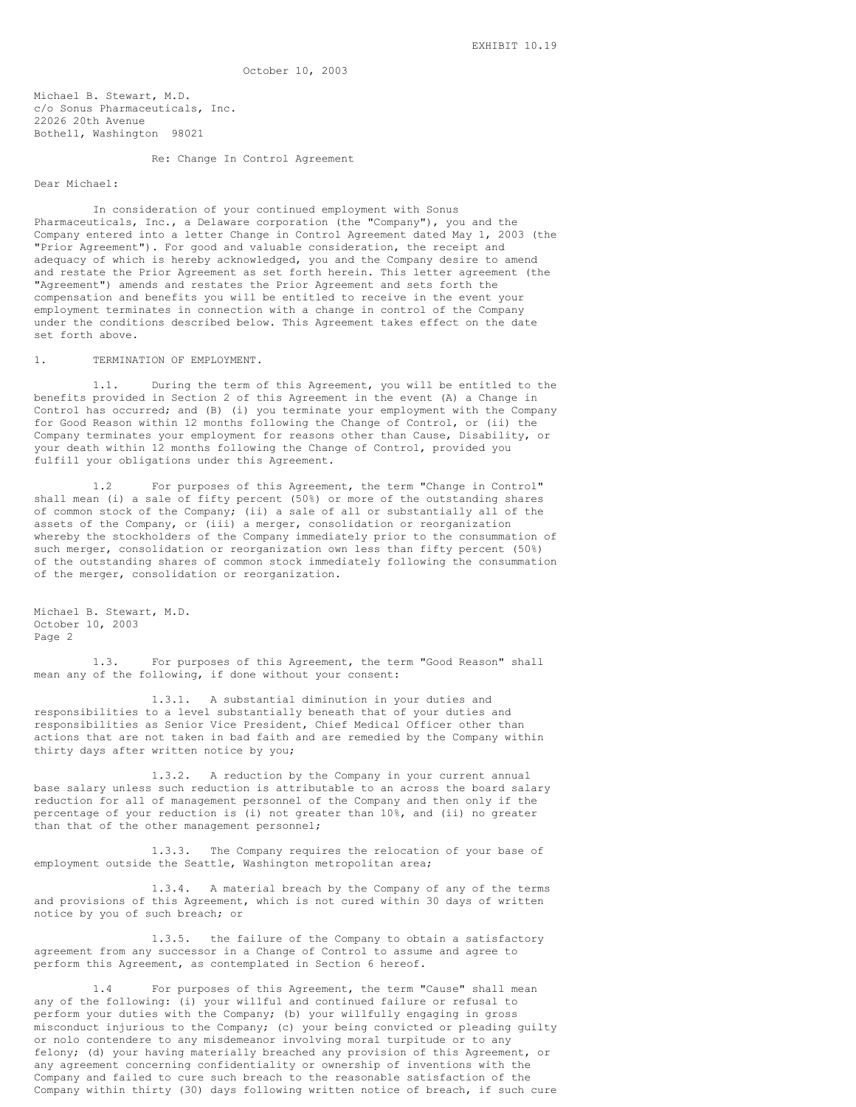October 10, 2003

Michael B. Stewart, M.D. c/o Sonus Pharmaceuticals, Inc. 22026 20th Avenue Bothell, Washington 98021

Re: Change In Control Agreement

#### Dear Michael:

In consideration of your continued employment with Sonus Pharmaceuticals, Inc., a Delaware corporation (the "Company"), you and the Company entered into a letter Change in Control Agreement dated May 1, 2003 (the "Prior Agreement"). For good and valuable consideration, the receipt and adequacy of which is hereby acknowledged, you and the Company desire to amend and restate the Prior Agreement as set forth herein. This letter agreement (the "Agreement") amends and restates the Prior Agreement and sets forth the compensation and benefits you will be entitled to receive in the event your employment terminates in connection with a change in control of the Company under the conditions described below. This Agreement takes effect on the date set forth above.

1. TERMINATION OF EMPLOYMENT.

1.1. During the term of this Agreement, you will be entitled to the benefits provided in Section 2 of this Agreement in the event (A) a Change in Control has occurred; and (B) (i) you terminate your employment with the Company for Good Reason within 12 months following the Change of Control, or (ii) the Company terminates your employment for reasons other than Cause, Disability, or your death within 12 months following the Change of Control, provided you fulfill your obligations under this Agreement.

1.2 For purposes of this Agreement, the term "Change in Control" shall mean (i) a sale of fifty percent (50%) or more of the outstanding shares of common stock of the Company; (ii) a sale of all or substantially all of the assets of the Company, or (iii) a merger, consolidation or reorganization whereby the stockholders of the Company immediately prior to the consummation of such merger, consolidation or reorganization own less than fifty percent (50%) of the outstanding shares of common stock immediately following the consummation of the merger, consolidation or reorganization.

Michael B. Stewart, M.D. October 10, 2003 Page 2

1.3. For purposes of this Agreement, the term "Good Reason" shall mean any of the following, if done without your consent:

1.3.1. A substantial diminution in your duties and responsibilities to a level substantially beneath that of your duties and responsibilities as Senior Vice President, Chief Medical Officer other than actions that are not taken in bad faith and are remedied by the Company within thirty days after written notice by you;

1.3.2. A reduction by the Company in your current annual base salary unless such reduction is attributable to an across the board salary reduction for all of management personnel of the Company and then only if the percentage of your reduction is (i) not greater than 10%, and (ii) no greater than that of the other management personnel;

1.3.3. The Company requires the relocation of your base of employment outside the Seattle, Washington metropolitan area;

1.3.4. A material breach by the Company of any of the terms and provisions of this Agreement, which is not cured within 30 days of written notice by you of such breach; or

1.3.5. the failure of the Company to obtain a satisfactory agreement from any successor in a Change of Control to assume and agree to perform this Agreement, as contemplated in Section 6 hereof.

1.4 For purposes of this Agreement, the term "Cause" shall mean any of the following: (i) your willful and continued failure or refusal to perform your duties with the Company; (b) your willfully engaging in gross misconduct injurious to the Company; (c) your being convicted or pleading guilty or nolo contendere to any misdemeanor involving moral turpitude or to any felony; (d) your having materially breached any provision of this Agreement, or any agreement concerning confidentiality or ownership of inventions with the Company and failed to cure such breach to the reasonable satisfaction of the Company within thirty (30) days following written notice of breach, if such cure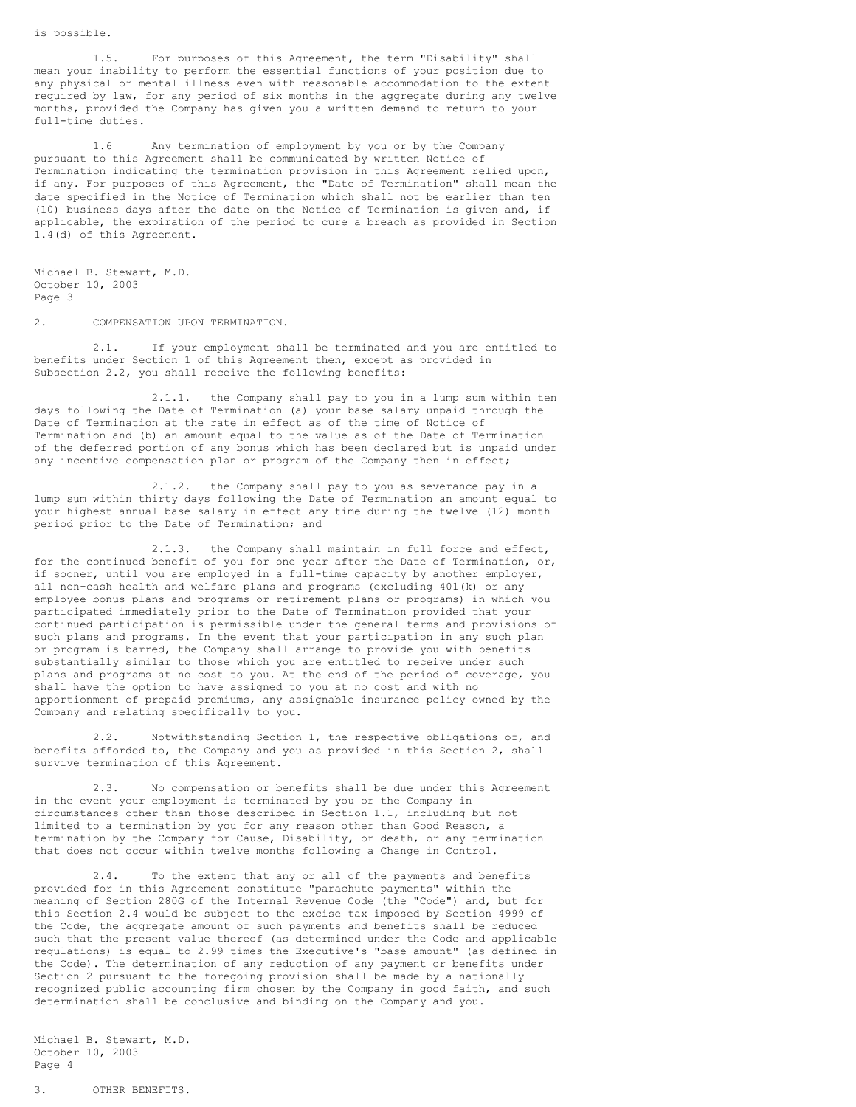<span id="page-53-0"></span>is possible.

1.5. For purposes of this Agreement, the term "Disability" shall mean your inability to perform the essential functions of your position due to any physical or mental illness even with reasonable accommodation to the extent required by law, for any period of six months in the aggregate during any twelve months, provided the Company has given you a written demand to return to your full-time duties.

1.6 Any termination of employment by you or by the Company pursuant to this Agreement shall be communicated by written Notice of Termination indicating the termination provision in this Agreement relied upon, if any. For purposes of this Agreement, the "Date of Termination" shall mean the date specified in the Notice of Termination which shall not be earlier than ten (10) business days after the date on the Notice of Termination is given and, if applicable, the expiration of the period to cure a breach as provided in Section 1.4(d) of this Agreement.

Michael B. Stewart, M.D. October 10, 2003 Page 3

#### 2. COMPENSATION UPON TERMINATION.

2.1. If your employment shall be terminated and you are entitled to benefits under Section 1 of this Agreement then, except as provided in Subsection 2.2, you shall receive the following benefits:

2.1.1. the Company shall pay to you in a lump sum within ten days following the Date of Termination (a) your base salary unpaid through the Date of Termination at the rate in effect as of the time of Notice of Termination and (b) an amount equal to the value as of the Date of Termination of the deferred portion of any bonus which has been declared but is unpaid under any incentive compensation plan or program of the Company then in effect;

2.1.2. the Company shall pay to you as severance pay in a lump sum within thirty days following the Date of Termination an amount equal to your highest annual base salary in effect any time during the twelve (12) month period prior to the Date of Termination; and

2.1.3. the Company shall maintain in full force and effect, for the continued benefit of you for one year after the Date of Termination, or, if sooner, until you are employed in a full-time capacity by another employer, all non-cash health and welfare plans and programs (excluding 401(k) or any employee bonus plans and programs or retirement plans or programs) in which you participated immediately prior to the Date of Termination provided that your continued participation is permissible under the general terms and provisions of such plans and programs. In the event that your participation in any such plan or program is barred, the Company shall arrange to provide you with benefits substantially similar to those which you are entitled to receive under such plans and programs at no cost to you. At the end of the period of coverage, you shall have the option to have assigned to you at no cost and with no apportionment of prepaid premiums, any assignable insurance policy owned by the Company and relating specifically to you.

2.2. Notwithstanding Section 1, the respective obligations of, and benefits afforded to, the Company and you as provided in this Section 2, shall survive termination of this Agreement.

2.3. No compensation or benefits shall be due under this Agreement in the event your employment is terminated by you or the Company in circumstances other than those described in Section 1.1, including but not limited to a termination by you for any reason other than Good Reason, a termination by the Company for Cause, Disability, or death, or any termination that does not occur within twelve months following a Change in Control.

2.4. To the extent that any or all of the payments and benefits provided for in this Agreement constitute "parachute payments" within the meaning of Section 280G of the Internal Revenue Code (the "Code") and, but for this Section 2.4 would be subject to the excise tax imposed by Section 4999 of the Code, the aggregate amount of such payments and benefits shall be reduced such that the present value thereof (as determined under the Code and applicable regulations) is equal to 2.99 times the Executive's "base amount" (as defined in the Code). The determination of any reduction of any payment or benefits under Section 2 pursuant to the foregoing provision shall be made by a nationally recognized public accounting firm chosen by the Company in good faith, and such determination shall be conclusive and binding on the Company and you.

Michael B. Stewart, M.D. October 10, 2003 Page 4

3. OTHER BENEFITS.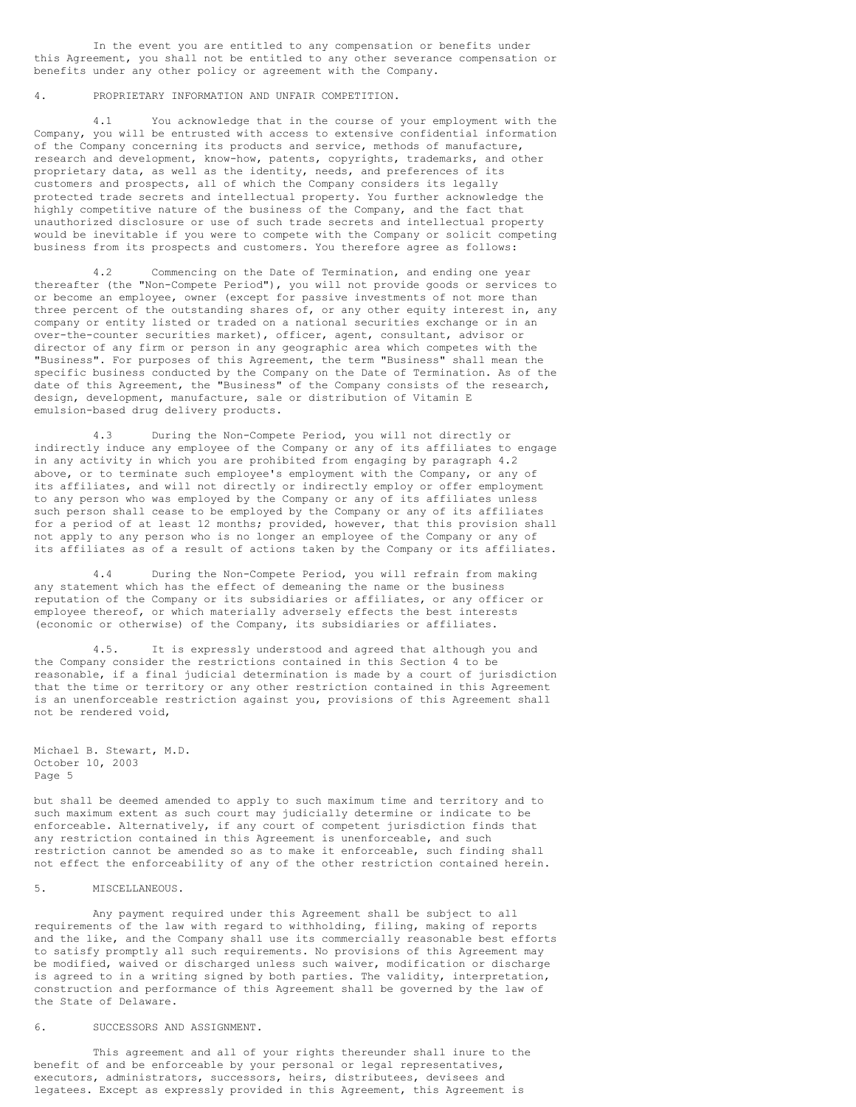In the event you are entitled to any compensation or benefits under this Agreement, you shall not be entitled to any other severance compensation or benefits under any other policy or agreement with the Company.

### 4. PROPRIETARY INFORMATION AND UNFAIR COMPETITION.

4.1 You acknowledge that in the course of your employment with the Company, you will be entrusted with access to extensive confidential information of the Company concerning its products and service, methods of manufacture, research and development, know-how, patents, copyrights, trademarks, and other proprietary data, as well as the identity, needs, and preferences of its customers and prospects, all of which the Company considers its legally protected trade secrets and intellectual property. You further acknowledge the highly competitive nature of the business of the Company, and the fact that unauthorized disclosure or use of such trade secrets and intellectual property would be inevitable if you were to compete with the Company or solicit competing business from its prospects and customers. You therefore agree as follows:

4.2 Commencing on the Date of Termination, and ending one year thereafter (the "Non-Compete Period"), you will not provide goods or services to or become an employee, owner (except for passive investments of not more than three percent of the outstanding shares of, or any other equity interest in, any company or entity listed or traded on a national securities exchange or in an over-the-counter securities market), officer, agent, consultant, advisor or director of any firm or person in any geographic area which competes with the "Business". For purposes of this Agreement, the term "Business" shall mean the specific business conducted by the Company on the Date of Termination. As of the date of this Agreement, the "Business" of the Company consists of the research, design, development, manufacture, sale or distribution of Vitamin E emulsion-based drug delivery products.

4.3 During the Non-Compete Period, you will not directly or indirectly induce any employee of the Company or any of its affiliates to engage in any activity in which you are prohibited from engaging by paragraph 4.2 above, or to terminate such employee's employment with the Company, or any of its affiliates, and will not directly or indirectly employ or offer employment to any person who was employed by the Company or any of its affiliates unless such person shall cease to be employed by the Company or any of its affiliates for a period of at least 12 months; provided, however, that this provision shall not apply to any person who is no longer an employee of the Company or any of its affiliates as of a result of actions taken by the Company or its affiliates.

4.4 During the Non-Compete Period, you will refrain from making any statement which has the effect of demeaning the name or the business reputation of the Company or its subsidiaries or affiliates, or any officer or employee thereof, or which materially adversely effects the best interests (economic or otherwise) of the Company, its subsidiaries or affiliates.

4.5. It is expressly understood and agreed that although you and the Company consider the restrictions contained in this Section 4 to be reasonable, if a final judicial determination is made by a court of jurisdiction that the time or territory or any other restriction contained in this Agreement is an unenforceable restriction against you, provisions of this Agreement shall not be rendered void,

Michael B. Stewart, M.D. October 10, 2003 Page 5

but shall be deemed amended to apply to such maximum time and territory and to such maximum extent as such court may judicially determine or indicate to be enforceable. Alternatively, if any court of competent jurisdiction finds that any restriction contained in this Agreement is unenforceable, and such restriction cannot be amended so as to make it enforceable, such finding shall not effect the enforceability of any of the other restriction contained herein.

#### 5. MISCELLANEOUS.

Any payment required under this Agreement shall be subject to all requirements of the law with regard to withholding, filing, making of reports and the like, and the Company shall use its commercially reasonable best efforts to satisfy promptly all such requirements. No provisions of this Agreement may be modified, waived or discharged unless such waiver, modification or discharge is agreed to in a writing signed by both parties. The validity, interpretation, construction and performance of this Agreement shall be governed by the law of the State of Delaware.

# 6. SUCCESSORS AND ASSIGNMENT.

This agreement and all of your rights thereunder shall inure to the benefit of and be enforceable by your personal or legal representatives, executors, administrators, successors, heirs, distributees, devisees and legatees. Except as expressly provided in this Agreement, this Agreement is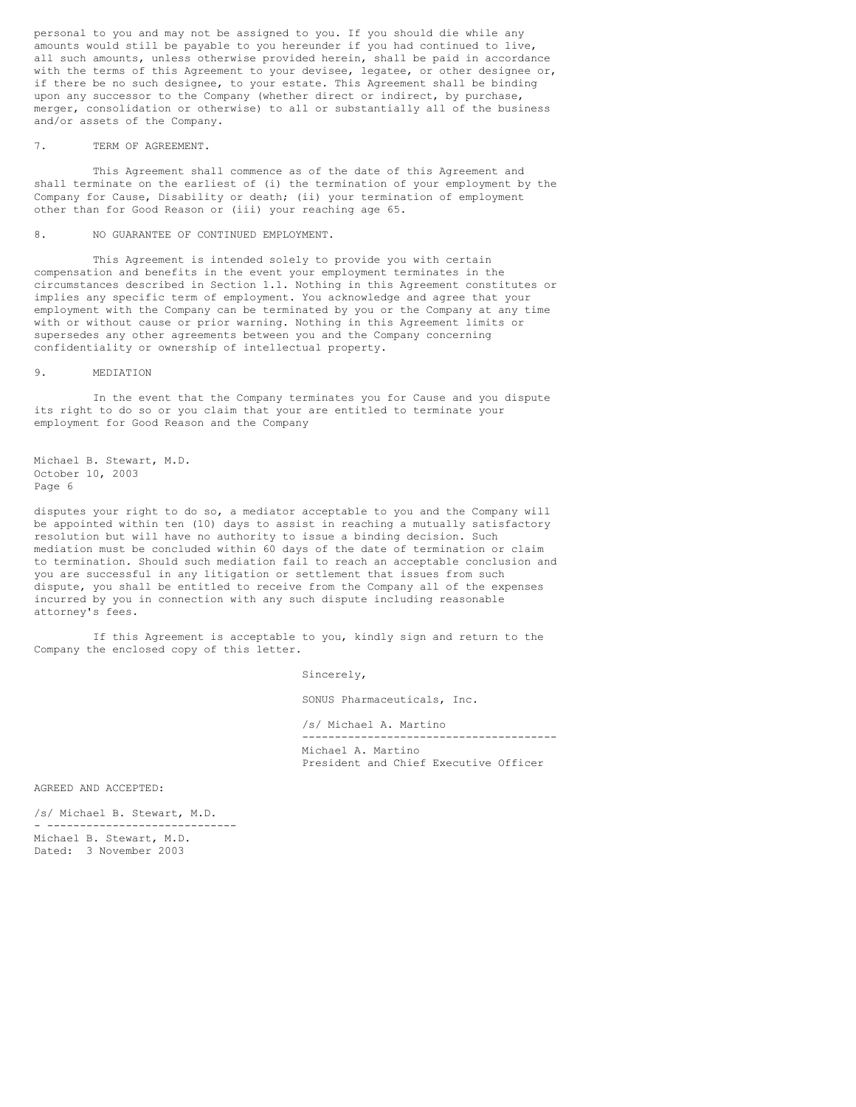personal to you and may not be assigned to you. If you should die while any amounts would still be payable to you hereunder if you had continued to live, all such amounts, unless otherwise provided herein, shall be paid in accordance with the terms of this Agreement to your devisee, legatee, or other designee or, if there be no such designee, to your estate. This Agreement shall be binding upon any successor to the Company (whether direct or indirect, by purchase, merger, consolidation or otherwise) to all or substantially all of the business and/or assets of the Company.

#### 7. TERM OF AGREEMENT.

This Agreement shall commence as of the date of this Agreement and shall terminate on the earliest of (i) the termination of your employment by the Company for Cause, Disability or death; (ii) your termination of employment other than for Good Reason or (iii) your reaching age 65.

#### 8. NO GUARANTEE OF CONTINUED EMPLOYMENT.

This Agreement is intended solely to provide you with certain compensation and benefits in the event your employment terminates in the circumstances described in Section 1.1. Nothing in this Agreement constitutes or implies any specific term of employment. You acknowledge and agree that your employment with the Company can be terminated by you or the Company at any time with or without cause or prior warning. Nothing in this Agreement limits or supersedes any other agreements between you and the Company concerning confidentiality or ownership of intellectual property.

#### 9. MEDIATION

In the event that the Company terminates you for Cause and you dispute its right to do so or you claim that your are entitled to terminate your employment for Good Reason and the Company

Michael B. Stewart, M.D. October 10, 2003 Page 6

disputes your right to do so, a mediator acceptable to you and the Company will be appointed within ten (10) days to assist in reaching a mutually satisfactory resolution but will have no authority to issue a binding decision. Such mediation must be concluded within 60 days of the date of termination or claim to termination. Should such mediation fail to reach an acceptable conclusion and you are successful in any litigation or settlement that issues from such dispute, you shall be entitled to receive from the Company all of the expenses incurred by you in connection with any such dispute including reasonable attorney's fees.

If this Agreement is acceptable to you, kindly sign and return to the Company the enclosed copy of this letter.

# Sincerely,

SONUS Pharmaceuticals, Inc.

/s/ Michael A. Martino --------------------------------------- Michael A. Martino President and Chief Executive Officer

AGREED AND ACCEPTED:

/s/ Michael B. Stewart, M.D. - ----------------------------- Michael B. Stewart, M.D. Dated: 3 November 2003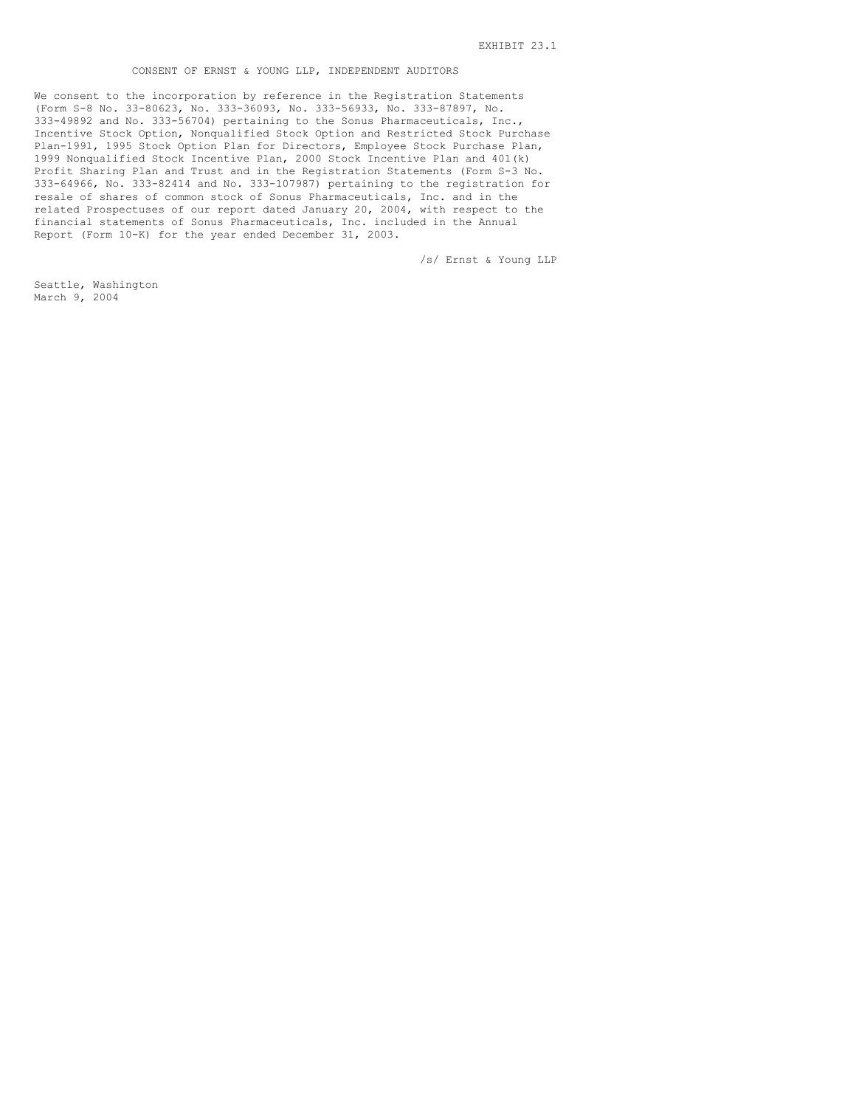# CONSENT OF ERNST & YOUNG LLP, INDEPENDENT AUDITORS

<span id="page-56-0"></span>We consent to the incorporation by reference in the Registration Statements (Form S-8 No. 33-80623, No. 333-36093, No. 333-56933, No. 333-87897, No. 333-49892 and No. 333-56704) pertaining to the Sonus Pharmaceuticals, Inc., Incentive Stock Option, Nonqualified Stock Option and Restricted Stock Purchase Plan-1991, 1995 Stock Option Plan for Directors, Employee Stock Purchase Plan, 1999 Nonqualified Stock Incentive Plan, 2000 Stock Incentive Plan and 401(k) Profit Sharing Plan and Trust and in the Registration Statements (Form S-3 No. 333-64966, No. 333-82414 and No. 333-107987) pertaining to the registration for resale of shares of common stock of Sonus Pharmaceuticals, Inc. and in the related Prospectuses of our report dated January 20, 2004, with respect to the financial statements of Sonus Pharmaceuticals, Inc. included in the Annual Report (Form 10-K) for the year ended December 31, 2003.

/s/ Ernst & Young LLP

Seattle, Washington March 9, 2004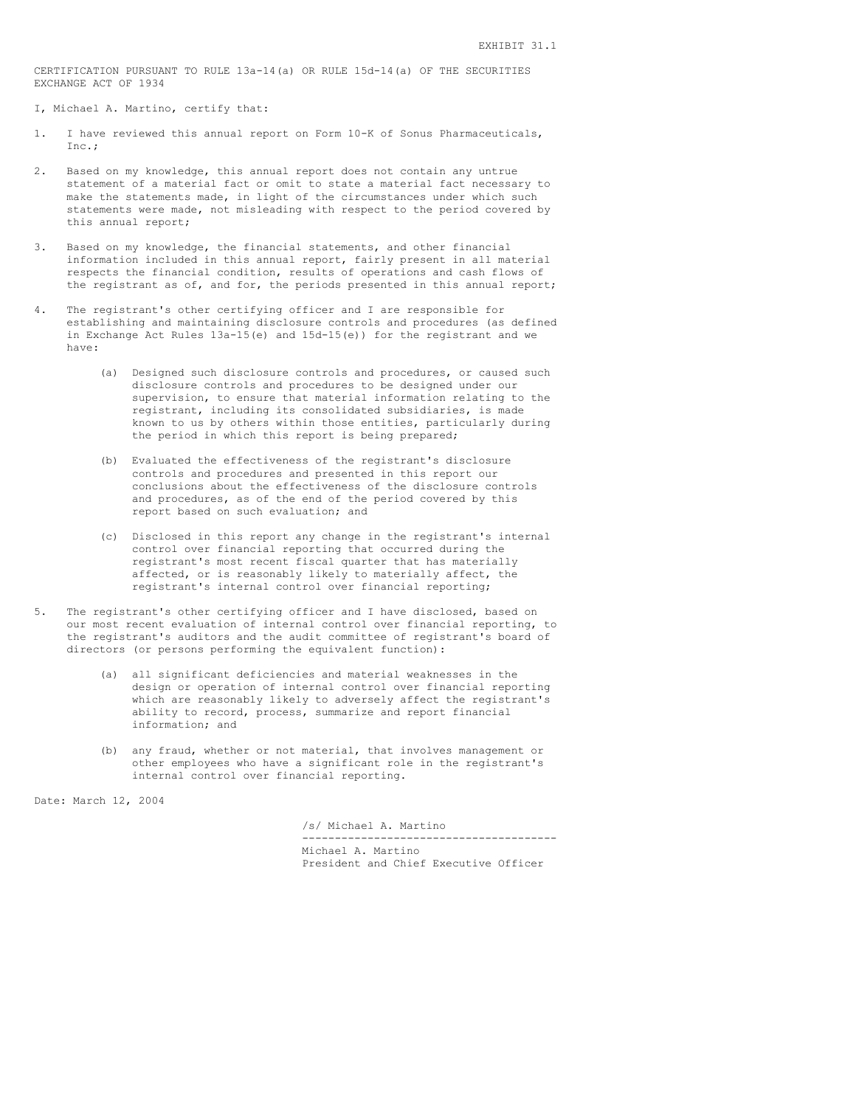<span id="page-57-0"></span>CERTIFICATION PURSUANT TO RULE 13a-14(a) OR RULE 15d-14(a) OF THE SECURITIES EXCHANGE ACT OF 1934

I, Michael A. Martino, certify that:

- 1. I have reviewed this annual report on Form 10-K of Sonus Pharmaceuticals, Inc.;
- 2. Based on my knowledge, this annual report does not contain any untrue statement of a material fact or omit to state a material fact necessary to make the statements made, in light of the circumstances under which such statements were made, not misleading with respect to the period covered by this annual report;
- 3. Based on my knowledge, the financial statements, and other financial information included in this annual report, fairly present in all material respects the financial condition, results of operations and cash flows of the registrant as of, and for, the periods presented in this annual report;
- 4. The registrant's other certifying officer and I are responsible for establishing and maintaining disclosure controls and procedures (as defined in Exchange Act Rules 13a-15(e) and 15d-15(e)) for the registrant and we have:
	- (a) Designed such disclosure controls and procedures, or caused such disclosure controls and procedures to be designed under our supervision, to ensure that material information relating to the registrant, including its consolidated subsidiaries, is made known to us by others within those entities, particularly during the period in which this report is being prepared;
	- (b) Evaluated the effectiveness of the registrant's disclosure controls and procedures and presented in this report our conclusions about the effectiveness of the disclosure controls and procedures, as of the end of the period covered by this report based on such evaluation; and
	- (c) Disclosed in this report any change in the registrant's internal control over financial reporting that occurred during the registrant's most recent fiscal quarter that has materially affected, or is reasonably likely to materially affect, the registrant's internal control over financial reporting;
- 5. The registrant's other certifying officer and I have disclosed, based on our most recent evaluation of internal control over financial reporting, to the registrant's auditors and the audit committee of registrant's board of directors (or persons performing the equivalent function):
	- (a) all significant deficiencies and material weaknesses in the design or operation of internal control over financial reporting which are reasonably likely to adversely affect the registrant's ability to record, process, summarize and report financial information; and
	- (b) any fraud, whether or not material, that involves management or other employees who have a significant role in the registrant's internal control over financial reporting.

Date: March 12, 2004

/s/ Michael A. Martino --------------------------------------- Michael A. Martino President and Chief Executive Officer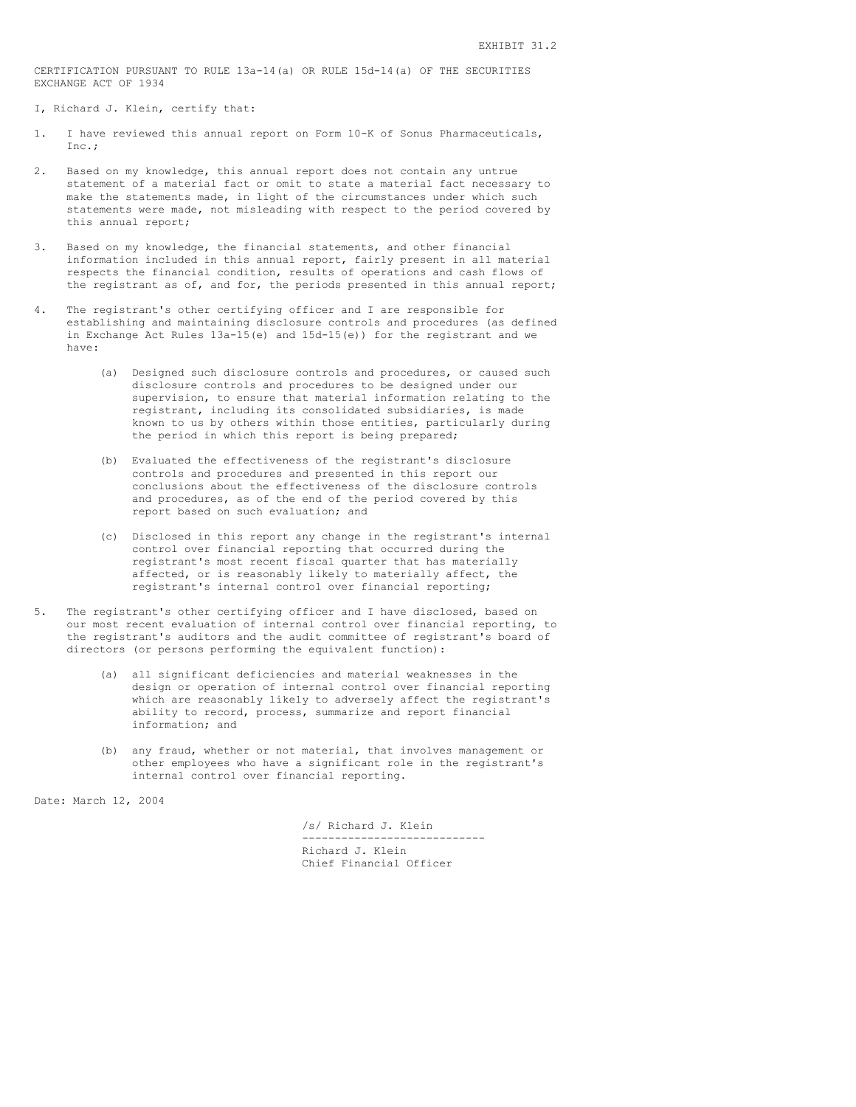<span id="page-58-0"></span>CERTIFICATION PURSUANT TO RULE 13a-14(a) OR RULE 15d-14(a) OF THE SECURITIES EXCHANGE ACT OF 1934

I, Richard J. Klein, certify that:

- 1. I have reviewed this annual report on Form 10-K of Sonus Pharmaceuticals, Inc.;
- 2. Based on my knowledge, this annual report does not contain any untrue statement of a material fact or omit to state a material fact necessary to make the statements made, in light of the circumstances under which such statements were made, not misleading with respect to the period covered by this annual report;
- 3. Based on my knowledge, the financial statements, and other financial information included in this annual report, fairly present in all material respects the financial condition, results of operations and cash flows of the registrant as of, and for, the periods presented in this annual report;
- The registrant's other certifying officer and I are responsible for establishing and maintaining disclosure controls and procedures (as defined in Exchange Act Rules 13a-15(e) and 15d-15(e)) for the registrant and we have:
	- (a) Designed such disclosure controls and procedures, or caused such disclosure controls and procedures to be designed under our supervision, to ensure that material information relating to the registrant, including its consolidated subsidiaries, is made known to us by others within those entities, particularly during the period in which this report is being prepared;
	- (b) Evaluated the effectiveness of the registrant's disclosure controls and procedures and presented in this report our conclusions about the effectiveness of the disclosure controls and procedures, as of the end of the period covered by this report based on such evaluation; and
	- (c) Disclosed in this report any change in the registrant's internal control over financial reporting that occurred during the registrant's most recent fiscal quarter that has materially affected, or is reasonably likely to materially affect, the registrant's internal control over financial reporting;
- 5. The registrant's other certifying officer and I have disclosed, based on our most recent evaluation of internal control over financial reporting, to the registrant's auditors and the audit committee of registrant's board of directors (or persons performing the equivalent function):
	- (a) all significant deficiencies and material weaknesses in the design or operation of internal control over financial reporting which are reasonably likely to adversely affect the registrant's ability to record, process, summarize and report financial information; and
	- (b) any fraud, whether or not material, that involves management or other employees who have a significant role in the registrant's internal control over financial reporting.

Date: March 12, 2004

/s/ Richard J. Klein ---------------------------- Richard J. Klein Chief Financial Officer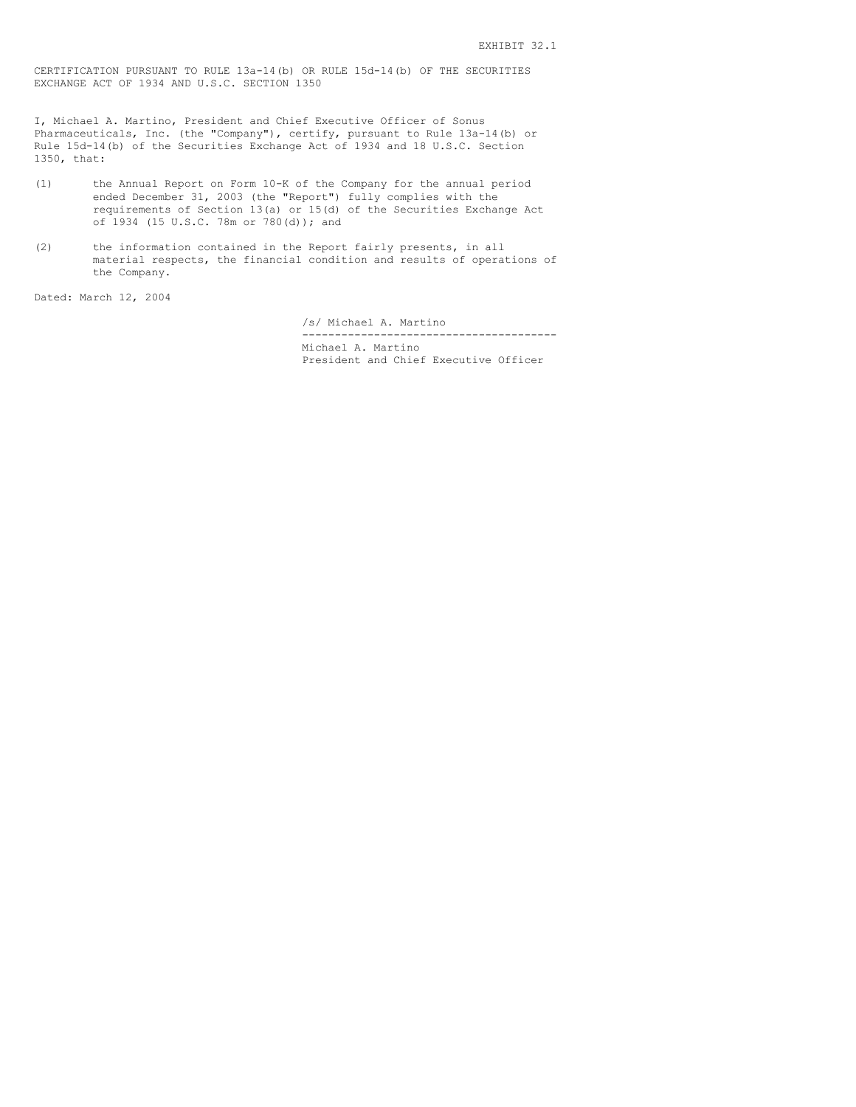<span id="page-59-0"></span>CERTIFICATION PURSUANT TO RULE 13a-14(b) OR RULE 15d-14(b) OF THE SECURITIES EXCHANGE ACT OF 1934 AND U.S.C. SECTION 1350

I, Michael A. Martino, President and Chief Executive Officer of Sonus Pharmaceuticals, Inc. (the "Company"), certify, pursuant to Rule 13a-14(b) or Rule 15d-14(b) of the Securities Exchange Act of 1934 and 18 U.S.C. Section 1350, that:

- (1) the Annual Report on Form 10-K of the Company for the annual period ended December 31, 2003 (the "Report") fully complies with the requirements of Section 13(a) or 15(d) of the Securities Exchange Act of 1934 (15 U.S.C. 78m or 780(d)); and
- (2) the information contained in the Report fairly presents, in all material respects, the financial condition and results of operations of the Company.

Dated: March 12, 2004

/s/ Michael A. Martino

--------------------------------------- Michael A. Martino

President and Chief Executive Officer